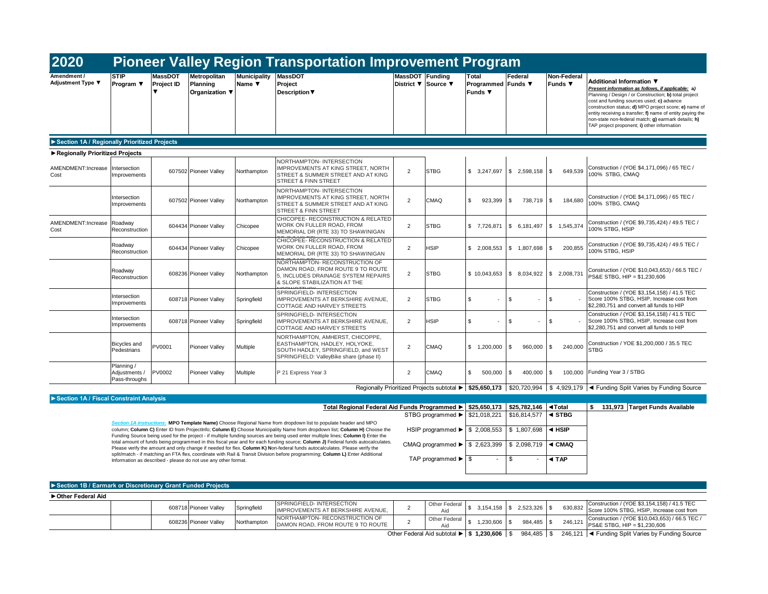| 2020                                         |                                                                                                                                                                                                                                                                                                                                                                                                                                                                   |                              |                                            |                               | <b>Pioneer Valley Region Transportation Improvement Program</b>                                                                                                                                                                                               |                 |                                                    |                                               |                                            |                               |                                                                                                                                                                                                                                                                                                                                                                                                                 |
|----------------------------------------------|-------------------------------------------------------------------------------------------------------------------------------------------------------------------------------------------------------------------------------------------------------------------------------------------------------------------------------------------------------------------------------------------------------------------------------------------------------------------|------------------------------|--------------------------------------------|-------------------------------|---------------------------------------------------------------------------------------------------------------------------------------------------------------------------------------------------------------------------------------------------------------|-----------------|----------------------------------------------------|-----------------------------------------------|--------------------------------------------|-------------------------------|-----------------------------------------------------------------------------------------------------------------------------------------------------------------------------------------------------------------------------------------------------------------------------------------------------------------------------------------------------------------------------------------------------------------|
| Amendment /<br>Adjustment Type ▼             | <b>STIP</b><br>Program ▼                                                                                                                                                                                                                                                                                                                                                                                                                                          | <b>MassDOT</b><br>Project ID | Metropolitan<br>Planning<br>Organization ▼ | <b>Municipality</b><br>Name ▼ | <b>MassDOT</b><br>Project<br><b>Description ▼</b>                                                                                                                                                                                                             | MassDOT Funding | District ▼ Source ▼                                | Total<br>Programmed Funds ▼<br><b>Funds</b> ▼ | Federal                                    | Non-Federal<br><b>Funds ▼</b> | Additional Information ▼<br>Present information as follows, if applicable; a)<br>Planning / Design / or Construction; b) total project<br>cost and funding sources used; c) advance<br>construction status; d) MPO project score; e) name of<br>entity receiving a transfer; f) name of entity paying the<br>non-state non-federal match; g) earmark details; h)<br>TAP project proponent; i) other information |
| Section 1A / Regionally Prioritized Projects |                                                                                                                                                                                                                                                                                                                                                                                                                                                                   |                              |                                            |                               |                                                                                                                                                                                                                                                               |                 |                                                    |                                               |                                            |                               |                                                                                                                                                                                                                                                                                                                                                                                                                 |
| Regionally Prioritized Projects              |                                                                                                                                                                                                                                                                                                                                                                                                                                                                   |                              |                                            |                               |                                                                                                                                                                                                                                                               |                 |                                                    |                                               |                                            |                               |                                                                                                                                                                                                                                                                                                                                                                                                                 |
| AMENDMENT:Increase<br>Cost                   | Intersection<br>Improvements                                                                                                                                                                                                                                                                                                                                                                                                                                      |                              | 607502 Pioneer Valley                      | Northampton                   | NORTHAMPTON- INTERSECTION<br><b>IMPROVEMENTS AT KING STREET, NORTH</b><br>STREET & SUMMER STREET AND AT KING<br><b>STREET &amp; FINN STREET</b>                                                                                                               | 2               | <b>STBG</b>                                        | \$3,247,697                                   | \$2,598,158                                | $\sqrt{3}$<br>649,539         | Construction / (YOE \$4,171,096) / 65 TEC /<br>100% STBG, CMAQ                                                                                                                                                                                                                                                                                                                                                  |
|                                              | Intersection<br>Improvements                                                                                                                                                                                                                                                                                                                                                                                                                                      |                              | 607502 Pioneer Valley                      | Northampton                   | NORTHAMPTON- INTERSECTION<br><b>IMPROVEMENTS AT KING STREET, NORTH</b><br>STREET & SUMMER STREET AND AT KING<br>STREET & FINN STREET                                                                                                                          | $\overline{2}$  | CMAQ                                               | \$.<br>923.399                                | $\mathbf{s}$<br>738,719 \$                 | 184,680                       | Construction / (YOE \$4.171.096) / 65 TEC /<br>100% STBG, CMAQ                                                                                                                                                                                                                                                                                                                                                  |
| AMENDMENT:Increase<br>Cost                   | Roadwav<br>Reconstruction                                                                                                                                                                                                                                                                                                                                                                                                                                         |                              | 604434 Pioneer Valley                      | Chicopee                      | CHICOPEE- RECONSTRUCTION & RELATED<br>WORK ON FULLER ROAD, FROM<br>MEMORIAL DR (RTE 33) TO SHAWINIGAN                                                                                                                                                         | $\overline{2}$  | <b>STBG</b>                                        | \$7,726,871                                   | \$6,181,497                                | \$1,545,374                   | Construction / (YOE \$9,735,424) / 49.5 TEC /<br>100% STBG, HSIP                                                                                                                                                                                                                                                                                                                                                |
|                                              | Roadwav<br>Reconstruction                                                                                                                                                                                                                                                                                                                                                                                                                                         |                              | 604434 Pioneer Valley                      | Chicopee                      | CHICOPEE- RECONSTRUCTION & RELATED<br>WORK ON FULLER ROAD, FROM<br>MEMORIAL DR (RTE 33) TO SHAWINIGAN                                                                                                                                                         | 2               | <b>HSIP</b>                                        | \$ 2.008.553                                  | \$1,807,698                                | \$<br>200,855                 | Construction / (YOE \$9,735,424) / 49.5 TEC /<br>100% STBG, HSIP                                                                                                                                                                                                                                                                                                                                                |
|                                              | Roadway<br>Reconstruction                                                                                                                                                                                                                                                                                                                                                                                                                                         |                              | 608236 Pioneer Valley                      | Northampton                   | NORTHAMPTON- RECONSTRUCTION OF<br>DAMON ROAD, FROM ROUTE 9 TO ROUTE<br>5. INCLUDES DRAINAGE SYSTEM REPAIRS<br>& SLOPE STABILIZATION AT THE<br><b>VODIALOTTLIOK</b>                                                                                            | $\overline{2}$  | <b>STBG</b>                                        | \$10,043,653                                  | \$8,034,922                                | \$2,008,731                   | Construction / (YOE \$10,043,653) / 66.5 TEC /<br>PS&E STBG, HIP = \$1,230,606                                                                                                                                                                                                                                                                                                                                  |
|                                              | Intersection<br>Improvements                                                                                                                                                                                                                                                                                                                                                                                                                                      |                              | 608718 Pioneer Valley                      | Springfield                   | SPRINGFIELD-INTERSECTION<br>IMPROVEMENTS AT BERKSHIRE AVENUE,<br>COTTAGE AND HARVEY STREETS                                                                                                                                                                   | $\overline{2}$  | <b>STBG</b>                                        | \$                                            | $\cdot$ \$<br>٠                            | \$                            | Construction / (YOE \$3,154,158) / 41.5 TEC<br>Score 100% STBG, HSIP, Increase cost from<br>\$2,280,751 and convert all funds to HIP                                                                                                                                                                                                                                                                            |
|                                              | Intersection<br>Improvements                                                                                                                                                                                                                                                                                                                                                                                                                                      |                              | 608718 Pioneer Valley                      | Springfield                   | SPRINGFIELD- INTERSECTION<br>IMPROVEMENTS AT BERKSHIRE AVENUE,<br>COTTAGE AND HARVEY STREETS                                                                                                                                                                  | $\overline{2}$  | <b>HSIP</b>                                        | \$                                            | \$                                         | \$                            | Construction / (YOE \$3,154,158) / 41.5 TEC<br>Score 100% STBG, HSIP, Increase cost from<br>\$2,280,751 and convert all funds to HIP                                                                                                                                                                                                                                                                            |
|                                              | Bicycles and<br>Pedestrians                                                                                                                                                                                                                                                                                                                                                                                                                                       | PV0001                       | Pioneer Vallev                             | Multiple                      | NORTHAMPTON, AMHERST, CHICOPPE,<br>EASTHAMPTON, HADLEY, HOLYOKE,<br>SOUTH HADLEY, SPRINGFIELD, and WEST<br>SPRINGFIELD: ValleyBike share (phase II)                                                                                                           | 2               | CMAQ                                               | \$1,200,000                                   | \$<br>960,000                              | $\mathbb{S}$<br>240,000       | Construction / YOE \$1,200,000 / 35.5 TEC<br><b>STBG</b>                                                                                                                                                                                                                                                                                                                                                        |
|                                              | Planning /<br>Adjustments /<br>Pass-throughs                                                                                                                                                                                                                                                                                                                                                                                                                      | PV0002                       | Pioneer Vallev                             | Multiple                      | P 21 Express Year 3                                                                                                                                                                                                                                           | $\overline{2}$  | CMAQ                                               | \$<br>500,000                                 | \$<br>400,000                              | \$<br>100,000                 | Funding Year 3 / STBG                                                                                                                                                                                                                                                                                                                                                                                           |
|                                              |                                                                                                                                                                                                                                                                                                                                                                                                                                                                   |                              |                                            |                               |                                                                                                                                                                                                                                                               |                 |                                                    |                                               |                                            |                               | Regionally Prioritized Projects subtotal ► \$25,650,173 \$20,720,994 \$ 4,929,179 < Funding Split Varies by Funding Source                                                                                                                                                                                                                                                                                      |
| Section 1A / Fiscal Constraint Analysis      |                                                                                                                                                                                                                                                                                                                                                                                                                                                                   |                              |                                            |                               |                                                                                                                                                                                                                                                               |                 |                                                    |                                               |                                            |                               |                                                                                                                                                                                                                                                                                                                                                                                                                 |
|                                              | Total Regional Federal Aid Funds Programmed ><br>STBG programmed ▶ \$21,018,221<br>Section 1A instructions: MPO Template Name) Choose Regional Name from dropdown list to populate header and MPO<br>column; Column C) Enter ID from ProjectInfo; Column E) Choose Municipality Name from dropdown list; Column H) Choose the<br>Funding Source being used for the project - if multiple funding sources are being used enter multiple lines; Column I) Enter the |                              |                                            |                               |                                                                                                                                                                                                                                                               |                 |                                                    | \$25,650,173                                  | \$25,782,146 <b>4Total</b><br>\$16,814,577 | $\triangleleft$ STBG          | \$ 131,973 Target Funds Available                                                                                                                                                                                                                                                                                                                                                                               |
|                                              |                                                                                                                                                                                                                                                                                                                                                                                                                                                                   |                              |                                            |                               |                                                                                                                                                                                                                                                               |                 | HSIP programmed $\blacktriangleright$ \$ 2,008,553 |                                               | \$1,807,698                                | $\triangleleft$ HSIP          |                                                                                                                                                                                                                                                                                                                                                                                                                 |
|                                              |                                                                                                                                                                                                                                                                                                                                                                                                                                                                   |                              |                                            |                               | total amount of funds being programmed in this fiscal year and for each funding source; Column J) Federal funds autocalculates.<br>Please verify the amount and only change if needed for flex. Column K) Non-federal funds autocalculates. Please verify the |                 | CMAQ programmed $\blacktriangleright$ \$ 2,623,399 |                                               | \$2,098,719                                | ◀ CMAQ                        |                                                                                                                                                                                                                                                                                                                                                                                                                 |
|                                              | split/match - if matching an FTA flex, coordinate with Rail & Transit Division before programming; Column L) Enter Additional<br>Information as described - please do not use any other format.                                                                                                                                                                                                                                                                   |                              |                                            |                               |                                                                                                                                                                                                                                                               |                 | TAP programmed $\blacktriangleright$ \$            |                                               | \$<br>$\overline{\phantom{a}}$             | ◀ TAP                         |                                                                                                                                                                                                                                                                                                                                                                                                                 |
|                                              |                                                                                                                                                                                                                                                                                                                                                                                                                                                                   |                              |                                            |                               |                                                                                                                                                                                                                                                               |                 |                                                    |                                               |                                            |                               |                                                                                                                                                                                                                                                                                                                                                                                                                 |

| <b>Execution</b> TD / Edition N of Discretionally Grant Funded Frojects |  |  |                       |             |                                                                      |  |                                                                                                                              |                             |      |            |  |                                                                                                                 |
|-------------------------------------------------------------------------|--|--|-----------------------|-------------|----------------------------------------------------------------------|--|------------------------------------------------------------------------------------------------------------------------------|-----------------------------|------|------------|--|-----------------------------------------------------------------------------------------------------------------|
| ► Other Federal Aid                                                     |  |  |                       |             |                                                                      |  |                                                                                                                              |                             |      |            |  |                                                                                                                 |
|                                                                         |  |  | 608718 Pioneer Valley | Springfield | SPRINGFIELD-INTERSECTION<br><b>IMPROVEMENTS AT BERKSHIRE AVENUE.</b> |  | Other Federal                                                                                                                | $3,154,158$ \$ 2,523,326 \$ |      |            |  | Construction / (YOE \$3,154,158) / 41.5 TEC<br>$\frac{1}{10}$ 630,832 Score 100% STBG, HSIP, Increase cost from |
|                                                                         |  |  | 608236 Pioneer Valley | Northampton | NORTHAMPTON-RECONSTRUCTION OF<br>DAMON ROAD, FROM ROUTE 9 TO ROUTE   |  | Other Federal                                                                                                                | 1,230,606                   | - 15 | 984,485 \$ |  | Construction / (YOE \$10,043,653) / 66.5 TEC /<br>$\rightarrow$   3 246,121   PS&E STBG, HIP = \$1,230,606      |
|                                                                         |  |  |                       |             |                                                                      |  | Other Federal Aid subtotal $\blacktriangleright$ $\blacktriangleright$ 1.200 606 $\blacktriangleright$ $\blacktriangleright$ |                             |      |            |  | $984.485$ $\&$ 246.121 $\rightarrow$ Funding Split Varies by Funding Source                                     |

Other Federal Aid subtotal ► | \$1,**230,606** | \$984,485 | \$246,121 | ◀ Funding Split Varies by Funding Source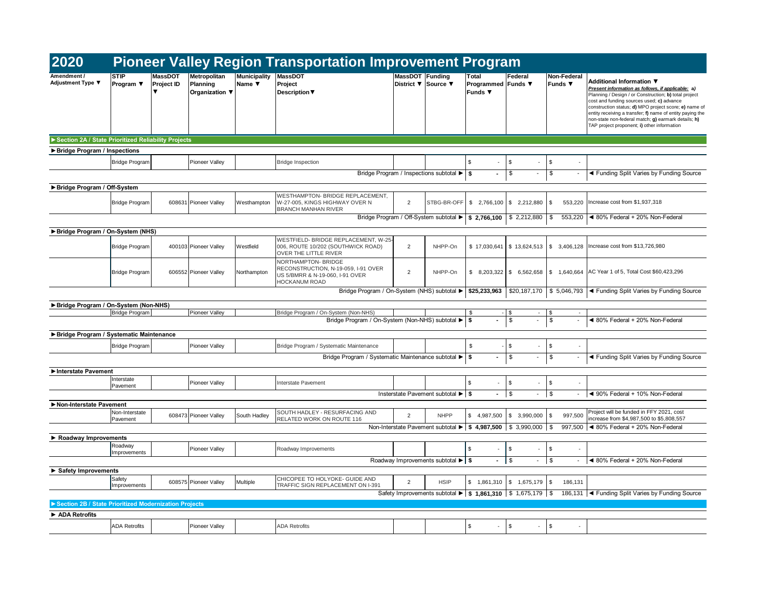| 2020                                                  |                               |                       |                                            |                               | <b>Pioneer Valley Region Transportation Improvement Program</b>                                                       |                 |                                                     |                                               |                                        |                                |                                                                                                                                                                                                                                                                                                                                                                                                                 |
|-------------------------------------------------------|-------------------------------|-----------------------|--------------------------------------------|-------------------------------|-----------------------------------------------------------------------------------------------------------------------|-----------------|-----------------------------------------------------|-----------------------------------------------|----------------------------------------|--------------------------------|-----------------------------------------------------------------------------------------------------------------------------------------------------------------------------------------------------------------------------------------------------------------------------------------------------------------------------------------------------------------------------------------------------------------|
| Amendment /<br>Adjustment Type ▼                      | <b>STIP</b><br>Program $\Psi$ | MassDOT<br>Project ID | Metropolitan<br>Planning<br>Organization ▼ | <b>Municipality</b><br>Name ▼ | <b>MassDOT</b><br>Project<br><b>Description</b> ▼                                                                     | MassDOT Funding | District ▼ Source ▼                                 | Total<br>Programmed Funds ▼<br><b>Funds</b> ▼ | Federal                                | Non-Federal<br>Funds ▼         | Additional Information ▼<br>Present information as follows, if applicable: a)<br>Planning / Design / or Construction; b) total project<br>cost and funding sources used; c) advance<br>construction status; d) MPO project score; e) name of<br>entity receiving a transfer; f) name of entity paying the<br>non-state non-federal match; g) earmark details; h)<br>TAP project proponent; i) other information |
| Section 2A / State Prioritized Reliability Projects   |                               |                       |                                            |                               |                                                                                                                       |                 |                                                     |                                               |                                        |                                |                                                                                                                                                                                                                                                                                                                                                                                                                 |
| Bridge Program / Inspections                          |                               |                       |                                            |                               |                                                                                                                       |                 |                                                     |                                               |                                        |                                |                                                                                                                                                                                                                                                                                                                                                                                                                 |
|                                                       | <b>Bridge Program</b>         |                       | Pioneer Vallev                             |                               | <b>Bridge Inspection</b>                                                                                              |                 |                                                     | \$                                            | \$                                     | \$                             |                                                                                                                                                                                                                                                                                                                                                                                                                 |
|                                                       |                               |                       |                                            |                               |                                                                                                                       |                 | Bridge Program / Inspections subtotal ▶             | \$                                            | \$<br>$\overline{\phantom{a}}$         | \$                             | ◀ Funding Split Varies by Funding Source                                                                                                                                                                                                                                                                                                                                                                        |
| ▶ Bridge Program / Off-System                         |                               |                       |                                            |                               |                                                                                                                       |                 |                                                     |                                               |                                        |                                |                                                                                                                                                                                                                                                                                                                                                                                                                 |
|                                                       | <b>Bridge Program</b>         |                       | 608631 Pioneer Valley                      | Westhampton                   | WESTHAMPTON- BRIDGE REPLACEMENT,<br>W-27-005, KINGS HIGHWAY OVER N<br><b>BRANCH MANHAN RIVER</b>                      | $\overline{2}$  | STBG-BR-OFF                                         | \$2,766,100                                   | \$2,212,880                            | \$<br>553,220                  | Increase cost from \$1,937,318                                                                                                                                                                                                                                                                                                                                                                                  |
|                                                       |                               |                       |                                            |                               |                                                                                                                       |                 | Bridge Program / Off-System subtotal ▶ \$ 2,766,100 |                                               | \$2,212,880                            | \$<br>553.220                  | ◀ 80% Federal + 20% Non-Federal                                                                                                                                                                                                                                                                                                                                                                                 |
| Bridge Program / On-System (NHS)                      |                               |                       |                                            |                               |                                                                                                                       |                 |                                                     |                                               |                                        |                                |                                                                                                                                                                                                                                                                                                                                                                                                                 |
|                                                       | <b>Bridge Program</b>         |                       | 400103 Pioneer Valley                      | Westfield                     | WESTFIELD- BRIDGE REPLACEMENT, W-25<br>006, ROUTE 10/202 (SOUTHWICK ROAD)<br>OVER THE LITTLE RIVER                    | $\overline{2}$  | NHPP-On                                             | \$17,030,641                                  | \$13,624,513                           | \$3,406,128                    | Increase cost from \$13,726,980                                                                                                                                                                                                                                                                                                                                                                                 |
|                                                       | <b>Bridge Program</b>         |                       | 606552 Pioneer Valley                      | Northampton                   | NORTHAMPTON- BRIDGE<br>RECONSTRUCTION, N-19-059, I-91 OVER<br>US 5/BMRR & N-19-060, I-91 OVER<br><b>HOCKANUM ROAD</b> | 2               | NHPP-On                                             | \$8,203,322                                   | \$6,562,658                            |                                | \$1,640,664 AC Year 1 of 5, Total Cost \$60,423,296                                                                                                                                                                                                                                                                                                                                                             |
|                                                       |                               |                       |                                            |                               | Bridge Program / On-System (NHS) subtotal ▶                                                                           |                 |                                                     | \$25,233,963                                  | \$20,187,170                           | \$5,046,793                    | ◀ Funding Split Varies by Funding Source                                                                                                                                                                                                                                                                                                                                                                        |
| Bridge Program / On-System (Non-NHS)                  |                               |                       |                                            |                               |                                                                                                                       |                 |                                                     |                                               |                                        |                                |                                                                                                                                                                                                                                                                                                                                                                                                                 |
|                                                       | <b>Bridge Program</b>         |                       | <b>Pioneer Valley</b>                      |                               | Bridge Program / On-System (Non-NHS)<br>Bridge Program / On-System (Non-NHS) subtotal ▶                               |                 |                                                     | \$<br>Ŝ.                                      | S<br>٠<br>\$<br>$\blacksquare$         | \$<br>$\sim$<br>\$             | ◀ 80% Federal + 20% Non-Federal                                                                                                                                                                                                                                                                                                                                                                                 |
|                                                       |                               |                       |                                            |                               |                                                                                                                       |                 |                                                     |                                               |                                        |                                |                                                                                                                                                                                                                                                                                                                                                                                                                 |
| Bridge Program / Systematic Maintenance               |                               |                       |                                            |                               |                                                                                                                       |                 |                                                     |                                               |                                        |                                |                                                                                                                                                                                                                                                                                                                                                                                                                 |
|                                                       | <b>Bridge Program</b>         |                       | Pioneer Vallev                             |                               | Bridge Program / Systematic Maintenance                                                                               |                 |                                                     | \$                                            | \$.                                    | \$.                            |                                                                                                                                                                                                                                                                                                                                                                                                                 |
|                                                       |                               |                       |                                            |                               | Bridge Program / Systematic Maintenance subtotal ▶                                                                    |                 |                                                     | S.                                            | \$<br>$\overline{\phantom{a}}$         | \$<br>$\overline{\phantom{a}}$ | ◀ Funding Split Varies by Funding Source                                                                                                                                                                                                                                                                                                                                                                        |
| Interstate Pavement                                   |                               |                       |                                            |                               |                                                                                                                       |                 |                                                     |                                               |                                        |                                |                                                                                                                                                                                                                                                                                                                                                                                                                 |
|                                                       | Interstate<br>Pavement        |                       | Pioneer Valley                             |                               | <b>Interstate Pavement</b>                                                                                            |                 |                                                     | \$                                            | \$                                     | \$                             |                                                                                                                                                                                                                                                                                                                                                                                                                 |
|                                                       |                               |                       |                                            |                               |                                                                                                                       |                 | Insterstate Pavement subtotal ▶ S                   | $\sim$                                        | S.<br>$\overline{\phantom{a}}$         | \$                             | ◀ 90% Federal + 10% Non-Federal                                                                                                                                                                                                                                                                                                                                                                                 |
| Non-Interstate Pavement                               |                               |                       |                                            |                               |                                                                                                                       |                 |                                                     |                                               |                                        |                                |                                                                                                                                                                                                                                                                                                                                                                                                                 |
|                                                       | Non-Interstate<br>Pavement    |                       | 608473 Pioneer Valley                      | South Hadley                  | SOUTH HADLEY - RESURFACING AND<br>RELATED WORK ON ROUTE 116                                                           | 2               | <b>NHPP</b>                                         | \$4,987,500                                   | \$3,990,000                            | \$<br>997,500                  | Project will be funded in FFY 2021, cost<br>increase from \$4,987,500 to \$5,808,557                                                                                                                                                                                                                                                                                                                            |
|                                                       |                               |                       |                                            |                               |                                                                                                                       |                 | Non-Interstate Pavement subtotal ▶   \$ 4,987,500   |                                               | \$3,990,000                            | $\sqrt{S}$<br>997,500          | ◀ 80% Federal + 20% Non-Federal                                                                                                                                                                                                                                                                                                                                                                                 |
| Roadway Improvements                                  |                               |                       |                                            |                               |                                                                                                                       |                 |                                                     |                                               |                                        |                                |                                                                                                                                                                                                                                                                                                                                                                                                                 |
|                                                       | Roadway<br>Improvements       |                       | <b>Pioneer Valley</b>                      |                               | Roadway Improvements                                                                                                  |                 |                                                     | \$.                                           | \$                                     | \$                             |                                                                                                                                                                                                                                                                                                                                                                                                                 |
|                                                       |                               |                       |                                            |                               |                                                                                                                       |                 | Roadway Improvements subtotal ▶ \$                  | $\sim$                                        | $\vert$ \$<br>$\overline{\phantom{a}}$ | \$                             | ◀ 80% Federal + 20% Non-Federal                                                                                                                                                                                                                                                                                                                                                                                 |
| Safety Improvements                                   |                               |                       |                                            |                               |                                                                                                                       |                 |                                                     |                                               |                                        |                                |                                                                                                                                                                                                                                                                                                                                                                                                                 |
|                                                       | Safety<br>Improvements        |                       | 608575 Pioneer Valley                      | Multiple                      | CHICOPEE TO HOLYOKE- GUIDE AND<br>TRAFFIC SIGN REPLACEMENT ON I-391                                                   | 2               | <b>HSIP</b>                                         | \$1.861.310                                   | \$1,675,179                            | \$<br>186,131                  |                                                                                                                                                                                                                                                                                                                                                                                                                 |
|                                                       |                               |                       |                                            |                               |                                                                                                                       |                 | Safety Improvements subtotal ▶                      | $\frac{1}{2}$ \$ 1,861,310                    | \$1,675,179                            | $\sqrt{3}$<br>186,131          | ◀ Funding Split Varies by Funding Source                                                                                                                                                                                                                                                                                                                                                                        |
| Section 2B / State Prioritized Modernization Projects |                               |                       |                                            |                               |                                                                                                                       |                 |                                                     |                                               |                                        |                                |                                                                                                                                                                                                                                                                                                                                                                                                                 |
| ADA Retrofits                                         |                               |                       |                                            |                               |                                                                                                                       |                 |                                                     |                                               |                                        |                                |                                                                                                                                                                                                                                                                                                                                                                                                                 |
|                                                       | <b>ADA Retrofits</b>          |                       | <b>Pioneer Valley</b>                      |                               | <b>ADA Retrofits</b>                                                                                                  |                 |                                                     | $\mathfrak{L}$                                | \$                                     | \$<br>$\sim$                   |                                                                                                                                                                                                                                                                                                                                                                                                                 |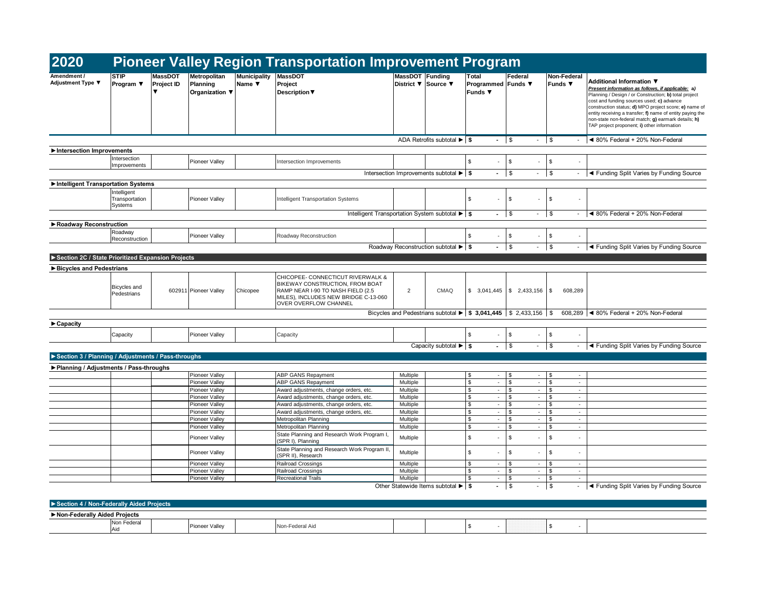| 2020                                               |                                          |                       |                                            |                                    | <b>Pioneer Valley Region Transportation Improvement Program</b>                                                                                                            |                      |                                                                                |                                                                                            |                                           |                               |                                                                                                                                                                                                                                                                                                                                                                                                                 |  |  |  |  |
|----------------------------------------------------|------------------------------------------|-----------------------|--------------------------------------------|------------------------------------|----------------------------------------------------------------------------------------------------------------------------------------------------------------------------|----------------------|--------------------------------------------------------------------------------|--------------------------------------------------------------------------------------------|-------------------------------------------|-------------------------------|-----------------------------------------------------------------------------------------------------------------------------------------------------------------------------------------------------------------------------------------------------------------------------------------------------------------------------------------------------------------------------------------------------------------|--|--|--|--|
| Amendment /<br>Adjustment Type ▼                   | <b>STIP</b><br>Program $\Psi$            | MassDOT<br>Project ID | Metropolitan<br>Planning<br>Organization ▼ | <b>Municipality</b><br>Name $\Psi$ | <b>MassDOT</b><br>Project<br>Description $\nabla$                                                                                                                          | MassDOT Funding      | District ▼ Source ▼                                                            | Total<br>Programmed Funds ▼<br><b>Funds</b> ▼                                              | Federal                                   | Non-Federal<br><b>Funds</b> ▼ | Additional Information ▼<br>Present information as follows, if applicable; a)<br>Planning / Design / or Construction; b) total project<br>cost and funding sources used; c) advance<br>construction status; d) MPO project score; e) name of<br>entity receiving a transfer; f) name of entity paying the<br>non-state non-federal match; g) earmark details; h)<br>TAP project proponent; i) other information |  |  |  |  |
|                                                    |                                          |                       |                                            |                                    |                                                                                                                                                                            |                      | ADA Retrofits subtotal ▶ S                                                     | $ \sqrt{s}$                                                                                |                                           |                               | ◀ 80% Federal + 20% Non-Federal                                                                                                                                                                                                                                                                                                                                                                                 |  |  |  |  |
| Intersection Improvements                          |                                          |                       |                                            |                                    |                                                                                                                                                                            |                      |                                                                                |                                                                                            |                                           |                               |                                                                                                                                                                                                                                                                                                                                                                                                                 |  |  |  |  |
|                                                    | Intersection<br>Improvements             |                       | <b>Pioneer Valley</b>                      |                                    | Intersection Improvements                                                                                                                                                  |                      |                                                                                | \$<br>×.                                                                                   | \$                                        | $\sqrt{2}$                    |                                                                                                                                                                                                                                                                                                                                                                                                                 |  |  |  |  |
|                                                    |                                          |                       |                                            |                                    |                                                                                                                                                                            |                      | Intersection Improvements subtotal $\blacktriangleright$ $\blacktriangleright$ | $\blacksquare$                                                                             | \$<br>$\blacksquare$                      | $\mathbb{S}$                  | ◀ Funding Split Varies by Funding Source                                                                                                                                                                                                                                                                                                                                                                        |  |  |  |  |
| Intelligent Transportation Systems                 |                                          |                       |                                            |                                    |                                                                                                                                                                            |                      |                                                                                |                                                                                            |                                           |                               |                                                                                                                                                                                                                                                                                                                                                                                                                 |  |  |  |  |
|                                                    | Intelligent<br>Transportation<br>Systems |                       | <b>Pioneer Valley</b>                      |                                    | Intelligent Transportation Systems                                                                                                                                         |                      |                                                                                | \$<br>$\overline{\phantom{a}}$                                                             | \$<br>$\overline{\phantom{a}}$            | \$                            |                                                                                                                                                                                                                                                                                                                                                                                                                 |  |  |  |  |
|                                                    |                                          |                       |                                            |                                    | Intelligent Transportation System subtotal ▶ \$                                                                                                                            |                      |                                                                                | $\sim$                                                                                     | \$<br>$\blacksquare$                      | \$                            | ◀ 80% Federal + 20% Non-Federal                                                                                                                                                                                                                                                                                                                                                                                 |  |  |  |  |
| Roadway Reconstruction                             |                                          |                       |                                            |                                    |                                                                                                                                                                            |                      |                                                                                |                                                                                            |                                           |                               |                                                                                                                                                                                                                                                                                                                                                                                                                 |  |  |  |  |
|                                                    | Roadway<br>Reconstruction                |                       | Pioneer Valley                             |                                    | Roadway Reconstruction                                                                                                                                                     |                      |                                                                                | $\mathbb{S}$<br>$\omega$                                                                   | \$                                        | \$                            |                                                                                                                                                                                                                                                                                                                                                                                                                 |  |  |  |  |
|                                                    |                                          |                       |                                            |                                    |                                                                                                                                                                            |                      | Roadway Reconstruction subtotal ▶ \$                                           | $ \sqrt{ }$                                                                                | $\blacksquare$                            | $\sqrt{3}$                    | ◀ Funding Split Varies by Funding Source                                                                                                                                                                                                                                                                                                                                                                        |  |  |  |  |
| Section 2C / State Prioritized Expansion Projects  |                                          |                       |                                            |                                    |                                                                                                                                                                            |                      |                                                                                |                                                                                            |                                           |                               |                                                                                                                                                                                                                                                                                                                                                                                                                 |  |  |  |  |
| Bicycles and Pedestrians                           |                                          |                       |                                            |                                    |                                                                                                                                                                            |                      |                                                                                |                                                                                            |                                           |                               |                                                                                                                                                                                                                                                                                                                                                                                                                 |  |  |  |  |
|                                                    | <b>Bicycles</b> and<br>Pedestrians       |                       | 602911 Pioneer Valley                      | Chicopee                           | CHICOPEE- CONNECTICUT RIVERWALK &<br>BIKEWAY CONSTRUCTION, FROM BOAT<br>RAMP NEAR I-90 TO NASH FIELD (2.5<br>MILES), INCLUDES NEW BRIDGE C-13-060<br>OVER OVERFLOW CHANNEL | $\overline{2}$       | CMAQ                                                                           |                                                                                            | $$3,041,445$ $$2,433,156$ \\$             | 608,289                       |                                                                                                                                                                                                                                                                                                                                                                                                                 |  |  |  |  |
|                                                    |                                          |                       |                                            |                                    |                                                                                                                                                                            |                      |                                                                                | Bicycles and Pedestrians subtotal $\blacktriangleright$   \$ 3,041,445   \$ 2,433,156   \$ |                                           |                               | 608,289 <4 80% Federal + 20% Non-Federal                                                                                                                                                                                                                                                                                                                                                                        |  |  |  |  |
| ▶ Capacity                                         |                                          |                       |                                            |                                    |                                                                                                                                                                            |                      |                                                                                |                                                                                            |                                           |                               |                                                                                                                                                                                                                                                                                                                                                                                                                 |  |  |  |  |
|                                                    | Capacity                                 |                       | <b>Pioneer Valley</b>                      |                                    | Capacity                                                                                                                                                                   |                      |                                                                                | \$<br>×.                                                                                   | \$                                        | \$                            |                                                                                                                                                                                                                                                                                                                                                                                                                 |  |  |  |  |
|                                                    |                                          |                       |                                            |                                    |                                                                                                                                                                            |                      | Capacity subtotal $\blacktriangleright$ \$                                     | $\blacksquare$                                                                             | $\mathfrak s$<br>$\overline{\phantom{a}}$ | \$                            | ◀ Funding Split Varies by Funding Source                                                                                                                                                                                                                                                                                                                                                                        |  |  |  |  |
| Section 3 / Planning / Adjustments / Pass-throughs |                                          |                       |                                            |                                    |                                                                                                                                                                            |                      |                                                                                |                                                                                            |                                           |                               |                                                                                                                                                                                                                                                                                                                                                                                                                 |  |  |  |  |
| Planning / Adjustments / Pass-throughs             |                                          |                       |                                            |                                    |                                                                                                                                                                            |                      |                                                                                |                                                                                            |                                           |                               |                                                                                                                                                                                                                                                                                                                                                                                                                 |  |  |  |  |
|                                                    |                                          |                       | Pioneer Valley                             |                                    | ABP GANS Repayment                                                                                                                                                         | Multiple             |                                                                                | \$<br>$\overline{\phantom{a}}$                                                             | \$.<br>$\overline{\phantom{a}}$           | \$<br>$\sim$                  |                                                                                                                                                                                                                                                                                                                                                                                                                 |  |  |  |  |
|                                                    |                                          |                       | Pioneer Valley                             |                                    | ABP GANS Repayment                                                                                                                                                         | Multiple             |                                                                                | \$<br>$\sim$                                                                               | s.<br>$\overline{\phantom{a}}$            | \$<br>$\sim$                  |                                                                                                                                                                                                                                                                                                                                                                                                                 |  |  |  |  |
|                                                    |                                          |                       | Pioneer Valley                             |                                    | Award adjustments, change orders, etc.                                                                                                                                     | Multiple             |                                                                                | \$<br>$\omega$                                                                             | \$<br>$\mathbf{r}$                        | \$<br>$\sim$                  |                                                                                                                                                                                                                                                                                                                                                                                                                 |  |  |  |  |
|                                                    |                                          |                       | Pioneer Valley                             |                                    | Award adjustments, change orders, etc.                                                                                                                                     | Multiple             |                                                                                | $\,$<br>$\sim$<br>\$<br>$\sim$                                                             | \$<br>$\overline{\phantom{a}}$<br>$\sim$  | \$<br>$\sim$<br>$\sim$        |                                                                                                                                                                                                                                                                                                                                                                                                                 |  |  |  |  |
|                                                    |                                          |                       | <b>Pioneer Valley</b><br>Pioneer Valley    |                                    | Award adjustments, change orders, etc.<br>Award adjustments, change orders, etc.                                                                                           | Multiple<br>Multiple |                                                                                | \$<br>$\omega$                                                                             | \$<br>\$<br>$\sim$                        | \$<br>\$<br>$\sim$            |                                                                                                                                                                                                                                                                                                                                                                                                                 |  |  |  |  |
|                                                    |                                          |                       | Pioneer Valley                             |                                    | Metropolitan Planning                                                                                                                                                      | Multiple             |                                                                                | \$<br>$\sim$                                                                               | S.<br>$\sim$                              | \$<br>$\mathcal{L}$           |                                                                                                                                                                                                                                                                                                                                                                                                                 |  |  |  |  |
|                                                    |                                          |                       | Pioneer Valley                             |                                    | Metropolitan Planning                                                                                                                                                      | Multiple             |                                                                                | \$<br>$\sim$                                                                               | \$<br>$\overline{\phantom{a}}$            | \$<br>$\sim$                  |                                                                                                                                                                                                                                                                                                                                                                                                                 |  |  |  |  |
|                                                    |                                          |                       | Pioneer Valley                             |                                    | State Planning and Research Work Program I,<br>(SPR I), Planning                                                                                                           | Multiple             |                                                                                | \$<br>$\overline{\phantom{a}}$                                                             | \$<br>$\overline{\phantom{a}}$            | \$<br>$\blacksquare$          |                                                                                                                                                                                                                                                                                                                                                                                                                 |  |  |  |  |
|                                                    |                                          |                       | Pioneer Valley                             |                                    | State Planning and Research Work Program II,<br>(SPR II), Research                                                                                                         | Multiple             |                                                                                | \$<br>$\omega_{\rm c}$                                                                     | \$<br>$\overline{\phantom{a}}$            | \$<br>$\blacksquare$          |                                                                                                                                                                                                                                                                                                                                                                                                                 |  |  |  |  |
|                                                    |                                          |                       | Pioneer Valley                             |                                    | Railroad Crossings                                                                                                                                                         | Multiple             |                                                                                | \$<br>$\sim$                                                                               | \$<br>$\blacksquare$                      | \$<br>$\sim$                  |                                                                                                                                                                                                                                                                                                                                                                                                                 |  |  |  |  |
|                                                    |                                          |                       | <b>Pioneer Valley</b>                      |                                    | Railroad Crossings                                                                                                                                                         | Multiple             |                                                                                | \$<br>$\sim$                                                                               | $\overline{\phantom{a}}$<br>\$            | \$<br>$\sim$                  |                                                                                                                                                                                                                                                                                                                                                                                                                 |  |  |  |  |
|                                                    |                                          |                       | Pioneer Valley                             |                                    | <b>Recreational Trails</b>                                                                                                                                                 | Multiple             |                                                                                | $\mathfrak s$<br>$\omega$                                                                  | \$<br>$\mathcal{L}$                       | \$<br>$\omega$                |                                                                                                                                                                                                                                                                                                                                                                                                                 |  |  |  |  |
|                                                    |                                          |                       |                                            |                                    |                                                                                                                                                                            |                      | Other Statewide Items subtotal ▶ \$                                            | $\sim$                                                                                     | \$<br>$\overline{\phantom{a}}$            | $\sqrt{3}$                    | ◀ Funding Split Varies by Funding Source                                                                                                                                                                                                                                                                                                                                                                        |  |  |  |  |
| Section 4 / Non-Federally Aided Projects           |                                          |                       |                                            |                                    |                                                                                                                                                                            |                      |                                                                                |                                                                                            |                                           |                               |                                                                                                                                                                                                                                                                                                                                                                                                                 |  |  |  |  |
| Non-Federally Aided Projects                       |                                          |                       |                                            |                                    |                                                                                                                                                                            |                      |                                                                                |                                                                                            |                                           |                               |                                                                                                                                                                                                                                                                                                                                                                                                                 |  |  |  |  |
|                                                    | Non Federal                              |                       |                                            |                                    |                                                                                                                                                                            |                      |                                                                                |                                                                                            |                                           |                               |                                                                                                                                                                                                                                                                                                                                                                                                                 |  |  |  |  |

-volume and the prioneer Valley Non-Federal Aid the set of the set of the set of the set of the set of the set o<br>Aid the set of the set of the set of the set of the set of the set of the set of the set of the set of the se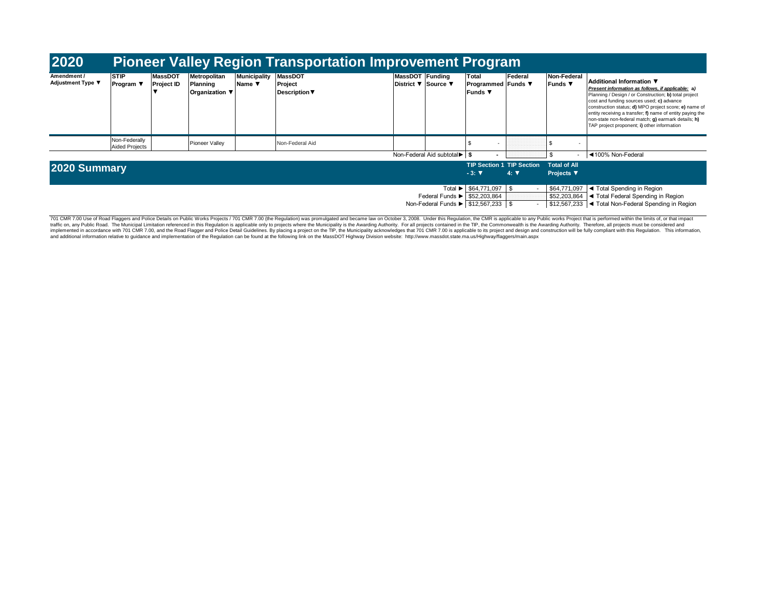| 2020                                                                                    |                                 |                                     |                                                   |                               | <b>Pioneer Valley Region Transportation Improvement Program</b> |                                        |                              |                                                    |             |                                                      |                                                                                                                                                                                                                                                                                                                                                                                                                        |
|-----------------------------------------------------------------------------------------|---------------------------------|-------------------------------------|---------------------------------------------------|-------------------------------|-----------------------------------------------------------------|----------------------------------------|------------------------------|----------------------------------------------------|-------------|------------------------------------------------------|------------------------------------------------------------------------------------------------------------------------------------------------------------------------------------------------------------------------------------------------------------------------------------------------------------------------------------------------------------------------------------------------------------------------|
| Amendment /<br>Adjustment Type ▼                                                        | <b>STIP</b><br>Program $\Psi$   | <b>MassDOT</b><br><b>Project ID</b> | Metropolitan<br>Planning<br><b>Organization</b> ▼ | <b>Municipality</b><br>Name ▼ | <b>MassDOT</b><br>Project<br><b>Description</b> ▼               | MassDOT Funding<br>District ▼ Source ▼ |                              | Total<br>  Programmed   Funds ▼<br>lFunds ▼        | Federal     | Non-Federal<br>Funds ▼                               | Additional Information ▼<br>Present information as follows, if applicable: a)<br>Planning / Design / or Construction; b) total project<br>cost and funding sources used; c) advance<br>construction status; d) MPO project score; e) name of<br>entity receiving a transfer; f) name of entity paying the<br>non-state non-federal match; <b>g)</b> earmark details; h)<br>TAP project proponent; i) other information |
|                                                                                         | Non-Federally<br>Aided Projects |                                     | Pioneer Valley                                    |                               | Non-Federal Aid                                                 |                                        |                              |                                                    |             |                                                      |                                                                                                                                                                                                                                                                                                                                                                                                                        |
|                                                                                         |                                 |                                     |                                                   |                               |                                                                 |                                        | Non-Federal Aid subtotal ► S |                                                    |             |                                                      | ◀100% Non-Federal                                                                                                                                                                                                                                                                                                                                                                                                      |
| 2020 Summary                                                                            |                                 |                                     |                                                   |                               |                                                                 |                                        |                              | <b>TIP Section 1 TIP Section</b><br>$-3:$ $\nabla$ | $4: \nabla$ | <b>Total of All</b><br>Projects $\blacktriangledown$ |                                                                                                                                                                                                                                                                                                                                                                                                                        |
| Federal Funds $\blacktriangleright$ \$52,203,864<br>Non-Federal Funds ▶ \$12,567,233 \$ |                                 |                                     |                                                   |                               |                                                                 |                                        |                              | Total ▶ \$64,771,097 \$                            |             | \$64,771,097<br>\$52,203,864<br>\$12,567,233         | ◀ Total Spending in Region<br>I ◀ Total Federal Spending in Region<br>I < Total Non-Federal Spending in Region                                                                                                                                                                                                                                                                                                         |

701 CMR 7.00 Use of Road Flaggers and Police Details on Public Works Projects / 701 CMR 7.00 (the Regulation) was promulgated and became law on October 3, 2008. Under this Regulation, the CMR is applicable to any Public wo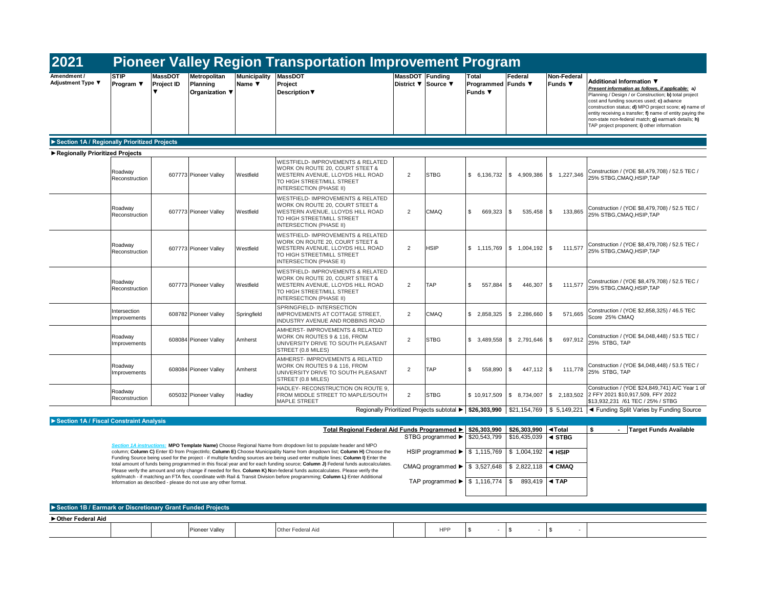| 2021                                         |                              |                                                       |                                            |                               | <b>Pioneer Valley Region Transportation Improvement Program</b>                                                                                                              |                 |                     |                                                                                   |                                         |                               |                                                                                                                                                                                                                                                                                                                                                                                                                 |
|----------------------------------------------|------------------------------|-------------------------------------------------------|--------------------------------------------|-------------------------------|------------------------------------------------------------------------------------------------------------------------------------------------------------------------------|-----------------|---------------------|-----------------------------------------------------------------------------------|-----------------------------------------|-------------------------------|-----------------------------------------------------------------------------------------------------------------------------------------------------------------------------------------------------------------------------------------------------------------------------------------------------------------------------------------------------------------------------------------------------------------|
| Amendment /<br><b>Adjustment Type ▼</b>      | <b>STIP</b><br>Program ▼     | <b>MassDOT</b><br><b>Project ID</b><br>$\blacksquare$ | Metropolitan<br>Planning<br>Organization ▼ | <b>Municipality</b><br>Name ▼ | <b>MassDOT</b><br>Project<br><b>Description ▼</b>                                                                                                                            | MassDOT Funding | District ▼ Source ▼ | Total<br>Programmed Funds ▼<br><b>Funds</b> ▼                                     | Federal                                 | Non-Federal<br><b>Funds ▼</b> | Additional Information ▼<br>Present information as follows, if applicable; a)<br>Planning / Design / or Construction; b) total project<br>cost and funding sources used; c) advance<br>construction status; d) MPO project score; e) name of<br>entity receiving a transfer; f) name of entity paying the<br>non-state non-federal match; g) earmark details; h)<br>TAP project proponent; i) other information |
| Section 1A / Regionally Prioritized Projects |                              |                                                       |                                            |                               |                                                                                                                                                                              |                 |                     |                                                                                   |                                         |                               |                                                                                                                                                                                                                                                                                                                                                                                                                 |
| Regionally Prioritized Projects              |                              |                                                       |                                            |                               |                                                                                                                                                                              |                 |                     |                                                                                   |                                         |                               |                                                                                                                                                                                                                                                                                                                                                                                                                 |
|                                              | Roadway<br>Reconstruction    |                                                       | 607773 Pioneer Valley                      | Westfield                     | <b>WESTFIELD- IMPROVEMENTS &amp; RELATED</b><br>WORK ON ROUTE 20, COURT STEET &<br>WESTERN AVENUE, LLOYDS HILL ROAD<br>TO HIGH STREET/MILL STREET<br>INTERSECTION (PHASE II) | 2               | <b>STBG</b>         | \$6,136,732                                                                       | \$4,909,386                             | \$1,227,346                   | Construction / (YOE \$8,479,708) / 52.5 TEC /<br>25% STBG.CMAQ.HSIP.TAP                                                                                                                                                                                                                                                                                                                                         |
|                                              | Roadway<br>Reconstruction    |                                                       | 607773 Pioneer Valley                      | Westfield                     | <b>WESTFIELD- IMPROVEMENTS &amp; RELATED</b><br>WORK ON ROUTE 20, COURT STEET &<br>WESTERN AVENUE, LLOYDS HILL ROAD<br>TO HIGH STREET/MILL STREET<br>INTERSECTION (PHASE II) | $\overline{2}$  | CMAQ                | \$<br>669,323                                                                     | $535,458$ \$<br><b>S</b>                | 133,865                       | Construction / (YOE \$8,479,708) / 52.5 TEC /<br>25% STBG, CMAQ, HSIP, TAP                                                                                                                                                                                                                                                                                                                                      |
|                                              | Roadwav<br>Reconstruction    |                                                       | 607773 Pioneer Valley                      | Westfield                     | <b>WESTFIELD- IMPROVEMENTS &amp; RELATED</b><br>WORK ON ROUTE 20, COURT STEET &<br>WESTERN AVENUE, LLOYDS HILL ROAD<br>TO HIGH STREET/MILL STREET<br>INTERSECTION (PHASE II) | $\overline{2}$  | <b>HSIP</b>         |                                                                                   | $$1,115,769$ $$1,004,192$ $$$           | 111,577                       | Construction / (YOE \$8,479,708) / 52.5 TEC /<br>25% STBG.CMAQ.HSIP.TAP                                                                                                                                                                                                                                                                                                                                         |
|                                              | Roadway<br>Reconstruction    |                                                       | 607773 Pioneer Valley                      | Westfield                     | <b>WESTFIELD- IMPROVEMENTS &amp; RELATED</b><br>WORK ON ROUTE 20, COURT STEET &<br>WESTERN AVENUE, LLOYDS HILL ROAD<br>TO HIGH STREET/MILL STREET<br>INTERSECTION (PHASE II) | 2               | <b>TAP</b>          | \$.<br>557,884                                                                    | S.<br>446,307                           | $\sqrt{3}$<br>111,577         | Construction / (YOE \$8,479,708) / 52.5 TEC /<br>25% STBG, CMAQ, HSIP, TAP                                                                                                                                                                                                                                                                                                                                      |
|                                              | Intersection<br>Improvements |                                                       | 608782 Pioneer Valley                      | Springfield                   | SPRINGFIELD-INTERSECTION<br>IMPROVEMENTS AT COTTAGE STREET.<br>INDUSTRY AVENUE AND ROBBINS ROAD                                                                              | $\overline{2}$  | CMAQ                | \$2,858,325                                                                       | \$2,286,660                             | \$<br>571,665                 | Construction / (YOE \$2,858,325) / 46.5 TEC<br>Score 25% CMAQ                                                                                                                                                                                                                                                                                                                                                   |
|                                              | Roadway<br>Improvements      |                                                       | 608084 Pioneer Valley                      | Amherst                       | AMHERST- IMPROVEMENTS & RELATED<br>WORK ON ROUTES 9 & 116, FROM<br>UNIVERSITY DRIVE TO SOUTH PLEASANT<br>STREET (0.8 MILES)                                                  | 2               | <b>STBG</b>         | \$ 3.489,558                                                                      | \$ 2.791.646                            | $\mathbf{s}$<br>697,912       | Construction / (YOE \$4,048,448) / 53.5 TEC /<br>25% STBG, TAP                                                                                                                                                                                                                                                                                                                                                  |
|                                              | Roadway<br>Improvements      |                                                       | 608084 Pioneer Valley                      | Amherst                       | AMHERST- IMPROVEMENTS & RELATED<br>WORK ON ROUTES 9 & 116, FROM<br>UNIVERSITY DRIVE TO SOUTH PLEASANT<br>STREET (0.8 MILES)                                                  | $\overline{2}$  | <b>TAP</b>          | \$<br>558,890                                                                     | $447,112$ \$<br><b>S</b>                | 111,778                       | Construction / (YOE \$4,048,448) / 53.5 TEC /<br>25% STBG. TAP                                                                                                                                                                                                                                                                                                                                                  |
|                                              | Roadway<br>Reconstruction    |                                                       | 605032 Pioneer Valley                      | Hadley                        | HADLEY- RECONSTRUCTION ON ROUTE 9,<br>FROM MIDDLE STREET TO MAPLE/SOUTH<br><b>MAPLE STREET</b>                                                                               | $\overline{2}$  | <b>STBG</b>         |                                                                                   | $$10,917,509$ $$8,734,007$ $$2,183,502$ |                               | Construction / (YOE \$24,849,741) A/C Year 1 of<br>2 FFY 2021 \$10,917,509, FFY 2022<br>\$13,932,231 /61 TEC / 25% / STBG                                                                                                                                                                                                                                                                                       |
|                                              |                              |                                                       |                                            |                               |                                                                                                                                                                              |                 |                     | Regionally Prioritized Projects subtotal ▶ \$26,303,990 \$21,154,769 \$ 5,149,221 |                                         |                               | ◀ Funding Split Varies by Funding Source                                                                                                                                                                                                                                                                                                                                                                        |
| Section 1A / Fiscal Constraint Analysis      |                              |                                                       |                                            |                               |                                                                                                                                                                              |                 |                     |                                                                                   |                                         |                               |                                                                                                                                                                                                                                                                                                                                                                                                                 |

|                                                                                                                                                                                                                                                                                                                                                                                       | _Total Regional Federal Aid Funds Programmed ▶ S26.303.990 I S26.303.990 I ◀Total |                            |  | Target Funds Available |
|---------------------------------------------------------------------------------------------------------------------------------------------------------------------------------------------------------------------------------------------------------------------------------------------------------------------------------------------------------------------------------------|-----------------------------------------------------------------------------------|----------------------------|--|------------------------|
|                                                                                                                                                                                                                                                                                                                                                                                       | STBG programmed $\blacktriangleright$ \$20,543,799 \$16,435,039 4 STBG            |                            |  |                        |
| . MPO Template Name) Choose Regional Name from dropdown list to populate header and MPO<br><b>Section 1A instruct</b><br>column; Column C) Enter ID from ProjectInfo; Column E) Choose Municipality Name from dropdown list; Column H) Choose the<br>Funding Source being used for the project - if multiple funding sources are being used enter multiple lines; Column I) Enter the | HSIP programmed ▶   \$ 1,115,769   \$ 1,004,192   ◀ HSIP                          |                            |  |                        |
| total amount of funds being programmed in this fiscal year and for each funding source; Column J) Federal funds autocalculates.<br>Please verify the amount and only change if needed for flex. Column K) Non-federal funds autocalculates. Please verify the                                                                                                                         | CMAQ programmed $\blacktriangleright$ \$ 3,527,648 \\$ 2,822,118 \\ CMAQ          |                            |  |                        |
| split/match - if matching an FTA flex, coordinate with Rail & Transit Division before programming; Column L) Enter Additional<br>Information as described - please do not use any other format.                                                                                                                                                                                       | TAP programmed $\blacktriangleright$ $\mid$ \$ 1,116,774 $\mid$ \$                | 893.419 $\blacksquare$ TAP |  |                        |
|                                                                                                                                                                                                                                                                                                                                                                                       |                                                                                   |                            |  |                        |

| Section 1B / Earmark or Discretionary Grant Funded Projects |                    |  |                    |  |     |  |  |  |  |  |  |  |  |  |
|-------------------------------------------------------------|--------------------|--|--------------------|--|-----|--|--|--|--|--|--|--|--|--|
| ▶ Other Federal Aid                                         |                    |  |                    |  |     |  |  |  |  |  |  |  |  |  |
|                                                             | H<br>Ploneer valle |  | <b>Federal Aid</b> |  | HPP |  |  |  |  |  |  |  |  |  |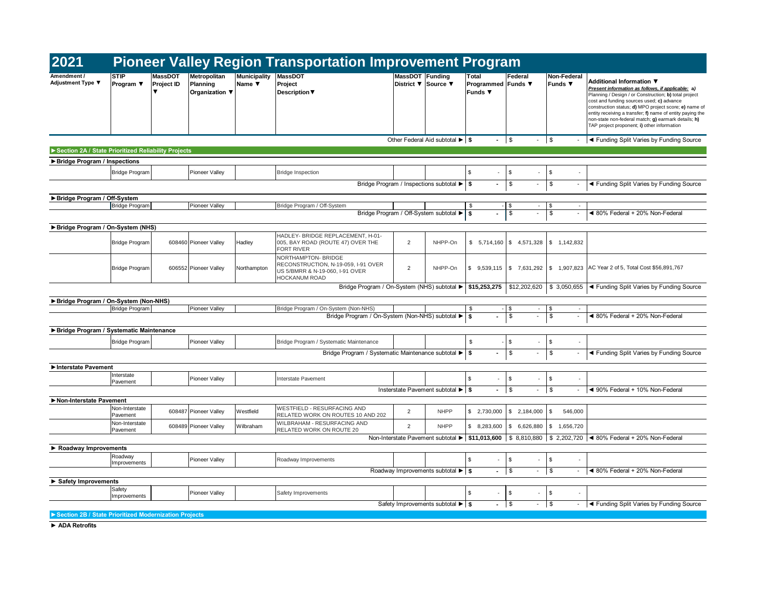| 2021                                                  |                            |                       |                                            |                               |                                                                                                                       | <b>Pioneer Valley Region Transportation Improvement Program</b> |                                         |                                             |                                |                                |                                                                                                                                                                                                                                                                                                                                                                                                                 |  |  |
|-------------------------------------------------------|----------------------------|-----------------------|--------------------------------------------|-------------------------------|-----------------------------------------------------------------------------------------------------------------------|-----------------------------------------------------------------|-----------------------------------------|---------------------------------------------|--------------------------------|--------------------------------|-----------------------------------------------------------------------------------------------------------------------------------------------------------------------------------------------------------------------------------------------------------------------------------------------------------------------------------------------------------------------------------------------------------------|--|--|
| Amendment /<br>Adjustment Type ▼                      | <b>STIP</b><br>Program ▼   | MassDOT<br>Project ID | Metropolitan<br>Planning<br>Organization ▼ | <b>Municipality</b><br>Name ▼ | <b>MassDOT</b><br>Project<br><b>Description ▼</b>                                                                     | MassDOT Funding<br>District <b>▼</b> Source ▼                   |                                         | Total<br>Programmed Funds ▼<br>Funds $\Psi$ | Federal                        | Non-Federal<br><b>Funds ▼</b>  | Additional Information ▼<br>Present information as follows, if applicable: a)<br>Planning / Design / or Construction; b) total project<br>cost and funding sources used; c) advance<br>construction status; d) MPO project score; e) name of<br>entity receiving a transfer; f) name of entity paying the<br>non-state non-federal match; g) earmark details; h)<br>TAP project proponent; i) other information |  |  |
|                                                       |                            |                       |                                            |                               |                                                                                                                       |                                                                 | Other Federal Aid subtotal ▶ S          | $\blacksquare$                              | $\sqrt{3}$<br>$-$ \$           |                                | ◀ Funding Split Varies by Funding Source                                                                                                                                                                                                                                                                                                                                                                        |  |  |
| Section 2A / State Prioritized Reliability Projects   |                            |                       |                                            |                               |                                                                                                                       |                                                                 |                                         |                                             |                                |                                |                                                                                                                                                                                                                                                                                                                                                                                                                 |  |  |
| ▶ Bridge Program / Inspections                        |                            |                       |                                            |                               |                                                                                                                       |                                                                 |                                         |                                             |                                |                                |                                                                                                                                                                                                                                                                                                                                                                                                                 |  |  |
|                                                       | <b>Bridge Program</b>      |                       | Pioneer Valley                             |                               | <b>Bridge Inspection</b>                                                                                              |                                                                 |                                         | \$                                          | \$                             | \$                             |                                                                                                                                                                                                                                                                                                                                                                                                                 |  |  |
|                                                       |                            |                       |                                            |                               |                                                                                                                       |                                                                 | Bridge Program / Inspections subtotal ▶ | \$                                          | \$                             | \$                             | ◀ Funding Split Varies by Funding Source                                                                                                                                                                                                                                                                                                                                                                        |  |  |
| ▶ Bridge Program / Off-System                         |                            |                       |                                            |                               |                                                                                                                       |                                                                 |                                         |                                             |                                |                                |                                                                                                                                                                                                                                                                                                                                                                                                                 |  |  |
|                                                       | <b>Bridge Program</b>      |                       | Pioneer Valley                             |                               | Bridge Program / Off-System                                                                                           |                                                                 | Bridge Program / Off-System subtotal ▶  | \$<br>s.                                    | \$<br>$\sim$<br>\$             | \$<br>\$<br>$\blacksquare$     | ◀ 80% Federal + 20% Non-Federal                                                                                                                                                                                                                                                                                                                                                                                 |  |  |
|                                                       |                            |                       |                                            |                               |                                                                                                                       |                                                                 |                                         |                                             |                                |                                |                                                                                                                                                                                                                                                                                                                                                                                                                 |  |  |
| Bridge Program / On-System (NHS)                      |                            |                       |                                            |                               |                                                                                                                       |                                                                 |                                         |                                             |                                |                                |                                                                                                                                                                                                                                                                                                                                                                                                                 |  |  |
|                                                       | <b>Bridge Program</b>      |                       | 608460 Pioneer Valley                      | Hadley                        | HADLEY- BRIDGE REPLACEMENT. H-01-<br>005, BAY ROAD (ROUTE 47) OVER THE<br><b>FORT RIVER</b>                           | $\overline{2}$                                                  | NHPP-On                                 | \$5,714,160                                 | \$4,571,328                    | \$ 1,142,832                   |                                                                                                                                                                                                                                                                                                                                                                                                                 |  |  |
|                                                       | <b>Bridge Program</b>      |                       | 606552 Pioneer Valley                      | Northampton                   | NORTHAMPTON- BRIDGE<br>RECONSTRUCTION, N-19-059, I-91 OVER<br>US 5/BMRR & N-19-060, I-91 OVER<br><b>HOCKANUM ROAD</b> | $\overline{2}$                                                  | NHPP-On                                 | \$9,539,115                                 | \$7,631,292                    | \$1,907,823                    | AC Year 2 of 5, Total Cost \$56,891,767                                                                                                                                                                                                                                                                                                                                                                         |  |  |
|                                                       |                            |                       |                                            |                               | Bridge Program / On-System (NHS) subtotal ▶                                                                           |                                                                 |                                         | \$15,253,275                                |                                | $$12,202,620$ $$3,050,655$     | ◀ Funding Split Varies by Funding Source                                                                                                                                                                                                                                                                                                                                                                        |  |  |
| Bridge Program / On-System (Non-NHS)                  |                            |                       |                                            |                               |                                                                                                                       |                                                                 |                                         |                                             |                                |                                |                                                                                                                                                                                                                                                                                                                                                                                                                 |  |  |
|                                                       | <b>Bridge Program</b>      |                       | <b>Pioneer Valley</b>                      |                               | Bridge Program / On-System (Non-NHS)                                                                                  |                                                                 |                                         | \$                                          | \$<br>$\sim$                   | \$<br>$\sim$                   |                                                                                                                                                                                                                                                                                                                                                                                                                 |  |  |
|                                                       |                            |                       |                                            |                               | Bridge Program / On-System (Non-NHS) subtotal ▶                                                                       |                                                                 |                                         | s.                                          | \$                             | \$<br>$\overline{\phantom{a}}$ | ◀ 80% Federal + 20% Non-Federal                                                                                                                                                                                                                                                                                                                                                                                 |  |  |
| Bridge Program / Systematic Maintenance               |                            |                       |                                            |                               |                                                                                                                       |                                                                 |                                         |                                             |                                |                                |                                                                                                                                                                                                                                                                                                                                                                                                                 |  |  |
|                                                       | <b>Bridge Program</b>      |                       | Pioneer Valley                             |                               | Bridge Program / Systematic Maintenance                                                                               |                                                                 |                                         | \$                                          | \$                             | \$                             |                                                                                                                                                                                                                                                                                                                                                                                                                 |  |  |
|                                                       |                            |                       |                                            |                               | Bridge Program / Systematic Maintenance subtotal ▶                                                                    |                                                                 |                                         | \$                                          | \$<br>$\blacksquare$           | \$<br>$\blacksquare$           | ◀ Funding Split Varies by Funding Source                                                                                                                                                                                                                                                                                                                                                                        |  |  |
| Interstate Pavement                                   |                            |                       |                                            |                               |                                                                                                                       |                                                                 |                                         |                                             |                                |                                |                                                                                                                                                                                                                                                                                                                                                                                                                 |  |  |
|                                                       | Interstate<br>Pavement     |                       | Pioneer Valley                             |                               | Interstate Pavement                                                                                                   |                                                                 |                                         | \$                                          | \$                             | \$                             |                                                                                                                                                                                                                                                                                                                                                                                                                 |  |  |
|                                                       |                            |                       |                                            |                               |                                                                                                                       |                                                                 | Insterstate Pavement subtotal ▶ \$      | $\overline{\phantom{a}}$                    | \$<br>$\overline{\phantom{a}}$ | \$<br>$\overline{\phantom{a}}$ | ◀ 90% Federal + 10% Non-Federal                                                                                                                                                                                                                                                                                                                                                                                 |  |  |
| Non-Interstate Pavement                               |                            |                       |                                            |                               |                                                                                                                       |                                                                 |                                         |                                             |                                |                                |                                                                                                                                                                                                                                                                                                                                                                                                                 |  |  |
|                                                       | Non-Interstate<br>Pavement |                       | 608487 Pioneer Valley                      | Westfield                     | <b>WESTFIELD - RESURFACING AND</b><br>RELATED WORK ON ROUTES 10 AND 202                                               | $\overline{2}$                                                  | <b>NHPP</b>                             | \$2,730,000                                 | \$2,184,000                    | \$<br>546,000                  |                                                                                                                                                                                                                                                                                                                                                                                                                 |  |  |
|                                                       | Non-Interstate<br>Pavement |                       | 608489 Pioneer Valley                      | Wilbraham                     | WILBRAHAM - RESURFACING AND<br>RELATED WORK ON ROUTE 20                                                               | $\overline{2}$                                                  | <b>NHPP</b>                             | \$8,283,600                                 | \$6,626,880                    | \$1,656,720                    |                                                                                                                                                                                                                                                                                                                                                                                                                 |  |  |
|                                                       |                            |                       |                                            |                               |                                                                                                                       |                                                                 |                                         |                                             |                                |                                | Non-Interstate Pavement subtotal ► \$11,013,600   \$ 8,810,880   \$ 2,202,720   < 80% Federal + 20% Non-Federal                                                                                                                                                                                                                                                                                                 |  |  |
| Roadway Improvements                                  |                            |                       |                                            |                               |                                                                                                                       |                                                                 |                                         |                                             |                                |                                |                                                                                                                                                                                                                                                                                                                                                                                                                 |  |  |
|                                                       | Roadway<br>Improvements    |                       | Pioneer Valley                             |                               | Roadway Improvements                                                                                                  |                                                                 |                                         | \$                                          | \$                             | \$                             |                                                                                                                                                                                                                                                                                                                                                                                                                 |  |  |
|                                                       |                            |                       |                                            |                               |                                                                                                                       |                                                                 | Roadway Improvements subtotal ▶ S       |                                             | \$<br>$\overline{\phantom{a}}$ | $\vert$ \$                     | ◀ 80% Federal + 20% Non-Federal                                                                                                                                                                                                                                                                                                                                                                                 |  |  |
| Safety Improvements                                   |                            |                       |                                            |                               |                                                                                                                       |                                                                 |                                         |                                             |                                |                                |                                                                                                                                                                                                                                                                                                                                                                                                                 |  |  |
|                                                       | Safety<br>Improvements     |                       | Pioneer Valley                             |                               | Safety Improvements                                                                                                   |                                                                 |                                         | \$<br>$\overline{\phantom{a}}$              | \$                             | \$                             |                                                                                                                                                                                                                                                                                                                                                                                                                 |  |  |
|                                                       |                            |                       |                                            |                               |                                                                                                                       |                                                                 | Safety Improvements subtotal ▶ S        |                                             | \$                             | \$                             | ◀ Funding Split Varies by Funding Source                                                                                                                                                                                                                                                                                                                                                                        |  |  |
| Section 2B / State Prioritized Modernization Projects |                            |                       |                                            |                               |                                                                                                                       |                                                                 |                                         |                                             |                                |                                |                                                                                                                                                                                                                                                                                                                                                                                                                 |  |  |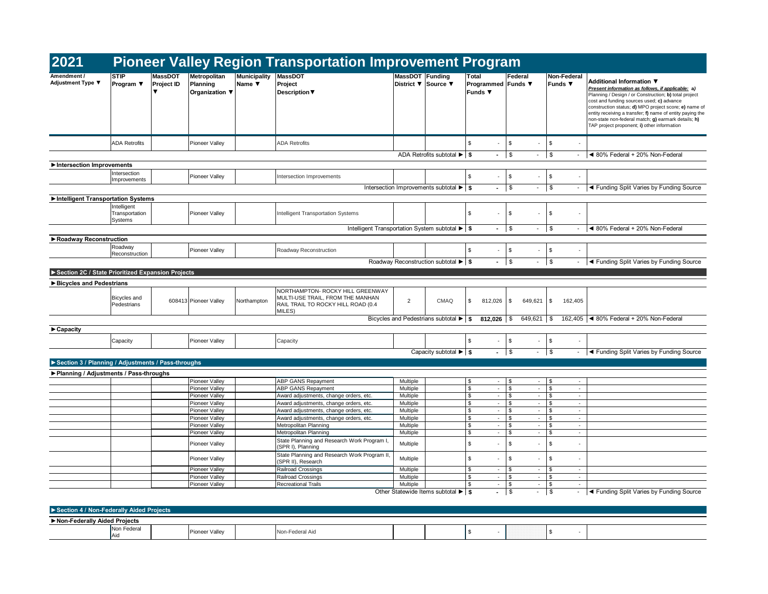| <b>STIP</b><br><b>MassDOT</b><br>MassDOT Funding<br>Total<br>MassDOT<br>Metropolitan<br><b>Municipality</b><br>Federal<br>Non-Federal<br>Additional Information ▼<br>Project ID<br>Planning<br>Name ▼<br>Project<br>District <b>▼</b> Source ▼<br><b>Funds ▼</b><br>Program $\Psi$<br>Programmed Funds ▼<br>Funds ▼<br>Organization ▼<br><b>Description</b> ▼<br>$\mathbf{\hat{s}}$<br>\$<br>\$<br><b>ADA Retrofits</b><br>Pioneer Valley<br><b>ADA Retrofits</b><br>$\sim$<br>$\mathfrak s$<br>\$<br>ADA Retrofits subtotal ▶ \$<br>$\blacksquare$<br>$\sim$<br>$\overline{\phantom{a}}$<br>Intersection<br>\$<br>Pioneer Valley<br>\$<br>\$<br>Intersection Improvements<br>$\sim$<br>Improvements<br>\$<br>\$<br>Intersection Improvements subtotal ▶ S<br>$\blacksquare$<br>$\overline{\phantom{a}}$<br>Intelligent<br>\$<br>$\mathbb{S}$<br>Transportation<br>Pioneer Valley<br>Intelligent Transportation Systems<br>\$<br>÷,<br>÷.<br>ä,<br>Systems<br>Intelligent Transportation System subtotal ▶ \$<br>\$<br>\$<br>$\blacksquare$<br>$\overline{\phantom{a}}$<br>Roadway<br>Roadway Reconstruction<br>\$<br>\$<br>\$<br>Pioneer Valley<br>$\omega$<br>$\overline{\phantom{a}}$<br>Reconstruction<br>\$<br>Roadway Reconstruction subtotal ▶ \$<br>\$<br>◀ Funding Split Varies by Funding Source<br>$\sim$<br>$\overline{\phantom{a}}$<br>NORTHAMPTON- ROCKY HILL GREENWAY<br>MULTI-USE TRAIL, FROM THE MANHAN<br>Bicycles and<br>608413 Pioneer Valley<br>2<br>CMAQ<br>\$<br>649,621<br>$\sqrt{3}$<br>162,405<br>Northampton<br>812,026<br>\$<br>RAIL TRAIL TO ROCKY HILL ROAD (0.4<br>Pedestrians<br>MILES)<br>Bicycles and Pedestrians subtotal $\blacktriangleright$ \$<br>812,026<br>\$<br>$649,621$ \$<br>162,405<br>$\mathfrak{S}$<br>\$<br>\$<br>Capacity<br><b>Pioneer Valley</b><br>Capacity<br>$-$ \$<br>$\vert$ \$<br>Capacity subtotal $\blacktriangleright$ $\blacktriangleright$ \$<br>$\mathbb{Z}^+$<br>Pioneer Valley<br>ABP GANS Repayment<br>\$<br>Multiple<br>\$<br>\$<br>$\sim$<br>$\overline{\phantom{a}}$<br>$\sim$<br>ABP GANS Repayment<br>\$<br>$\omega$<br>\$<br>$\mathcal{L}_{\mathcal{A}}$<br>\$<br>Pioneer Valley<br>Multiple<br>$\sim$<br>\$<br>Pioneer Valley<br>Award adjustments, change orders, etc.<br>Multiple<br>$\sim$<br>\$<br>\$<br>$\overline{\phantom{a}}$<br>$\sim$<br>\$<br>Pioneer Valley<br>Award adjustments, change orders, etc.<br>Multiple<br>\$<br>$\sim$<br>\$<br>$\overline{\phantom{a}}$<br>$\sim$<br>Award adjustments, change orders, etc.<br>\$<br>$\omega$<br>\$<br>\$<br>Pioneer Valley<br>Multiple<br>$\sim$<br>$\sim$<br>\$<br>$\Box$<br>\$<br>Pioneer Valley<br>Award adjustments, change orders, etc.<br>Multiple<br>\$<br>$\mathcal{L}$<br>$\sim$<br>\$<br><b>Pioneer Valley</b><br>Metropolitan Planning<br>Multiple<br>$\sim$<br>\$<br>$\blacksquare$<br>\$<br>$\sim$<br>\$<br>$\omega$<br>$\mathbb{S}$<br>\$<br>$\sim$<br>Pioneer Valley<br>Metropolitan Planning<br>Multiple<br>$\mathcal{L}$<br>State Planning and Research Work Program I,<br>\$<br>\$<br>\$<br>Pioneer Valley<br>Multiple<br>$\overline{\phantom{a}}$<br>÷.<br>(SPR I), Planning<br>State Planning and Research Work Program II,<br>\$<br>Multiple<br>\$<br>Pioneer Valley<br>\$<br>$\overline{\phantom{a}}$<br>$\overline{\phantom{a}}$<br>$\overline{\phantom{a}}$<br>(SPR II), Research<br>Pioneer Valley<br>Railroad Crossings<br>Multiple<br>$\boldsymbol{\mathsf{s}}$<br>\$<br>\$<br>$\sim$<br>$\blacksquare$<br>$\sim$<br>$\mathfrak s$<br>Pioneer Valley<br>Railroad Crossings<br>Multiple<br>$\omega$<br>S.<br>\$<br>$\sim$<br>$\overline{\phantom{a}}$<br><b>Recreational Trails</b><br>Multiple<br>\$<br>\$<br>Pioneer Valley<br>$\sim$<br>\$<br>$\overline{\phantom{a}}$<br>$\sim$<br>Other Statewide Items subtotal ▶ S<br>\$<br>\$<br>$\sim$<br>$\mathcal{L}_{\mathcal{A}}$ | 2021                             |  |  | <b>Pioneer Valley Region Transportation Improvement Program</b> |  |  |  |                                                                                                                                                                                                                                                                                                                                                                                     |
|---------------------------------------------------------------------------------------------------------------------------------------------------------------------------------------------------------------------------------------------------------------------------------------------------------------------------------------------------------------------------------------------------------------------------------------------------------------------------------------------------------------------------------------------------------------------------------------------------------------------------------------------------------------------------------------------------------------------------------------------------------------------------------------------------------------------------------------------------------------------------------------------------------------------------------------------------------------------------------------------------------------------------------------------------------------------------------------------------------------------------------------------------------------------------------------------------------------------------------------------------------------------------------------------------------------------------------------------------------------------------------------------------------------------------------------------------------------------------------------------------------------------------------------------------------------------------------------------------------------------------------------------------------------------------------------------------------------------------------------------------------------------------------------------------------------------------------------------------------------------------------------------------------------------------------------------------------------------------------------------------------------------------------------------------------------------------------------------------------------------------------------------------------------------------------------------------------------------------------------------------------------------------------------------------------------------------------------------------------------------------------------------------------------------------------------------------------------------------------------------------------------------------------------------------------------------------------------------------------------------------------------------------------------------------------------------------------------------------------------------------------------------------------------------------------------------------------------------------------------------------------------------------------------------------------------------------------------------------------------------------------------------------------------------------------------------------------------------------------------------------------------------------------------------------------------------------------------------------------------------------------------------------------------------------------------------------------------------------------------------------------------------------------------------------------------------------------------------------------------------------------------------------------------------------------------------------------------------------------------------------------------------------------------------------------------------------------------------------------------------------------------------------------------------------------------------------------------------|----------------------------------|--|--|-----------------------------------------------------------------|--|--|--|-------------------------------------------------------------------------------------------------------------------------------------------------------------------------------------------------------------------------------------------------------------------------------------------------------------------------------------------------------------------------------------|
| Intersection Improvements<br>Intelligent Transportation Systems<br>Roadway Reconstruction<br>Bicycles and Pedestrians<br>$\blacktriangleright$ Capacity<br>▶ Planning / Adjustments / Pass-throughs                                                                                                                                                                                                                                                                                                                                                                                                                                                                                                                                                                                                                                                                                                                                                                                                                                                                                                                                                                                                                                                                                                                                                                                                                                                                                                                                                                                                                                                                                                                                                                                                                                                                                                                                                                                                                                                                                                                                                                                                                                                                                                                                                                                                                                                                                                                                                                                                                                                                                                                                                                                                                                                                                                                                                                                                                                                                                                                                                                                                                                                                                                                                                                                                                                                                                                                                                                                                                                                                                                                                                                                                                                         | Amendment /<br>Adjustment Type ▼ |  |  |                                                                 |  |  |  | Present information as follows, if applicable; a)<br>Planning / Design / or Construction; b) total project<br>cost and funding sources used; c) advance<br>construction status; d) MPO project score; e) name of<br>entity receiving a transfer; f) name of entity paying the<br>non-state non-federal match; g) earmark details; h)<br>TAP project proponent; i) other information |
|                                                                                                                                                                                                                                                                                                                                                                                                                                                                                                                                                                                                                                                                                                                                                                                                                                                                                                                                                                                                                                                                                                                                                                                                                                                                                                                                                                                                                                                                                                                                                                                                                                                                                                                                                                                                                                                                                                                                                                                                                                                                                                                                                                                                                                                                                                                                                                                                                                                                                                                                                                                                                                                                                                                                                                                                                                                                                                                                                                                                                                                                                                                                                                                                                                                                                                                                                                                                                                                                                                                                                                                                                                                                                                                                                                                                                                             |                                  |  |  |                                                                 |  |  |  |                                                                                                                                                                                                                                                                                                                                                                                     |
|                                                                                                                                                                                                                                                                                                                                                                                                                                                                                                                                                                                                                                                                                                                                                                                                                                                                                                                                                                                                                                                                                                                                                                                                                                                                                                                                                                                                                                                                                                                                                                                                                                                                                                                                                                                                                                                                                                                                                                                                                                                                                                                                                                                                                                                                                                                                                                                                                                                                                                                                                                                                                                                                                                                                                                                                                                                                                                                                                                                                                                                                                                                                                                                                                                                                                                                                                                                                                                                                                                                                                                                                                                                                                                                                                                                                                                             |                                  |  |  |                                                                 |  |  |  | ◀ 80% Federal + 20% Non-Federal                                                                                                                                                                                                                                                                                                                                                     |
|                                                                                                                                                                                                                                                                                                                                                                                                                                                                                                                                                                                                                                                                                                                                                                                                                                                                                                                                                                                                                                                                                                                                                                                                                                                                                                                                                                                                                                                                                                                                                                                                                                                                                                                                                                                                                                                                                                                                                                                                                                                                                                                                                                                                                                                                                                                                                                                                                                                                                                                                                                                                                                                                                                                                                                                                                                                                                                                                                                                                                                                                                                                                                                                                                                                                                                                                                                                                                                                                                                                                                                                                                                                                                                                                                                                                                                             |                                  |  |  |                                                                 |  |  |  |                                                                                                                                                                                                                                                                                                                                                                                     |
|                                                                                                                                                                                                                                                                                                                                                                                                                                                                                                                                                                                                                                                                                                                                                                                                                                                                                                                                                                                                                                                                                                                                                                                                                                                                                                                                                                                                                                                                                                                                                                                                                                                                                                                                                                                                                                                                                                                                                                                                                                                                                                                                                                                                                                                                                                                                                                                                                                                                                                                                                                                                                                                                                                                                                                                                                                                                                                                                                                                                                                                                                                                                                                                                                                                                                                                                                                                                                                                                                                                                                                                                                                                                                                                                                                                                                                             |                                  |  |  |                                                                 |  |  |  |                                                                                                                                                                                                                                                                                                                                                                                     |
|                                                                                                                                                                                                                                                                                                                                                                                                                                                                                                                                                                                                                                                                                                                                                                                                                                                                                                                                                                                                                                                                                                                                                                                                                                                                                                                                                                                                                                                                                                                                                                                                                                                                                                                                                                                                                                                                                                                                                                                                                                                                                                                                                                                                                                                                                                                                                                                                                                                                                                                                                                                                                                                                                                                                                                                                                                                                                                                                                                                                                                                                                                                                                                                                                                                                                                                                                                                                                                                                                                                                                                                                                                                                                                                                                                                                                                             |                                  |  |  |                                                                 |  |  |  | ◀ Funding Split Varies by Funding Source                                                                                                                                                                                                                                                                                                                                            |
| Section 2C / State Prioritized Expansion Projects<br>Section 3 / Planning / Adjustments / Pass-throughs<br>Section 4 / Non-Federally Aided Projects                                                                                                                                                                                                                                                                                                                                                                                                                                                                                                                                                                                                                                                                                                                                                                                                                                                                                                                                                                                                                                                                                                                                                                                                                                                                                                                                                                                                                                                                                                                                                                                                                                                                                                                                                                                                                                                                                                                                                                                                                                                                                                                                                                                                                                                                                                                                                                                                                                                                                                                                                                                                                                                                                                                                                                                                                                                                                                                                                                                                                                                                                                                                                                                                                                                                                                                                                                                                                                                                                                                                                                                                                                                                                         |                                  |  |  |                                                                 |  |  |  |                                                                                                                                                                                                                                                                                                                                                                                     |
|                                                                                                                                                                                                                                                                                                                                                                                                                                                                                                                                                                                                                                                                                                                                                                                                                                                                                                                                                                                                                                                                                                                                                                                                                                                                                                                                                                                                                                                                                                                                                                                                                                                                                                                                                                                                                                                                                                                                                                                                                                                                                                                                                                                                                                                                                                                                                                                                                                                                                                                                                                                                                                                                                                                                                                                                                                                                                                                                                                                                                                                                                                                                                                                                                                                                                                                                                                                                                                                                                                                                                                                                                                                                                                                                                                                                                                             |                                  |  |  |                                                                 |  |  |  |                                                                                                                                                                                                                                                                                                                                                                                     |
|                                                                                                                                                                                                                                                                                                                                                                                                                                                                                                                                                                                                                                                                                                                                                                                                                                                                                                                                                                                                                                                                                                                                                                                                                                                                                                                                                                                                                                                                                                                                                                                                                                                                                                                                                                                                                                                                                                                                                                                                                                                                                                                                                                                                                                                                                                                                                                                                                                                                                                                                                                                                                                                                                                                                                                                                                                                                                                                                                                                                                                                                                                                                                                                                                                                                                                                                                                                                                                                                                                                                                                                                                                                                                                                                                                                                                                             |                                  |  |  |                                                                 |  |  |  | ◀ 80% Federal + 20% Non-Federal                                                                                                                                                                                                                                                                                                                                                     |
|                                                                                                                                                                                                                                                                                                                                                                                                                                                                                                                                                                                                                                                                                                                                                                                                                                                                                                                                                                                                                                                                                                                                                                                                                                                                                                                                                                                                                                                                                                                                                                                                                                                                                                                                                                                                                                                                                                                                                                                                                                                                                                                                                                                                                                                                                                                                                                                                                                                                                                                                                                                                                                                                                                                                                                                                                                                                                                                                                                                                                                                                                                                                                                                                                                                                                                                                                                                                                                                                                                                                                                                                                                                                                                                                                                                                                                             |                                  |  |  |                                                                 |  |  |  |                                                                                                                                                                                                                                                                                                                                                                                     |
|                                                                                                                                                                                                                                                                                                                                                                                                                                                                                                                                                                                                                                                                                                                                                                                                                                                                                                                                                                                                                                                                                                                                                                                                                                                                                                                                                                                                                                                                                                                                                                                                                                                                                                                                                                                                                                                                                                                                                                                                                                                                                                                                                                                                                                                                                                                                                                                                                                                                                                                                                                                                                                                                                                                                                                                                                                                                                                                                                                                                                                                                                                                                                                                                                                                                                                                                                                                                                                                                                                                                                                                                                                                                                                                                                                                                                                             |                                  |  |  |                                                                 |  |  |  |                                                                                                                                                                                                                                                                                                                                                                                     |
|                                                                                                                                                                                                                                                                                                                                                                                                                                                                                                                                                                                                                                                                                                                                                                                                                                                                                                                                                                                                                                                                                                                                                                                                                                                                                                                                                                                                                                                                                                                                                                                                                                                                                                                                                                                                                                                                                                                                                                                                                                                                                                                                                                                                                                                                                                                                                                                                                                                                                                                                                                                                                                                                                                                                                                                                                                                                                                                                                                                                                                                                                                                                                                                                                                                                                                                                                                                                                                                                                                                                                                                                                                                                                                                                                                                                                                             |                                  |  |  |                                                                 |  |  |  |                                                                                                                                                                                                                                                                                                                                                                                     |
|                                                                                                                                                                                                                                                                                                                                                                                                                                                                                                                                                                                                                                                                                                                                                                                                                                                                                                                                                                                                                                                                                                                                                                                                                                                                                                                                                                                                                                                                                                                                                                                                                                                                                                                                                                                                                                                                                                                                                                                                                                                                                                                                                                                                                                                                                                                                                                                                                                                                                                                                                                                                                                                                                                                                                                                                                                                                                                                                                                                                                                                                                                                                                                                                                                                                                                                                                                                                                                                                                                                                                                                                                                                                                                                                                                                                                                             |                                  |  |  |                                                                 |  |  |  |                                                                                                                                                                                                                                                                                                                                                                                     |
|                                                                                                                                                                                                                                                                                                                                                                                                                                                                                                                                                                                                                                                                                                                                                                                                                                                                                                                                                                                                                                                                                                                                                                                                                                                                                                                                                                                                                                                                                                                                                                                                                                                                                                                                                                                                                                                                                                                                                                                                                                                                                                                                                                                                                                                                                                                                                                                                                                                                                                                                                                                                                                                                                                                                                                                                                                                                                                                                                                                                                                                                                                                                                                                                                                                                                                                                                                                                                                                                                                                                                                                                                                                                                                                                                                                                                                             |                                  |  |  |                                                                 |  |  |  |                                                                                                                                                                                                                                                                                                                                                                                     |
|                                                                                                                                                                                                                                                                                                                                                                                                                                                                                                                                                                                                                                                                                                                                                                                                                                                                                                                                                                                                                                                                                                                                                                                                                                                                                                                                                                                                                                                                                                                                                                                                                                                                                                                                                                                                                                                                                                                                                                                                                                                                                                                                                                                                                                                                                                                                                                                                                                                                                                                                                                                                                                                                                                                                                                                                                                                                                                                                                                                                                                                                                                                                                                                                                                                                                                                                                                                                                                                                                                                                                                                                                                                                                                                                                                                                                                             |                                  |  |  |                                                                 |  |  |  |                                                                                                                                                                                                                                                                                                                                                                                     |
|                                                                                                                                                                                                                                                                                                                                                                                                                                                                                                                                                                                                                                                                                                                                                                                                                                                                                                                                                                                                                                                                                                                                                                                                                                                                                                                                                                                                                                                                                                                                                                                                                                                                                                                                                                                                                                                                                                                                                                                                                                                                                                                                                                                                                                                                                                                                                                                                                                                                                                                                                                                                                                                                                                                                                                                                                                                                                                                                                                                                                                                                                                                                                                                                                                                                                                                                                                                                                                                                                                                                                                                                                                                                                                                                                                                                                                             |                                  |  |  |                                                                 |  |  |  |                                                                                                                                                                                                                                                                                                                                                                                     |
|                                                                                                                                                                                                                                                                                                                                                                                                                                                                                                                                                                                                                                                                                                                                                                                                                                                                                                                                                                                                                                                                                                                                                                                                                                                                                                                                                                                                                                                                                                                                                                                                                                                                                                                                                                                                                                                                                                                                                                                                                                                                                                                                                                                                                                                                                                                                                                                                                                                                                                                                                                                                                                                                                                                                                                                                                                                                                                                                                                                                                                                                                                                                                                                                                                                                                                                                                                                                                                                                                                                                                                                                                                                                                                                                                                                                                                             |                                  |  |  |                                                                 |  |  |  | ◀ 80% Federal + 20% Non-Federal                                                                                                                                                                                                                                                                                                                                                     |
|                                                                                                                                                                                                                                                                                                                                                                                                                                                                                                                                                                                                                                                                                                                                                                                                                                                                                                                                                                                                                                                                                                                                                                                                                                                                                                                                                                                                                                                                                                                                                                                                                                                                                                                                                                                                                                                                                                                                                                                                                                                                                                                                                                                                                                                                                                                                                                                                                                                                                                                                                                                                                                                                                                                                                                                                                                                                                                                                                                                                                                                                                                                                                                                                                                                                                                                                                                                                                                                                                                                                                                                                                                                                                                                                                                                                                                             |                                  |  |  |                                                                 |  |  |  |                                                                                                                                                                                                                                                                                                                                                                                     |
|                                                                                                                                                                                                                                                                                                                                                                                                                                                                                                                                                                                                                                                                                                                                                                                                                                                                                                                                                                                                                                                                                                                                                                                                                                                                                                                                                                                                                                                                                                                                                                                                                                                                                                                                                                                                                                                                                                                                                                                                                                                                                                                                                                                                                                                                                                                                                                                                                                                                                                                                                                                                                                                                                                                                                                                                                                                                                                                                                                                                                                                                                                                                                                                                                                                                                                                                                                                                                                                                                                                                                                                                                                                                                                                                                                                                                                             |                                  |  |  |                                                                 |  |  |  |                                                                                                                                                                                                                                                                                                                                                                                     |
|                                                                                                                                                                                                                                                                                                                                                                                                                                                                                                                                                                                                                                                                                                                                                                                                                                                                                                                                                                                                                                                                                                                                                                                                                                                                                                                                                                                                                                                                                                                                                                                                                                                                                                                                                                                                                                                                                                                                                                                                                                                                                                                                                                                                                                                                                                                                                                                                                                                                                                                                                                                                                                                                                                                                                                                                                                                                                                                                                                                                                                                                                                                                                                                                                                                                                                                                                                                                                                                                                                                                                                                                                                                                                                                                                                                                                                             |                                  |  |  |                                                                 |  |  |  | - <a>I<br/> <a>I<br/> <a>I<br/> <a>I<br/> <a>I<br/> <a>I</a> <a>I</a> <a>I</a> <a>I</a> <a>I</a> <a>I</a> <a>I</a> <a>I</a> <a>I</a> <a>I</a> <a>I</a> &lt;</a> &lt;</a> &lt;</a> &lt; &lt; &lt; &lt; </a></a>                                                                                                                                                                      |
|                                                                                                                                                                                                                                                                                                                                                                                                                                                                                                                                                                                                                                                                                                                                                                                                                                                                                                                                                                                                                                                                                                                                                                                                                                                                                                                                                                                                                                                                                                                                                                                                                                                                                                                                                                                                                                                                                                                                                                                                                                                                                                                                                                                                                                                                                                                                                                                                                                                                                                                                                                                                                                                                                                                                                                                                                                                                                                                                                                                                                                                                                                                                                                                                                                                                                                                                                                                                                                                                                                                                                                                                                                                                                                                                                                                                                                             |                                  |  |  |                                                                 |  |  |  |                                                                                                                                                                                                                                                                                                                                                                                     |
|                                                                                                                                                                                                                                                                                                                                                                                                                                                                                                                                                                                                                                                                                                                                                                                                                                                                                                                                                                                                                                                                                                                                                                                                                                                                                                                                                                                                                                                                                                                                                                                                                                                                                                                                                                                                                                                                                                                                                                                                                                                                                                                                                                                                                                                                                                                                                                                                                                                                                                                                                                                                                                                                                                                                                                                                                                                                                                                                                                                                                                                                                                                                                                                                                                                                                                                                                                                                                                                                                                                                                                                                                                                                                                                                                                                                                                             |                                  |  |  |                                                                 |  |  |  |                                                                                                                                                                                                                                                                                                                                                                                     |
|                                                                                                                                                                                                                                                                                                                                                                                                                                                                                                                                                                                                                                                                                                                                                                                                                                                                                                                                                                                                                                                                                                                                                                                                                                                                                                                                                                                                                                                                                                                                                                                                                                                                                                                                                                                                                                                                                                                                                                                                                                                                                                                                                                                                                                                                                                                                                                                                                                                                                                                                                                                                                                                                                                                                                                                                                                                                                                                                                                                                                                                                                                                                                                                                                                                                                                                                                                                                                                                                                                                                                                                                                                                                                                                                                                                                                                             |                                  |  |  |                                                                 |  |  |  |                                                                                                                                                                                                                                                                                                                                                                                     |
|                                                                                                                                                                                                                                                                                                                                                                                                                                                                                                                                                                                                                                                                                                                                                                                                                                                                                                                                                                                                                                                                                                                                                                                                                                                                                                                                                                                                                                                                                                                                                                                                                                                                                                                                                                                                                                                                                                                                                                                                                                                                                                                                                                                                                                                                                                                                                                                                                                                                                                                                                                                                                                                                                                                                                                                                                                                                                                                                                                                                                                                                                                                                                                                                                                                                                                                                                                                                                                                                                                                                                                                                                                                                                                                                                                                                                                             |                                  |  |  |                                                                 |  |  |  |                                                                                                                                                                                                                                                                                                                                                                                     |
|                                                                                                                                                                                                                                                                                                                                                                                                                                                                                                                                                                                                                                                                                                                                                                                                                                                                                                                                                                                                                                                                                                                                                                                                                                                                                                                                                                                                                                                                                                                                                                                                                                                                                                                                                                                                                                                                                                                                                                                                                                                                                                                                                                                                                                                                                                                                                                                                                                                                                                                                                                                                                                                                                                                                                                                                                                                                                                                                                                                                                                                                                                                                                                                                                                                                                                                                                                                                                                                                                                                                                                                                                                                                                                                                                                                                                                             |                                  |  |  |                                                                 |  |  |  |                                                                                                                                                                                                                                                                                                                                                                                     |
|                                                                                                                                                                                                                                                                                                                                                                                                                                                                                                                                                                                                                                                                                                                                                                                                                                                                                                                                                                                                                                                                                                                                                                                                                                                                                                                                                                                                                                                                                                                                                                                                                                                                                                                                                                                                                                                                                                                                                                                                                                                                                                                                                                                                                                                                                                                                                                                                                                                                                                                                                                                                                                                                                                                                                                                                                                                                                                                                                                                                                                                                                                                                                                                                                                                                                                                                                                                                                                                                                                                                                                                                                                                                                                                                                                                                                                             |                                  |  |  |                                                                 |  |  |  |                                                                                                                                                                                                                                                                                                                                                                                     |
|                                                                                                                                                                                                                                                                                                                                                                                                                                                                                                                                                                                                                                                                                                                                                                                                                                                                                                                                                                                                                                                                                                                                                                                                                                                                                                                                                                                                                                                                                                                                                                                                                                                                                                                                                                                                                                                                                                                                                                                                                                                                                                                                                                                                                                                                                                                                                                                                                                                                                                                                                                                                                                                                                                                                                                                                                                                                                                                                                                                                                                                                                                                                                                                                                                                                                                                                                                                                                                                                                                                                                                                                                                                                                                                                                                                                                                             |                                  |  |  |                                                                 |  |  |  |                                                                                                                                                                                                                                                                                                                                                                                     |
|                                                                                                                                                                                                                                                                                                                                                                                                                                                                                                                                                                                                                                                                                                                                                                                                                                                                                                                                                                                                                                                                                                                                                                                                                                                                                                                                                                                                                                                                                                                                                                                                                                                                                                                                                                                                                                                                                                                                                                                                                                                                                                                                                                                                                                                                                                                                                                                                                                                                                                                                                                                                                                                                                                                                                                                                                                                                                                                                                                                                                                                                                                                                                                                                                                                                                                                                                                                                                                                                                                                                                                                                                                                                                                                                                                                                                                             |                                  |  |  |                                                                 |  |  |  |                                                                                                                                                                                                                                                                                                                                                                                     |
|                                                                                                                                                                                                                                                                                                                                                                                                                                                                                                                                                                                                                                                                                                                                                                                                                                                                                                                                                                                                                                                                                                                                                                                                                                                                                                                                                                                                                                                                                                                                                                                                                                                                                                                                                                                                                                                                                                                                                                                                                                                                                                                                                                                                                                                                                                                                                                                                                                                                                                                                                                                                                                                                                                                                                                                                                                                                                                                                                                                                                                                                                                                                                                                                                                                                                                                                                                                                                                                                                                                                                                                                                                                                                                                                                                                                                                             |                                  |  |  |                                                                 |  |  |  |                                                                                                                                                                                                                                                                                                                                                                                     |
|                                                                                                                                                                                                                                                                                                                                                                                                                                                                                                                                                                                                                                                                                                                                                                                                                                                                                                                                                                                                                                                                                                                                                                                                                                                                                                                                                                                                                                                                                                                                                                                                                                                                                                                                                                                                                                                                                                                                                                                                                                                                                                                                                                                                                                                                                                                                                                                                                                                                                                                                                                                                                                                                                                                                                                                                                                                                                                                                                                                                                                                                                                                                                                                                                                                                                                                                                                                                                                                                                                                                                                                                                                                                                                                                                                                                                                             |                                  |  |  |                                                                 |  |  |  |                                                                                                                                                                                                                                                                                                                                                                                     |
|                                                                                                                                                                                                                                                                                                                                                                                                                                                                                                                                                                                                                                                                                                                                                                                                                                                                                                                                                                                                                                                                                                                                                                                                                                                                                                                                                                                                                                                                                                                                                                                                                                                                                                                                                                                                                                                                                                                                                                                                                                                                                                                                                                                                                                                                                                                                                                                                                                                                                                                                                                                                                                                                                                                                                                                                                                                                                                                                                                                                                                                                                                                                                                                                                                                                                                                                                                                                                                                                                                                                                                                                                                                                                                                                                                                                                                             |                                  |  |  |                                                                 |  |  |  |                                                                                                                                                                                                                                                                                                                                                                                     |
|                                                                                                                                                                                                                                                                                                                                                                                                                                                                                                                                                                                                                                                                                                                                                                                                                                                                                                                                                                                                                                                                                                                                                                                                                                                                                                                                                                                                                                                                                                                                                                                                                                                                                                                                                                                                                                                                                                                                                                                                                                                                                                                                                                                                                                                                                                                                                                                                                                                                                                                                                                                                                                                                                                                                                                                                                                                                                                                                                                                                                                                                                                                                                                                                                                                                                                                                                                                                                                                                                                                                                                                                                                                                                                                                                                                                                                             |                                  |  |  |                                                                 |  |  |  |                                                                                                                                                                                                                                                                                                                                                                                     |
|                                                                                                                                                                                                                                                                                                                                                                                                                                                                                                                                                                                                                                                                                                                                                                                                                                                                                                                                                                                                                                                                                                                                                                                                                                                                                                                                                                                                                                                                                                                                                                                                                                                                                                                                                                                                                                                                                                                                                                                                                                                                                                                                                                                                                                                                                                                                                                                                                                                                                                                                                                                                                                                                                                                                                                                                                                                                                                                                                                                                                                                                                                                                                                                                                                                                                                                                                                                                                                                                                                                                                                                                                                                                                                                                                                                                                                             |                                  |  |  |                                                                 |  |  |  |                                                                                                                                                                                                                                                                                                                                                                                     |
|                                                                                                                                                                                                                                                                                                                                                                                                                                                                                                                                                                                                                                                                                                                                                                                                                                                                                                                                                                                                                                                                                                                                                                                                                                                                                                                                                                                                                                                                                                                                                                                                                                                                                                                                                                                                                                                                                                                                                                                                                                                                                                                                                                                                                                                                                                                                                                                                                                                                                                                                                                                                                                                                                                                                                                                                                                                                                                                                                                                                                                                                                                                                                                                                                                                                                                                                                                                                                                                                                                                                                                                                                                                                                                                                                                                                                                             |                                  |  |  |                                                                 |  |  |  |                                                                                                                                                                                                                                                                                                                                                                                     |
|                                                                                                                                                                                                                                                                                                                                                                                                                                                                                                                                                                                                                                                                                                                                                                                                                                                                                                                                                                                                                                                                                                                                                                                                                                                                                                                                                                                                                                                                                                                                                                                                                                                                                                                                                                                                                                                                                                                                                                                                                                                                                                                                                                                                                                                                                                                                                                                                                                                                                                                                                                                                                                                                                                                                                                                                                                                                                                                                                                                                                                                                                                                                                                                                                                                                                                                                                                                                                                                                                                                                                                                                                                                                                                                                                                                                                                             |                                  |  |  |                                                                 |  |  |  | ◀ Funding Split Varies by Funding Source                                                                                                                                                                                                                                                                                                                                            |
|                                                                                                                                                                                                                                                                                                                                                                                                                                                                                                                                                                                                                                                                                                                                                                                                                                                                                                                                                                                                                                                                                                                                                                                                                                                                                                                                                                                                                                                                                                                                                                                                                                                                                                                                                                                                                                                                                                                                                                                                                                                                                                                                                                                                                                                                                                                                                                                                                                                                                                                                                                                                                                                                                                                                                                                                                                                                                                                                                                                                                                                                                                                                                                                                                                                                                                                                                                                                                                                                                                                                                                                                                                                                                                                                                                                                                                             |                                  |  |  |                                                                 |  |  |  |                                                                                                                                                                                                                                                                                                                                                                                     |
|                                                                                                                                                                                                                                                                                                                                                                                                                                                                                                                                                                                                                                                                                                                                                                                                                                                                                                                                                                                                                                                                                                                                                                                                                                                                                                                                                                                                                                                                                                                                                                                                                                                                                                                                                                                                                                                                                                                                                                                                                                                                                                                                                                                                                                                                                                                                                                                                                                                                                                                                                                                                                                                                                                                                                                                                                                                                                                                                                                                                                                                                                                                                                                                                                                                                                                                                                                                                                                                                                                                                                                                                                                                                                                                                                                                                                                             |                                  |  |  |                                                                 |  |  |  |                                                                                                                                                                                                                                                                                                                                                                                     |
| Non-Federally Aided Projects                                                                                                                                                                                                                                                                                                                                                                                                                                                                                                                                                                                                                                                                                                                                                                                                                                                                                                                                                                                                                                                                                                                                                                                                                                                                                                                                                                                                                                                                                                                                                                                                                                                                                                                                                                                                                                                                                                                                                                                                                                                                                                                                                                                                                                                                                                                                                                                                                                                                                                                                                                                                                                                                                                                                                                                                                                                                                                                                                                                                                                                                                                                                                                                                                                                                                                                                                                                                                                                                                                                                                                                                                                                                                                                                                                                                                |                                  |  |  |                                                                 |  |  |  |                                                                                                                                                                                                                                                                                                                                                                                     |

Non Federal<br>Aid -volume and the prioneer Valley Non-Federal Aid the set of the set of the set of the set of the set of the set<br>Aid the set of the set of the set of the set of the set of the set of the set of the set of the set of the set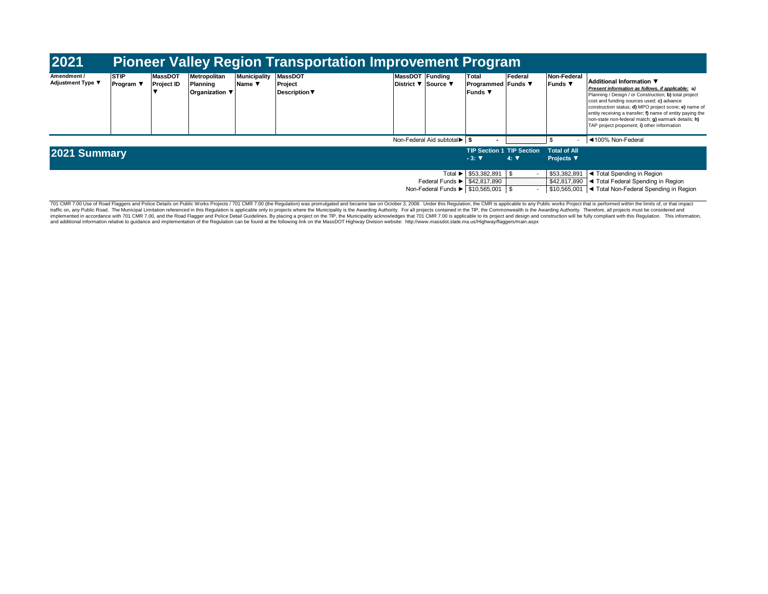| 2021                                    |                                                    |                                                                                                                                                                                                                          |  |  | <b>Pioneer Valley Region Transportation Improvement Program</b> |  |                             |                                                                                                                     |                                                    |                                      |                                                                                                                            |                                                                                                                                                                                                                                                                                                                                                                                                                 |
|-----------------------------------------|----------------------------------------------------|--------------------------------------------------------------------------------------------------------------------------------------------------------------------------------------------------------------------------|--|--|-----------------------------------------------------------------|--|-----------------------------|---------------------------------------------------------------------------------------------------------------------|----------------------------------------------------|--------------------------------------|----------------------------------------------------------------------------------------------------------------------------|-----------------------------------------------------------------------------------------------------------------------------------------------------------------------------------------------------------------------------------------------------------------------------------------------------------------------------------------------------------------------------------------------------------------|
| Amendment /<br><b>Adjustment Type ▼</b> | <b>STIP</b><br><b>Program</b> $\blacktriangledown$ | MassDOT Funding<br><b>Municipality</b><br><b>MassDOT</b><br>Metropolitan<br><b>MassDOT</b><br>Planning<br>District ▼ Source ▼<br><b>Project ID</b><br>Project<br>Name ▼<br><b>Description</b> ▼<br><b>Organization</b> ▼ |  |  |                                                                 |  |                             |                                                                                                                     |                                                    | Federal<br><b>Programmed</b> Funds ▼ | Non-Federal<br><b>Funds ▼</b>                                                                                              | Additional Information ▼<br>Present information as follows, if applicable; a)<br>Planning / Design / or Construction; b) total project<br>cost and funding sources used; c) advance<br>construction status; d) MPO project score; e) name of<br>entity receiving a transfer; f) name of entity paying the<br>non-state non-federal match; g) earmark details; h)<br>TAP project proponent; i) other information |
|                                         |                                                    |                                                                                                                                                                                                                          |  |  |                                                                 |  |                             | Non-Federal Aid subtotal ▶ S                                                                                        |                                                    |                                      |                                                                                                                            | ◀100% Non-Federal                                                                                                                                                                                                                                                                                                                                                                                               |
| 2021 Summary                            |                                                    |                                                                                                                                                                                                                          |  |  |                                                                 |  |                             |                                                                                                                     | <b>TIP Section 1 TIP Section</b><br>$-3:$ $\nabla$ | $4: \nabla$                          | <b>Total of All</b><br><b>Projects</b> ▼                                                                                   |                                                                                                                                                                                                                                                                                                                                                                                                                 |
|                                         |                                                    |                                                                                                                                                                                                                          |  |  |                                                                 |  | Total $\blacktriangleright$ | $$53.382.891$ \\$<br>Federal Funds $\blacktriangleright$ $\mid$ \$42.817.890<br>Non-Federal Funds ▶ \$10,565,001 \$ |                                                    | \$53,382,891<br>\$42,817,890         | ◀ Total Spending in Region<br>I ◀ Total Federal Spending in Region<br>\$10,565,001  ◀ Total Non-Federal Spending in Region |                                                                                                                                                                                                                                                                                                                                                                                                                 |

701 CMR 7.00 Use of Road Flaggers and Police Details on Public Works Projects / 701 CMR 7.00 (the Regulation) was promulgated and became law on October 3, 2008. Under this Regulation, the CMR is applicable to any Public wo implemented in accordance with 701 CMR 7.00, and the Road Flagger and Police Detail Guidelines. By placing a project on the TIP, the Municipality acknowledges that 701 CMR 7.00 is applicable to its project and design and c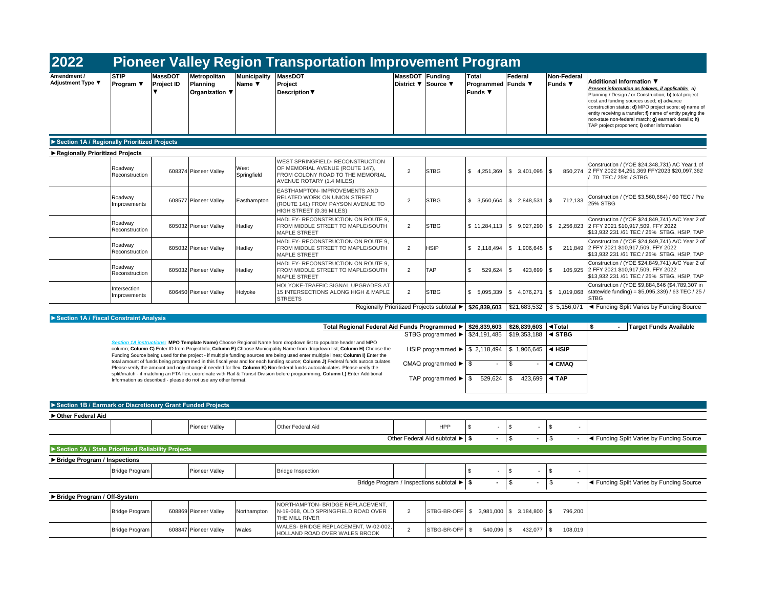| 2022                                                |                                 |                                                                            |                               | <b>Pioneer Valley Region Transportation Improvement Program</b>                                                                                                                                                                                               |                 |                                                                                         |                                               |                                   |                                           |                                                                                                                                                                                                                                                                                                                                                                                                                 |
|-----------------------------------------------------|---------------------------------|----------------------------------------------------------------------------|-------------------------------|---------------------------------------------------------------------------------------------------------------------------------------------------------------------------------------------------------------------------------------------------------------|-----------------|-----------------------------------------------------------------------------------------|-----------------------------------------------|-----------------------------------|-------------------------------------------|-----------------------------------------------------------------------------------------------------------------------------------------------------------------------------------------------------------------------------------------------------------------------------------------------------------------------------------------------------------------------------------------------------------------|
| Adjustment Type ▼                                   | <b>STIP</b><br>Program $\Psi$   | Metropolitan<br><b>MassDOT</b><br>Project ID<br>Planning<br>Organization ▼ | <b>Municipality</b><br>Name ▼ | <b>MassDOT</b><br>Project<br><b>Description</b> ▼                                                                                                                                                                                                             | MassDOT Funding | District ▼ Source ▼                                                                     | Total<br>Programmed Funds ▼<br><b>Funds ▼</b> | Federal                           | Non-Federal<br>Funds $\blacktriangledown$ | Additional Information ▼<br>Present information as follows, if applicable: a)<br>Planning / Design / or Construction; b) total project<br>cost and funding sources used; c) advance<br>construction status; d) MPO project score; e) name of<br>entity receiving a transfer; f) name of entity paying the<br>non-state non-federal match; g) earmark details; h)<br>TAP project proponent; i) other information |
| Section 1A / Regionally Prioritized Projects        |                                 |                                                                            |                               |                                                                                                                                                                                                                                                               |                 |                                                                                         |                                               |                                   |                                           |                                                                                                                                                                                                                                                                                                                                                                                                                 |
| Regionally Prioritized Projects                     |                                 |                                                                            |                               |                                                                                                                                                                                                                                                               |                 |                                                                                         |                                               |                                   |                                           |                                                                                                                                                                                                                                                                                                                                                                                                                 |
|                                                     | Roadway<br>Reconstruction       | 608374 Pioneer Valley                                                      | West<br>Springfield           | WEST SPRINGFIELD- RECONSTRUCTION<br>OF MEMORIAL AVENUE (ROUTE 147),<br>FROM COLONY ROAD TO THE MEMORIAL<br>AVENUE ROTARY (1.4 MILES)                                                                                                                          | $\overline{2}$  | <b>STBG</b>                                                                             | \$4,251,369                                   | \$3,401,095                       | \$<br>850,274                             | Construction / (YOE \$24,348,731) AC Year 1 of<br>2 FFY 2022 \$4,251,369 FFY2023 \$20,097,362<br>70 TEC / 25% / STBG                                                                                                                                                                                                                                                                                            |
|                                                     | Roadway<br>Improvements         | 608577 Pioneer Valley                                                      | Easthampton                   | EASTHAMPTON- IMPROVEMENTS AND<br>RELATED WORK ON UNION STREET<br>(ROUTE 141) FROM PAYSON AVENUE TO<br>HIGH STREET (0.36 MILES)                                                                                                                                | $\overline{2}$  | <b>STBG</b>                                                                             | \$3,560,664                                   | \$2,848,531                       | \$<br>712,133                             | Construction / (YOE \$3,560,664) / 60 TEC / Pre<br><b>25% STBG</b>                                                                                                                                                                                                                                                                                                                                              |
|                                                     | Roadway<br>Reconstruction       | 605032 Pioneer Valley                                                      | Hadley                        | HADLEY- RECONSTRUCTION ON ROUTE 9,<br>FROM MIDDLE STREET TO MAPLE/SOUTH<br><b>MAPLE STREET</b>                                                                                                                                                                | $\overline{2}$  | <b>STBG</b>                                                                             |                                               | $$11,284,113$ $$9,027,290$        | \$2,256,823                               | Construction / (YOE \$24,849,741) A/C Year 2 of<br>2 FFY 2021 \$10,917,509, FFY 2022<br>\$13,932,231 /61 TEC / 25% STBG, HSIP, TAP                                                                                                                                                                                                                                                                              |
|                                                     | Roadway<br>Reconstruction       | 605032 Pioneer Valley                                                      | Hadley                        | HADLEY- RECONSTRUCTION ON ROUTE 9,<br>FROM MIDDLE STREET TO MAPLE/SOUTH<br><b>MAPLE STREET</b>                                                                                                                                                                | 2               | <b>HSIP</b>                                                                             | \$2,118,494                                   | \$1,906,645                       | \$<br>211.849                             | Construction / (YOE \$24,849,741) A/C Year 2 of<br>2 FFY 2021 \$10,917,509, FFY 2022<br>\$13,932,231 /61 TEC / 25% STBG, HSIP, TAP                                                                                                                                                                                                                                                                              |
|                                                     | Roadway<br>Reconstruction       | 605032 Pioneer Valley                                                      | Hadley                        | HADLEY- RECONSTRUCTION ON ROUTE 9,<br>FROM MIDDLE STREET TO MAPLE/SOUTH<br><b>MAPLE STREET</b>                                                                                                                                                                | $\overline{2}$  | <b>TAP</b>                                                                              | $\mathbf{s}$<br>529,624                       | \$<br>423,699                     | \$<br>105.925                             | Construction / (YOE \$24,849,741) A/C Year 2 of<br>2 FFY 2021 \$10.917.509. FFY 2022<br>\$13,932,231 /61 TEC / 25% STBG, HSIP, TAP                                                                                                                                                                                                                                                                              |
|                                                     | Intersection<br>Improvements    | 606450 Pioneer Valley                                                      | Holyoke                       | HOLYOKE-TRAFFIC SIGNAL UPGRADES AT<br>15 INTERSECTIONS ALONG HIGH & MAPLE<br><b>STREETS</b>                                                                                                                                                                   | $\overline{2}$  | <b>STBG</b>                                                                             | \$ 5,095,339                                  | \$4,076,271                       | \$1,019,068                               | Construction / (YOE \$9,884,646 (\$4,789,307 in<br>statewide funding) = \$5,095,339) / 63 TEC / 25,<br>STBG                                                                                                                                                                                                                                                                                                     |
|                                                     |                                 |                                                                            |                               |                                                                                                                                                                                                                                                               |                 | Regionally Prioritized Projects subtotal ▶   \$26.839.603   \$21,683,532   \$ 5,156,071 |                                               |                                   |                                           | ◀ Funding Split Varies by Funding Source                                                                                                                                                                                                                                                                                                                                                                        |
| Section 1A / Fiscal Constraint Analysis             |                                 |                                                                            |                               | Total Regional Federal Aid Funds Programmed ▶                                                                                                                                                                                                                 |                 |                                                                                         | $$26,839,603$ $$26,839,603$                   |                                   | ◀Total                                    | s.<br>- Target Funds Available                                                                                                                                                                                                                                                                                                                                                                                  |
|                                                     | <b>Section 1A instructions:</b> |                                                                            |                               | MPO Template Name) Choose Regional Name from dropdown list to populate header and MPO                                                                                                                                                                         |                 | STBG programmed ▶                                                                       | \$24,191,485                                  | \$19,353,188                      | $\triangleleft$ STBG                      |                                                                                                                                                                                                                                                                                                                                                                                                                 |
|                                                     |                                 |                                                                            |                               | column; Column C) Enter ID from ProjectInfo; Column E) Choose Municipality Name from dropdown list; Column H) Choose the<br>Funding Source being used for the project - if multiple funding sources are being used enter multiple lines; Column I) Enter the  |                 | HSIP programmed ▶   \$ 2,118,494   \$ 1,906,645                                         |                                               |                                   | $\triangleleft$ HSIP                      |                                                                                                                                                                                                                                                                                                                                                                                                                 |
|                                                     |                                 |                                                                            |                               | total amount of funds being programmed in this fiscal year and for each funding source; Column J) Federal funds autocalculates.<br>Please verify the amount and only change if needed for flex. Column K) Non-federal funds autocalculates. Please verify the |                 | CMAQ programmed $\blacktriangleright$ $\mid$ \$                                         |                                               | \$                                | ◀ CMAQ                                    |                                                                                                                                                                                                                                                                                                                                                                                                                 |
|                                                     |                                 | Information as described - please do not use any other format.             |                               | split/match - if matching an FTA flex, coordinate with Rail & Transit Division before programming; Column L) Enter Additional                                                                                                                                 |                 | TAP programmed $\blacktriangleright$ \$                                                 | 529.624                                       | \$<br>423.699                     | ◀ TAP                                     |                                                                                                                                                                                                                                                                                                                                                                                                                 |
|                                                     |                                 |                                                                            |                               |                                                                                                                                                                                                                                                               |                 |                                                                                         |                                               |                                   |                                           |                                                                                                                                                                                                                                                                                                                                                                                                                 |
|                                                     |                                 | Section 1B / Earmark or Discretionary Grant Funded Projects                |                               |                                                                                                                                                                                                                                                               |                 |                                                                                         |                                               |                                   |                                           |                                                                                                                                                                                                                                                                                                                                                                                                                 |
| ▶ Other Federal Aid                                 |                                 |                                                                            |                               |                                                                                                                                                                                                                                                               |                 | HPP                                                                                     | $\mathfrak{L}$                                | $\mathbf{\hat{s}}$                |                                           |                                                                                                                                                                                                                                                                                                                                                                                                                 |
|                                                     |                                 | Pioneer Vallev                                                             |                               | Other Federal Aid                                                                                                                                                                                                                                             |                 | Other Federal Aid subtotal ▶ S                                                          | $ \sqrt{3}$                                   | $ \sqrt{3}$                       | \$<br>$\sim$                              | ◀ Funding Split Varies by Funding Source                                                                                                                                                                                                                                                                                                                                                                        |
| Section 2A / State Prioritized Reliability Projects |                                 |                                                                            |                               |                                                                                                                                                                                                                                                               |                 |                                                                                         |                                               |                                   |                                           |                                                                                                                                                                                                                                                                                                                                                                                                                 |
| Bridge Program / Inspections                        |                                 |                                                                            |                               |                                                                                                                                                                                                                                                               |                 |                                                                                         |                                               |                                   |                                           |                                                                                                                                                                                                                                                                                                                                                                                                                 |
|                                                     | <b>Bridge Program</b>           | Pioneer Valley                                                             |                               | <b>Bridge Inspection</b>                                                                                                                                                                                                                                      |                 |                                                                                         | $\mathbf{\hat{s}}$                            | \$                                | \$                                        |                                                                                                                                                                                                                                                                                                                                                                                                                 |
|                                                     |                                 |                                                                            |                               |                                                                                                                                                                                                                                                               |                 | Bridge Program / Inspections subtotal ▶ S                                               |                                               | \$                                | \$                                        | ◀ Funding Split Varies by Funding Source                                                                                                                                                                                                                                                                                                                                                                        |
| Bridge Program / Off-System                         |                                 |                                                                            |                               |                                                                                                                                                                                                                                                               |                 |                                                                                         |                                               |                                   |                                           |                                                                                                                                                                                                                                                                                                                                                                                                                 |
|                                                     | <b>Bridge Program</b>           | 608869 Pioneer Valley                                                      | Northampton                   | NORTHAMPTON- BRIDGE REPLACEMENT.<br>N-19-068, OLD SPRINGFIELD ROAD OVER<br>THE MILL RIVER                                                                                                                                                                     | $\overline{2}$  | STBG-BR-OFF                                                                             |                                               | $$3.981.000 \  \  \, \$3.184.800$ | \$<br>796.200                             |                                                                                                                                                                                                                                                                                                                                                                                                                 |
|                                                     | <b>Bridge Program</b>           | 608847 Pioneer Valley                                                      | Wales                         | WALES- BRIDGE REPLACEMENT, W-02-002<br>HOLLAND ROAD OVER WALES BROOK                                                                                                                                                                                          | $\overline{2}$  | STBG-BR-OFF                                                                             | $\mathbb{S}$<br>540,096                       | $\mathcal{S}$<br>432,077          | \$<br>108,019                             |                                                                                                                                                                                                                                                                                                                                                                                                                 |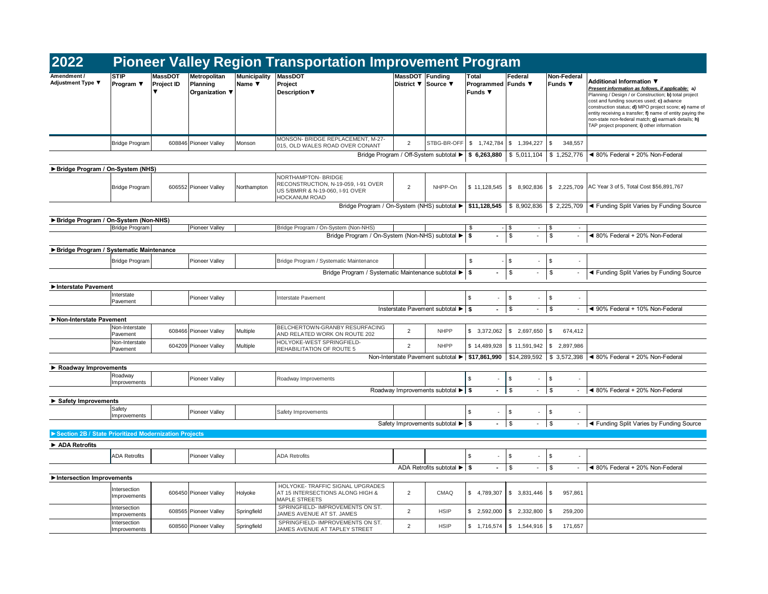| 2022                                                  |                              |                              |                                            |                               | <b>Pioneer Valley Region Transportation Improvement Program</b>                                                              |                |                                                                              |                                             |                                |                                           |                                                                                                                                                                                                                                                                                                                                                                                                                 |
|-------------------------------------------------------|------------------------------|------------------------------|--------------------------------------------|-------------------------------|------------------------------------------------------------------------------------------------------------------------------|----------------|------------------------------------------------------------------------------|---------------------------------------------|--------------------------------|-------------------------------------------|-----------------------------------------------------------------------------------------------------------------------------------------------------------------------------------------------------------------------------------------------------------------------------------------------------------------------------------------------------------------------------------------------------------------|
| Adjustment Type ▼                                     | <b>STIP</b><br>Program ▼     | <b>MassDOT</b><br>Project ID | Metropolitan<br>Planning<br>Organization V | <b>Municipality</b><br>Name ▼ | <b>MassDOT</b><br>Project<br><b>Description</b> ▼                                                                            |                | MassDOT Funding<br>District ▼ Source ▼                                       | Total<br>Programmed Funds ▼<br>Funds $\Psi$ | Federal                        | Non-Federal<br>Funds ▼                    | Additional Information ▼<br>Present information as follows, if applicable; a)<br>Planning / Design / or Construction; b) total project<br>cost and funding sources used; c) advance<br>construction status; d) MPO project score; e) name of<br>entity receiving a transfer; f) name of entity paying the<br>non-state non-federal match; g) earmark details; h)<br>TAP project proponent; i) other information |
|                                                       | <b>Bridge Program</b>        |                              | 608846 Pioneer Valley                      | Monson                        | MONSON- BRIDGE REPLACEMENT, M-27-<br>015, OLD WALES ROAD OVER CONANT                                                         | $\overline{2}$ | STBG-BR-OFF                                                                  | \$1.742.784                                 | \$ 1.394.227                   | \$<br>348.557                             |                                                                                                                                                                                                                                                                                                                                                                                                                 |
|                                                       |                              |                              |                                            |                               |                                                                                                                              |                | Bridge Program / Off-System subtotal ▶ \$ 6,263,880                          |                                             |                                | $$5,011,104$ \\$ 1,252,776                | ◀ 80% Federal + 20% Non-Federal                                                                                                                                                                                                                                                                                                                                                                                 |
| Bridge Program / On-System (NHS)                      |                              |                              |                                            |                               |                                                                                                                              |                |                                                                              |                                             |                                |                                           |                                                                                                                                                                                                                                                                                                                                                                                                                 |
|                                                       | <b>Bridge Program</b>        |                              | 606552 Pioneer Valley                      | Northampton                   | <b>NORTHAMPTON- BRIDGE</b><br>RECONSTRUCTION, N-19-059, I-91 OVER<br>US 5/BMRR & N-19-060, I-91 OVER<br><b>HOCKANUM ROAD</b> | $\overline{2}$ | NHPP-On                                                                      | \$11,128,545                                | \$8,902,836                    | \$2,225,709                               | AC Year 3 of 5, Total Cost \$56,891,767                                                                                                                                                                                                                                                                                                                                                                         |
|                                                       |                              |                              |                                            |                               | Bridge Program / On-System (NHS) subtotal ▶                                                                                  |                |                                                                              | \$11,128,545                                |                                |                                           | $\frac{1}{2}$ 8,902,836 \ \$ 2,225,709 \ Funding Split Varies by Funding Source                                                                                                                                                                                                                                                                                                                                 |
| Bridge Program / On-System (Non-NHS)                  |                              |                              |                                            |                               |                                                                                                                              |                |                                                                              |                                             |                                |                                           |                                                                                                                                                                                                                                                                                                                                                                                                                 |
|                                                       | Bridge Program               |                              | Pioneer Valley                             |                               | Bridge Program / On-System (Non-NHS)<br>Bridge Program / On-System (Non-NHS) subtotal ▶                                      |                |                                                                              | \$<br>s.                                    | \$<br>$\sim$<br>\$             | \$<br>\$<br>$\overline{\phantom{a}}$      | ◀ 80% Federal + 20% Non-Federal                                                                                                                                                                                                                                                                                                                                                                                 |
|                                                       |                              |                              |                                            |                               |                                                                                                                              |                |                                                                              |                                             |                                |                                           |                                                                                                                                                                                                                                                                                                                                                                                                                 |
| Bridge Program / Systematic Maintenance               |                              |                              |                                            |                               |                                                                                                                              |                |                                                                              |                                             |                                |                                           |                                                                                                                                                                                                                                                                                                                                                                                                                 |
|                                                       | <b>Bridge Program</b>        |                              | Pioneer Vallev                             |                               | Bridge Program / Systematic Maintenance                                                                                      |                |                                                                              | \$                                          | \$                             | \$<br>$\sim$                              |                                                                                                                                                                                                                                                                                                                                                                                                                 |
|                                                       |                              |                              |                                            |                               | Bridge Program / Systematic Maintenance subtotal ▶                                                                           |                |                                                                              | <b>S</b>                                    | \$<br>$\blacksquare$           | \$<br>$\blacksquare$                      | ◀ Funding Split Varies by Funding Source                                                                                                                                                                                                                                                                                                                                                                        |
| Interstate Pavement                                   |                              |                              |                                            |                               |                                                                                                                              |                |                                                                              |                                             |                                |                                           |                                                                                                                                                                                                                                                                                                                                                                                                                 |
|                                                       | Interstate<br>Pavement       |                              | Pioneer Valley                             |                               | Interstate Pavement                                                                                                          |                |                                                                              | \$<br>$\sim$                                | \$<br>$\sim$                   | \$                                        |                                                                                                                                                                                                                                                                                                                                                                                                                 |
|                                                       |                              |                              |                                            |                               |                                                                                                                              |                | Insterstate Pavement subtotal ▶ S                                            | $\sim$                                      | \$<br>$\sim$                   | \$<br>$\overline{\phantom{a}}$            | ◀ 90% Federal + 10% Non-Federal                                                                                                                                                                                                                                                                                                                                                                                 |
| Non-Interstate Pavement                               |                              |                              |                                            |                               |                                                                                                                              |                |                                                                              |                                             |                                |                                           |                                                                                                                                                                                                                                                                                                                                                                                                                 |
|                                                       | Non-Interstate<br>Pavement   |                              | 608466 Pioneer Valley                      | Multiple                      | BELCHERTOWN-GRANBY RESURFACING<br>AND RELATED WORK ON ROUTE 202                                                              | $\overline{2}$ | <b>NHPP</b>                                                                  | \$3,372,062                                 | \$ 2,697,650                   | \$<br>674,412                             |                                                                                                                                                                                                                                                                                                                                                                                                                 |
|                                                       | Non-Interstate<br>Pavement   |                              | 604209 Pioneer Valley                      | Multiple                      | HOLYOKE-WEST SPRINGFIELD-<br>REHABILITATION OF ROUTE 5                                                                       | $\overline{2}$ | <b>NHPP</b>                                                                  | \$14,489,928                                |                                | $\frac{1}{2}$ \$ 11,591,942 \\$ 2,897,986 |                                                                                                                                                                                                                                                                                                                                                                                                                 |
|                                                       |                              |                              |                                            |                               |                                                                                                                              |                |                                                                              |                                             |                                |                                           | Non-Interstate Pavement subtotal ► \$17,861,990 \$14,289,592 \$ 3,572,398 < 80% Federal + 20% Non-Federal                                                                                                                                                                                                                                                                                                       |
| Roadway Improvements                                  |                              |                              |                                            |                               |                                                                                                                              |                |                                                                              |                                             |                                |                                           |                                                                                                                                                                                                                                                                                                                                                                                                                 |
|                                                       | Roadway<br>Improvements      |                              | <b>Pioneer Valley</b>                      |                               | Roadway Improvements                                                                                                         |                |                                                                              | \$<br>$\overline{\phantom{a}}$              | \$<br>$\overline{\phantom{a}}$ | \$                                        |                                                                                                                                                                                                                                                                                                                                                                                                                 |
|                                                       |                              |                              |                                            |                               |                                                                                                                              |                | Roadway Improvements subtotal $\blacktriangleright$ $\blacktriangleright$ \$ | $\blacksquare$                              | \$<br>$\sim$                   | $\sqrt{3}$<br>$\sim$                      | ◀ 80% Federal + 20% Non-Federal                                                                                                                                                                                                                                                                                                                                                                                 |
| Safety Improvements                                   |                              |                              |                                            |                               |                                                                                                                              |                |                                                                              |                                             |                                |                                           |                                                                                                                                                                                                                                                                                                                                                                                                                 |
|                                                       | Safety<br>Improvements       |                              | Pioneer Valley                             |                               | Safety Improvements                                                                                                          |                |                                                                              | \$                                          | \$                             | \$                                        |                                                                                                                                                                                                                                                                                                                                                                                                                 |
|                                                       |                              |                              |                                            |                               |                                                                                                                              |                | Safety Improvements subtotal ▶ S                                             |                                             | \$                             | $-$ \$<br>$\overline{\phantom{a}}$        | ◀ Funding Split Varies by Funding Source                                                                                                                                                                                                                                                                                                                                                                        |
| Section 2B / State Prioritized Modernization Projects |                              |                              |                                            |                               |                                                                                                                              |                |                                                                              |                                             |                                |                                           |                                                                                                                                                                                                                                                                                                                                                                                                                 |
| $\blacktriangleright$ ADA Retrofits                   |                              |                              |                                            |                               |                                                                                                                              |                |                                                                              |                                             |                                |                                           |                                                                                                                                                                                                                                                                                                                                                                                                                 |
|                                                       | <b>ADA Retrofits</b>         |                              | Pioneer Valley                             |                               | <b>ADA Retrofits</b>                                                                                                         |                |                                                                              | \$                                          | \$                             | \$                                        |                                                                                                                                                                                                                                                                                                                                                                                                                 |
|                                                       |                              |                              |                                            |                               |                                                                                                                              |                | ADA Retrofits subtotal $\blacktriangleright$ \$                              | $\blacksquare$                              | \$<br>$\overline{\phantom{a}}$ | $\sqrt{ }$<br>$\overline{a}$              | ◀ 80% Federal + 20% Non-Federal                                                                                                                                                                                                                                                                                                                                                                                 |
| Intersection Improvements                             |                              |                              |                                            |                               |                                                                                                                              |                |                                                                              |                                             |                                |                                           |                                                                                                                                                                                                                                                                                                                                                                                                                 |
|                                                       | Intersection<br>Improvements |                              | 606450 Pioneer Valley                      | Holyoke                       | HOLYOKE- TRAFFIC SIGNAL UPGRADES<br>AT 15 INTERSECTIONS ALONG HIGH &<br>MAPLE STREETS                                        | $\overline{2}$ | CMAQ                                                                         | \$4,789,307                                 | \$3,831,446                    | <b>\$</b><br>957,861                      |                                                                                                                                                                                                                                                                                                                                                                                                                 |
|                                                       | Intersection<br>Improvements |                              | 608565 Pioneer Valley                      | Springfield                   | SPRINGFIELD- IMPROVEMENTS ON ST.<br>JAMES AVENUE AT ST. JAMES                                                                | $\overline{2}$ | <b>HSIP</b>                                                                  | \$2,592,000                                 | \$2,332,800                    | \$<br>259,200                             |                                                                                                                                                                                                                                                                                                                                                                                                                 |
|                                                       | Intersection<br>Improvements |                              | 608560 Pioneer Valley                      | Springfield                   | SPRINGFIELD- IMPROVEMENTS ON ST.<br>JAMES AVENUE AT TAPLEY STREET                                                            | $\overline{2}$ | <b>HSIP</b>                                                                  | \$1,716,574                                 | \$1,544,916                    | $\sqrt{3}$<br>171,657                     |                                                                                                                                                                                                                                                                                                                                                                                                                 |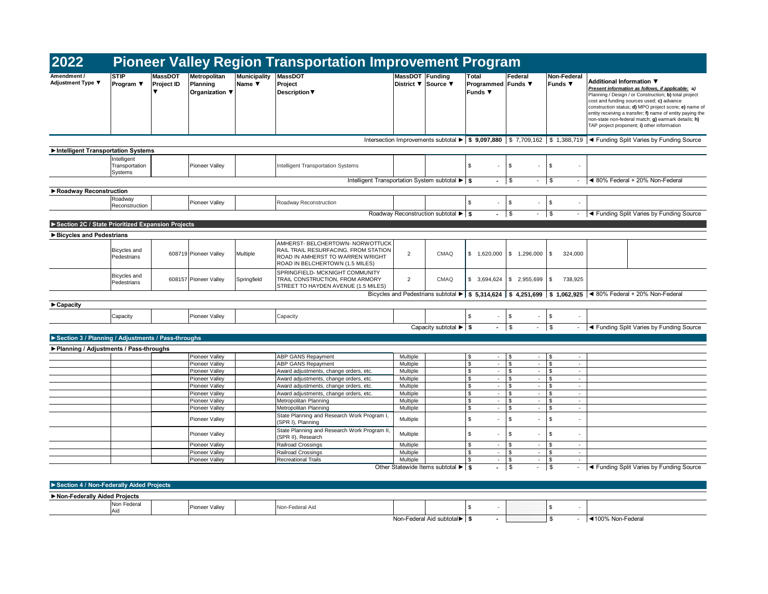| 2022                                               |                                          |                                                  |                                            |                               | <b>Pioneer Valley Region Transportation Improvement Program</b>                                                                                 |                      |                                                  |                                                           |                                                      |                                  |                                                                                                                                                                                                                                                                                                                                                                                                                 |
|----------------------------------------------------|------------------------------------------|--------------------------------------------------|--------------------------------------------|-------------------------------|-------------------------------------------------------------------------------------------------------------------------------------------------|----------------------|--------------------------------------------------|-----------------------------------------------------------|------------------------------------------------------|----------------------------------|-----------------------------------------------------------------------------------------------------------------------------------------------------------------------------------------------------------------------------------------------------------------------------------------------------------------------------------------------------------------------------------------------------------------|
| Amendment /<br>Adjustment Type ▼                   | <b>STIP</b><br>Program ▼                 | MassDOT<br>Project ID<br>$\overline{\mathbf{v}}$ | Metropolitan<br>Planning<br>Organization ▼ | <b>Municipality</b><br>Name ▼ | <b>MassDOT</b><br>Project<br><b>Description ▼</b>                                                                                               | MassDOT Funding      | District ▼ Source ▼                              | Total<br>Programmed Funds ▼<br>Funds $\blacktriangledown$ | Federal                                              | Non-Federal<br>Funds $\Psi$      | Additional Information ▼<br>Present information as follows, if applicable; a)<br>Planning / Design / or Construction; b) total project<br>cost and funding sources used; c) advance<br>construction status; d) MPO project score; e) name of<br>entity receiving a transfer; f) name of entity paying the<br>non-state non-federal match; g) earmark details; h)<br>TAP project proponent; i) other information |
|                                                    |                                          |                                                  |                                            |                               |                                                                                                                                                 |                      |                                                  |                                                           |                                                      |                                  | Intersection Improvements subtotal $\blacktriangleright$ \$ 9,097,880 \ \$ 7,709,162 \ \$ 1,388,719 \ Tunding Split Varies by Funding Source                                                                                                                                                                                                                                                                    |
| Intelligent Transportation Systems                 |                                          |                                                  |                                            |                               |                                                                                                                                                 |                      |                                                  |                                                           |                                                      |                                  |                                                                                                                                                                                                                                                                                                                                                                                                                 |
|                                                    | Intelligent<br>Transportation<br>Systems |                                                  | Pioneer Valley                             |                               | Intelligent Transportation Systems                                                                                                              |                      |                                                  | \$<br>ä,                                                  | \$<br>$\sim$                                         | \$                               |                                                                                                                                                                                                                                                                                                                                                                                                                 |
|                                                    |                                          |                                                  |                                            |                               | Intelligent Transportation System subtotal ▶ S                                                                                                  |                      |                                                  | $\sim$                                                    | $\sqrt{3}$<br>$\sim$                                 | $\sqrt{3}$                       | ◀ 80% Federal + 20% Non-Federal                                                                                                                                                                                                                                                                                                                                                                                 |
| Roadway Reconstruction                             |                                          |                                                  |                                            |                               |                                                                                                                                                 |                      |                                                  |                                                           |                                                      |                                  |                                                                                                                                                                                                                                                                                                                                                                                                                 |
|                                                    | Roadway<br>Reconstruction                |                                                  | <b>Pioneer Valley</b>                      |                               | Roadway Reconstruction                                                                                                                          |                      |                                                  | \$<br>÷.                                                  | $\sqrt{3}$<br>$\overline{\phantom{a}}$               | \$                               |                                                                                                                                                                                                                                                                                                                                                                                                                 |
|                                                    |                                          |                                                  |                                            |                               |                                                                                                                                                 |                      | Roadway Reconstruction subtotal ▶ S              | $\sim$                                                    | $\sqrt{3}$<br>$\overline{\phantom{a}}$               | \$<br>$\overline{\phantom{a}}$   | I ◀ Funding Split Varies by Funding Source                                                                                                                                                                                                                                                                                                                                                                      |
|                                                    |                                          |                                                  |                                            |                               |                                                                                                                                                 |                      |                                                  |                                                           |                                                      |                                  |                                                                                                                                                                                                                                                                                                                                                                                                                 |
| Section 2C / State Prioritized Expansion Projects  |                                          |                                                  |                                            |                               |                                                                                                                                                 |                      |                                                  |                                                           |                                                      |                                  |                                                                                                                                                                                                                                                                                                                                                                                                                 |
| Bicycles and Pedestrians                           |                                          |                                                  |                                            |                               |                                                                                                                                                 |                      |                                                  |                                                           |                                                      |                                  |                                                                                                                                                                                                                                                                                                                                                                                                                 |
|                                                    | Bicycles and<br>Pedestrians              |                                                  | 608719 Pioneer Valley                      | Multiple                      | AMHERST- BELCHERTOWN- NORWOTTUCK<br>RAIL TRAIL RESURFACING, FROM STATION<br>ROAD IN AMHERST TO WARREN WRIGHT<br>ROAD IN BELCHERTOWN (1.5 MILES) | $\overline{2}$       | <b>CMAQ</b>                                      | \$1,620,000                                               | \$1,296,000                                          | \$<br>324,000                    |                                                                                                                                                                                                                                                                                                                                                                                                                 |
|                                                    | Bicycles and<br>Pedestrians              |                                                  | 608157 Pioneer Valley                      | Springfield                   | SPRINGFIELD- MCKNIGHT COMMUNITY<br>TRAIL CONSTRUCTION, FROM ARMORY<br>STREET TO HAYDEN AVENUE (1.5 MILES)                                       | $\overline{2}$       | <b>CMAQ</b>                                      | \$3,694,624                                               | \$2,955,699                                          | \$<br>738,925                    |                                                                                                                                                                                                                                                                                                                                                                                                                 |
|                                                    |                                          |                                                  |                                            |                               |                                                                                                                                                 |                      | Bicycles and Pedestrians subtotal ▶ \$ 5,314,624 |                                                           | $\frac{1}{2}$ \$4,251,699                            |                                  | \$ 1,062,925   < 80% Federal + 20% Non-Federal                                                                                                                                                                                                                                                                                                                                                                  |
| $\blacktriangleright$ Capacity                     |                                          |                                                  |                                            |                               |                                                                                                                                                 |                      |                                                  |                                                           |                                                      |                                  |                                                                                                                                                                                                                                                                                                                                                                                                                 |
|                                                    | Capacity                                 |                                                  | <b>Pioneer Valley</b>                      |                               | Capacity                                                                                                                                        |                      |                                                  | $\mathfrak s$<br>$\overline{\phantom{a}}$                 | \$<br>$\overline{\phantom{a}}$                       | \$                               |                                                                                                                                                                                                                                                                                                                                                                                                                 |
|                                                    |                                          |                                                  |                                            |                               |                                                                                                                                                 |                      | Capacity subtotal $\blacktriangleright$ \$       |                                                           | \$<br>$\overline{\phantom{a}}$                       | l \$<br>$\overline{\phantom{a}}$ | I < Funding Split Varies by Funding Source                                                                                                                                                                                                                                                                                                                                                                      |
| Section 3 / Planning / Adjustments / Pass-throughs |                                          |                                                  |                                            |                               |                                                                                                                                                 |                      |                                                  |                                                           |                                                      |                                  |                                                                                                                                                                                                                                                                                                                                                                                                                 |
| ▶ Planning / Adjustments / Pass-throughs           |                                          |                                                  |                                            |                               |                                                                                                                                                 |                      |                                                  |                                                           |                                                      |                                  |                                                                                                                                                                                                                                                                                                                                                                                                                 |
|                                                    |                                          |                                                  | Pioneer Valley                             |                               | ABP GANS Repayment                                                                                                                              | Multiple             |                                                  | \$<br>a.                                                  | $\mathbf{s}$<br>×.                                   | Ŝ.<br>$\sim$                     |                                                                                                                                                                                                                                                                                                                                                                                                                 |
|                                                    |                                          |                                                  | Pioneer Valley                             |                               | ABP GANS Repayment                                                                                                                              | Multiple             |                                                  | \$<br>$\omega$                                            | \$<br>$\blacksquare$                                 | \$<br>$\sim$                     |                                                                                                                                                                                                                                                                                                                                                                                                                 |
|                                                    |                                          |                                                  | Pioneer Valley                             |                               | Award adjustments, change orders, etc.                                                                                                          | Multiple             |                                                  | \$<br>$\omega$                                            | \$<br>$\mathcal{L}_{\mathcal{A}}$                    | \$<br>$\sim$                     |                                                                                                                                                                                                                                                                                                                                                                                                                 |
|                                                    |                                          |                                                  | <b>Pioneer Valley</b>                      |                               | Award adjustments, change orders, etc.                                                                                                          | Multiple             |                                                  | $\mathfrak s$<br>$\sim$                                   | \$<br>$\blacksquare$                                 | S.<br>$\sim$                     |                                                                                                                                                                                                                                                                                                                                                                                                                 |
|                                                    |                                          |                                                  | <b>Pioneer Valley</b>                      |                               | Award adjustments, change orders, etc.                                                                                                          | Multiple             |                                                  | \$<br>$\blacksquare$<br><b>S</b><br>$\omega$ .            | \$<br>$\blacksquare$<br>$\mathbf{s}$<br>$\mathbf{r}$ | \$<br>$\sim$<br>\$<br>$\sim$     |                                                                                                                                                                                                                                                                                                                                                                                                                 |
|                                                    |                                          |                                                  | <b>Pioneer Valley</b>                      |                               | Award adjustments, change orders, etc.                                                                                                          | Multiple             |                                                  | <b>S</b><br>$\omega$                                      | \$<br>$\blacksquare$                                 | \$.<br>$\sim$                    |                                                                                                                                                                                                                                                                                                                                                                                                                 |
|                                                    |                                          |                                                  | <b>Pioneer Valley</b><br>Pioneer Valley    |                               | Metropolitan Planning                                                                                                                           | Multiple<br>Multiple |                                                  | \$<br>$\omega$ .                                          | S.<br>$\mathcal{L}$                                  | \$<br>$\sim$                     |                                                                                                                                                                                                                                                                                                                                                                                                                 |
|                                                    |                                          |                                                  | <b>Pioneer Valley</b>                      |                               | Metropolitan Planning<br>State Planning and Research Work Program I,<br>(SPR I), Planning                                                       | Multiple             |                                                  | $\mathfrak s$<br>ä,                                       | \$<br>÷.                                             | \$<br>$\sim$                     |                                                                                                                                                                                                                                                                                                                                                                                                                 |
|                                                    |                                          |                                                  | Pioneer Valley                             |                               | State Planning and Research Work Program II,<br>(SPR II), Research                                                                              | Multiple             |                                                  | $\mathfrak s$<br>÷,                                       | \$<br>$\overline{\phantom{a}}$                       | S.                               |                                                                                                                                                                                                                                                                                                                                                                                                                 |
|                                                    |                                          |                                                  | Pioneer Valley                             |                               | Railroad Crossings                                                                                                                              | Multiple             |                                                  | \$<br>$\sim$                                              | <b>S</b><br>$\sim$                                   | \$<br>$\sim$                     |                                                                                                                                                                                                                                                                                                                                                                                                                 |
|                                                    |                                          |                                                  | Pioneer Valley                             |                               | Railroad Crossings                                                                                                                              | Multiple             |                                                  | $\mathfrak s$<br>$\omega$                                 | \$<br>$\blacksquare$                                 | \$<br>$\sim$                     |                                                                                                                                                                                                                                                                                                                                                                                                                 |
|                                                    |                                          |                                                  | Pioneer Valley                             |                               | <b>Recreational Trails</b>                                                                                                                      | Multiple             |                                                  | $\mathfrak s$<br>$\sim$                                   | \$<br>$\mathcal{L}_{\mathcal{A}}$                    | \$<br>$\sim$                     |                                                                                                                                                                                                                                                                                                                                                                                                                 |
|                                                    |                                          |                                                  |                                            |                               |                                                                                                                                                 |                      | Other Statewide Items subtotal ▶                 | l s<br>$\sim$                                             | $\mathbb{S}$<br>$\blacksquare$                       | \$                               | ◀ Funding Split Varies by Funding Source                                                                                                                                                                                                                                                                                                                                                                        |
| Section 4 / Non-Federally Aided Projects           |                                          |                                                  |                                            |                               |                                                                                                                                                 |                      |                                                  |                                                           |                                                      |                                  |                                                                                                                                                                                                                                                                                                                                                                                                                 |
| Non-Federally Aided Projects                       |                                          |                                                  |                                            |                               |                                                                                                                                                 |                      |                                                  |                                                           |                                                      |                                  |                                                                                                                                                                                                                                                                                                                                                                                                                 |
|                                                    | Non Federal<br>Aid                       |                                                  | Pioneer Valley                             |                               | Non-Federal Aid                                                                                                                                 |                      |                                                  | \$                                                        |                                                      | \$                               |                                                                                                                                                                                                                                                                                                                                                                                                                 |

 **<sup>\$ -</sup>** \$ - Non-Federal Aid subtotal► ◄100% Non-Federal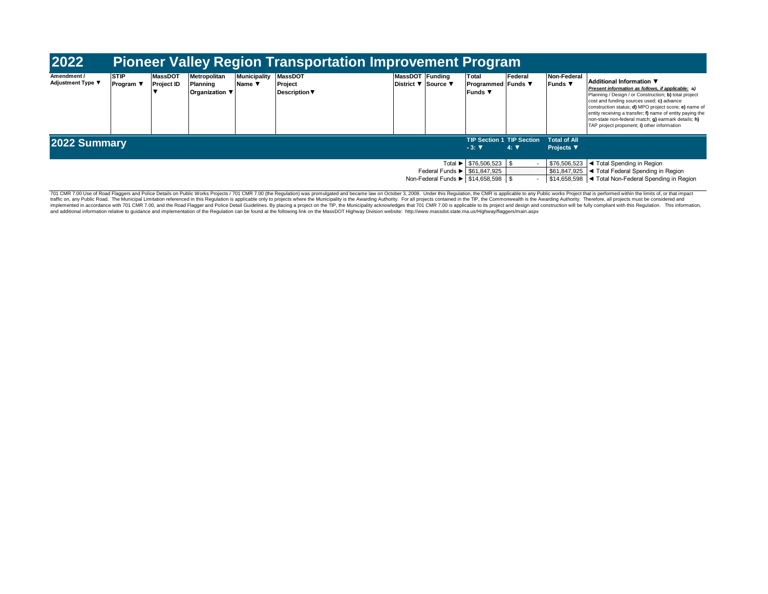| 2022                                                                                    |                                  |                                     |                                            |                               | <b>Pioneer Valley Region Transportation Improvement Program</b> |                                        |  |                                                    |                                                                                                                              |                                   |                                                                                                                                                                                                                                                                                                                                                                                                                 |
|-----------------------------------------------------------------------------------------|----------------------------------|-------------------------------------|--------------------------------------------|-------------------------------|-----------------------------------------------------------------|----------------------------------------|--|----------------------------------------------------|------------------------------------------------------------------------------------------------------------------------------|-----------------------------------|-----------------------------------------------------------------------------------------------------------------------------------------------------------------------------------------------------------------------------------------------------------------------------------------------------------------------------------------------------------------------------------------------------------------|
| Amendment /<br><b>Adjustment Type ▼</b>                                                 | <b>STIP</b><br><b> Program ▼</b> | <b>MassDOT</b><br><b>Project ID</b> | Metropolitan<br>Planning<br>Organization ▼ | <b>Municipality</b><br>Name ▼ | <b>MassDOT</b><br>Project<br><b>Description ▼</b>               | MassDOT Funding<br>District ▼ Source ▼ |  | Total<br><b>Programmed Funds</b> ▼<br>Funds v      | Federal                                                                                                                      | Non-Federal<br><b>Funds ▼</b>     | Additional Information ▼<br>Present information as follows, if applicable; a)<br>Planning / Design / or Construction; b) total project<br>cost and funding sources used; c) advance<br>construction status; d) MPO project score; e) name of<br>entity receiving a transfer; f) name of entity paying the<br>non-state non-federal match; g) earmark details; h)<br>TAP project proponent; i) other information |
| 2022 Summary                                                                            |                                  |                                     |                                            |                               |                                                                 |                                        |  | <b>TIP Section 1 TIP Section</b><br>$-3:$ $\nabla$ | $4: \nabla$                                                                                                                  | <b>Total of All</b><br>Projects ▼ |                                                                                                                                                                                                                                                                                                                                                                                                                 |
| Federal Funds $\blacktriangleright$ \$61,847,925<br>Non-Federal Funds ▶ \$14,658,598 \$ |                                  |                                     |                                            |                               |                                                                 | Total ▶ \$76,506,523 \$                |  | \$76,506,523<br>\$61,847,925                       | I ◀ Total Spending in Region<br>I ◀ Total Federal Spending in Region<br>\$14,658,598  ◀ Total Non-Federal Spending in Region |                                   |                                                                                                                                                                                                                                                                                                                                                                                                                 |

701 CMR 7.00 Use of Road Flaggers and Police Details on Public Works Projects / 701 CMR 7.00 (the Regulation) was promulgated and became law on October 3, 2008. Under this Regulation, the CMR is applicable to any Public wo traffic on, any Public Road. The Municipal Limitation referenced in this Regulation is applicable only to projects where the Municipality is the Awarding Authority. For all projects contained in the TIP, the Commonwealth i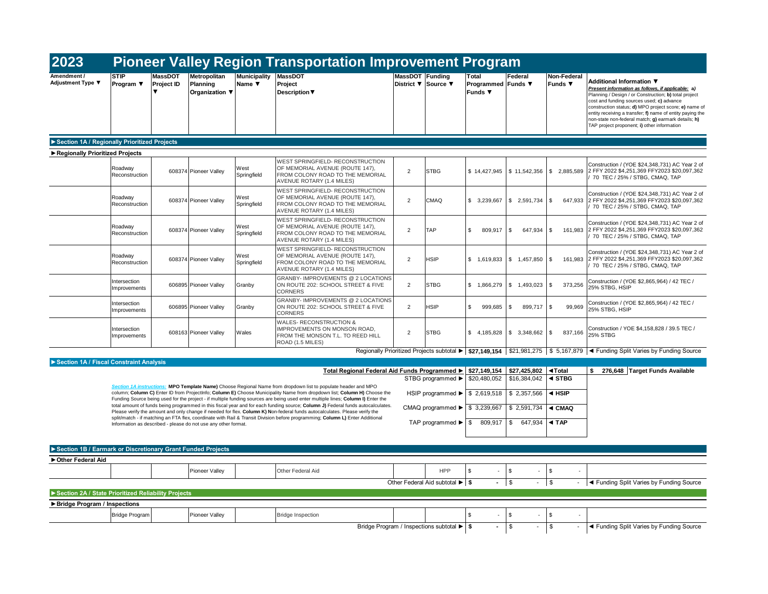| 2023                                                        |                                |                              |                                                                |                                                  | <b>Pioneer Valley Region Transportation Improvement Program</b>                                                                                                                                                                                                                                                                                                                                 |                 |                                                    |                                                                                                             |                                             |                                           |                                                                                                                                                                                                                                                                                                                                                                                                                 |
|-------------------------------------------------------------|--------------------------------|------------------------------|----------------------------------------------------------------|--------------------------------------------------|-------------------------------------------------------------------------------------------------------------------------------------------------------------------------------------------------------------------------------------------------------------------------------------------------------------------------------------------------------------------------------------------------|-----------------|----------------------------------------------------|-------------------------------------------------------------------------------------------------------------|---------------------------------------------|-------------------------------------------|-----------------------------------------------------------------------------------------------------------------------------------------------------------------------------------------------------------------------------------------------------------------------------------------------------------------------------------------------------------------------------------------------------------------|
| Amendment /<br>Adjustment Type ▼                            | <b>STIP</b><br>Program ▼       | <b>MassDOT</b><br>Project ID | Metropolitan<br>Planning<br>Organization ▼                     | <b>Municipality</b><br>Name $\blacktriangledown$ | <b>MassDOT</b><br>Project<br><b>Description ▼</b>                                                                                                                                                                                                                                                                                                                                               | MassDOT Funding | District <b>▼</b> Source ▼                         | Total<br>Programmed Funds ▼<br>Funds ▼                                                                      | Federal                                     | Non-Federal<br>Funds $\blacktriangledown$ | Additional Information ▼<br>Present information as follows, if applicable: a)<br>Planning / Design / or Construction; b) total project<br>cost and funding sources used; c) advance<br>construction status; d) MPO project score; e) name of<br>entity receiving a transfer; f) name of entity paying the<br>non-state non-federal match; g) earmark details; h)<br>TAP project proponent; i) other information |
| Section 1A / Regionally Prioritized Projects                |                                |                              |                                                                |                                                  |                                                                                                                                                                                                                                                                                                                                                                                                 |                 |                                                    |                                                                                                             |                                             |                                           |                                                                                                                                                                                                                                                                                                                                                                                                                 |
| Regionally Prioritized Projects                             |                                |                              |                                                                |                                                  |                                                                                                                                                                                                                                                                                                                                                                                                 |                 |                                                    |                                                                                                             |                                             |                                           |                                                                                                                                                                                                                                                                                                                                                                                                                 |
|                                                             | Roadway<br>Reconstruction      |                              | 608374 Pioneer Valley                                          | West<br>Springfield                              | <b>WEST SPRINGFIELD- RECONSTRUCTION</b><br>OF MEMORIAL AVENUE (ROUTE 147),<br>FROM COLONY ROAD TO THE MEMORIAL<br>AVENUE ROTARY (1.4 MILES)                                                                                                                                                                                                                                                     | $\overline{2}$  | <b>STBG</b>                                        |                                                                                                             | $$14,427,945$ \\$ 11,542,356                | \$2.885.589                               | Construction / (YOE \$24,348,731) AC Year 2 of<br>2 FFY 2022 \$4.251.369 FFY2023 \$20.097.362<br>70 TEC / 25% / STBG, CMAQ, TAP                                                                                                                                                                                                                                                                                 |
|                                                             | Roadway<br>Reconstruction      |                              | 608374 Pioneer Valley                                          | West<br>Springfield                              | WEST SPRINGFIELD- RECONSTRUCTION<br>OF MEMORIAL AVENUE (ROUTE 147),<br>FROM COLONY ROAD TO THE MEMORIAL<br>AVENUE ROTARY (1.4 MILES)                                                                                                                                                                                                                                                            | $\overline{2}$  | <b>CMAQ</b>                                        | \$3,239,667                                                                                                 | \$2,591,734                                 | \$<br>647,933                             | Construction / (YOE \$24,348,731) AC Year 2 of<br>2 FFY 2022 \$4,251,369 FFY2023 \$20,097,362<br>70 TEC / 25% / STBG, CMAQ, TAP                                                                                                                                                                                                                                                                                 |
|                                                             | Roadway<br>Reconstruction      |                              | 608374 Pioneer Valley                                          | West<br>Springfield                              | WEST SPRINGFIELD- RECONSTRUCTION<br>OF MEMORIAL AVENUE (ROUTE 147),<br>FROM COLONY ROAD TO THE MEMORIAL<br>AVENUE ROTARY (1.4 MILES)                                                                                                                                                                                                                                                            | $\overline{2}$  | <b>TAP</b>                                         | \$<br>809,917                                                                                               | \$<br>647,934                               | \$<br>161,983                             | Construction / (YOE \$24,348,731) AC Year 2 of<br>2 FFY 2022 \$4,251,369 FFY2023 \$20,097,362<br>70 TEC / 25% / STBG, CMAQ, TAP                                                                                                                                                                                                                                                                                 |
|                                                             | Roadway<br>Reconstruction      |                              | 608374 Pioneer Valley                                          | West<br>Springfield                              | WEST SPRINGFIELD- RECONSTRUCTION<br>OF MEMORIAL AVENUE (ROUTE 147),<br>FROM COLONY ROAD TO THE MEMORIAL<br>AVENUE ROTARY (1.4 MILES)                                                                                                                                                                                                                                                            | $\overline{2}$  | <b>HSIP</b>                                        | \$1,619,833                                                                                                 | \$1,457,850                                 | \$<br>161,983                             | Construction / (YOE \$24,348,731) AC Year 2 of<br>2 FFY 2022 \$4,251,369 FFY2023 \$20,097,362<br>70 TEC / 25% / STBG, CMAQ, TAP                                                                                                                                                                                                                                                                                 |
|                                                             | Intersection<br>Improvements   |                              | 606895 Pioneer Valley                                          | Granby                                           | <b>GRANBY- IMPROVEMENTS @ 2 LOCATIONS</b><br>ON ROUTE 202: SCHOOL STREET & FIVE<br><b>CORNERS</b>                                                                                                                                                                                                                                                                                               | 2               | <b>STBG</b>                                        | \$1,866,279                                                                                                 | \$1,493,023                                 | \$<br>373,256                             | Construction / (YOE \$2,865,964) / 42 TEC /<br>25% STBG, HSIP                                                                                                                                                                                                                                                                                                                                                   |
|                                                             | Intersection<br>Improvements   |                              | 606895 Pioneer Valley                                          | Granby                                           | <b>GRANBY- IMPROVEMENTS @ 2 LOCATIONS</b><br>ON ROUTE 202: SCHOOL STREET & FIVE<br><b>CORNERS</b>                                                                                                                                                                                                                                                                                               | $\overline{2}$  | <b>HSIP</b>                                        | \$<br>999,685                                                                                               | $\sqrt{3}$<br>899,717                       | \$<br>99,969                              | Construction / (YOE \$2,865,964) / 42 TEC /<br>25% STBG, HSIP                                                                                                                                                                                                                                                                                                                                                   |
|                                                             | Intersection<br>Improvements   |                              | 608163 Pioneer Valley                                          | Wales                                            | <b>WALES- RECONSTRUCTION &amp;</b><br><b>IMPROVEMENTS ON MONSON ROAD.</b><br>FROM THE MONSON T.L. TO REED HILL<br>ROAD (1.5 MILES)                                                                                                                                                                                                                                                              | $\overline{2}$  | <b>STBG</b>                                        | \$4,185,828                                                                                                 | \$3,348,662                                 | \$<br>837,166                             | Construction / YOE \$4,158,828 / 39.5 TEC /<br><b>25% STBG</b>                                                                                                                                                                                                                                                                                                                                                  |
|                                                             |                                |                              |                                                                |                                                  |                                                                                                                                                                                                                                                                                                                                                                                                 |                 |                                                    | Regionally Prioritized Projects subtotal $\blacktriangleright$   \$27,149,154   \$21,981,275   \$ 5,167,879 |                                             |                                           | ◀ Funding Split Varies by Funding Source                                                                                                                                                                                                                                                                                                                                                                        |
| Section 1A / Fiscal Constraint Analysis                     |                                |                              |                                                                |                                                  |                                                                                                                                                                                                                                                                                                                                                                                                 |                 |                                                    |                                                                                                             |                                             |                                           |                                                                                                                                                                                                                                                                                                                                                                                                                 |
|                                                             | <b>Section 1A instructions</b> |                              |                                                                |                                                  | Total Regional Federal Aid Funds Programmed ><br>MPO Template Name) Choose Regional Name from dropdown list to populate header and MPO                                                                                                                                                                                                                                                          |                 | STBG programmed ▶                                  | \$20,480,052                                                                                                | $$27.149.154$ $$27.425.802$<br>\$16,384,042 | ◀Total<br>$\triangleleft$ STBG            | \$ 276,648 Target Funds Available                                                                                                                                                                                                                                                                                                                                                                               |
|                                                             |                                |                              |                                                                |                                                  | column; Column C) Enter ID from ProjectInfo; Column E) Choose Municipality Name from dropdown list; Column H) Choose the<br>Funding Source being used for the project - if multiple funding sources are being used enter multiple lines; Column I) Enter the<br>total amount of funds being programmed in this fiscal year and for each funding source; Column J) Federal funds autocalculates. |                 |                                                    | HSIP programmed ▶ \$ 2,619,518 \$ 2,357,566                                                                 |                                             | $\triangleleft$ HSIP                      |                                                                                                                                                                                                                                                                                                                                                                                                                 |
|                                                             |                                |                              |                                                                |                                                  | Please verify the amount and only change if needed for flex. Column K) Non-federal funds autocalculates. Please verify the<br>split/match - if matching an FTA flex, coordinate with Rail & Transit Division before programming; Column L) Enter Additional                                                                                                                                     |                 | CMAQ programmed $\blacktriangleright$ \$ 3,239,667 |                                                                                                             | \$2,591,734                                 | ◀ CMAQ                                    |                                                                                                                                                                                                                                                                                                                                                                                                                 |
|                                                             |                                |                              | Information as described - please do not use any other format. |                                                  |                                                                                                                                                                                                                                                                                                                                                                                                 |                 | TAP programmed $\blacktriangleright$ $\mid$ \$     | 809,917                                                                                                     | $\mathbf{s}$<br>647.934                     | $\blacktriangleleft$ TAP                  |                                                                                                                                                                                                                                                                                                                                                                                                                 |
|                                                             |                                |                              |                                                                |                                                  |                                                                                                                                                                                                                                                                                                                                                                                                 |                 |                                                    |                                                                                                             |                                             |                                           |                                                                                                                                                                                                                                                                                                                                                                                                                 |
| Section 1B / Earmark or Discretionary Grant Funded Projects |                                |                              |                                                                |                                                  |                                                                                                                                                                                                                                                                                                                                                                                                 |                 |                                                    |                                                                                                             |                                             |                                           |                                                                                                                                                                                                                                                                                                                                                                                                                 |
| Other Federal Aid                                           |                                |                              |                                                                |                                                  |                                                                                                                                                                                                                                                                                                                                                                                                 |                 |                                                    |                                                                                                             |                                             |                                           |                                                                                                                                                                                                                                                                                                                                                                                                                 |
|                                                             |                                |                              | Pioneer Valley                                                 |                                                  | Other Federal Aid                                                                                                                                                                                                                                                                                                                                                                               |                 | <b>HPP</b><br>Other Federal Aid subtotal ▶ S       | \$<br>$-1$ \$                                                                                               | \$<br>$\overline{\phantom{a}}$              | $\mathbb{S}$<br>\$<br>$\sim$              | ◀ Funding Split Varies by Funding Source                                                                                                                                                                                                                                                                                                                                                                        |
| Section 2A / State Prioritized Reliability Projects         |                                |                              |                                                                |                                                  |                                                                                                                                                                                                                                                                                                                                                                                                 |                 |                                                    |                                                                                                             |                                             |                                           |                                                                                                                                                                                                                                                                                                                                                                                                                 |
|                                                             |                                |                              |                                                                |                                                  |                                                                                                                                                                                                                                                                                                                                                                                                 |                 |                                                    |                                                                                                             |                                             |                                           |                                                                                                                                                                                                                                                                                                                                                                                                                 |
| Bridge Program / Inspections                                | <b>Bridge Program</b>          |                              | Pioneer Valley                                                 |                                                  | <b>Bridge Inspection</b>                                                                                                                                                                                                                                                                                                                                                                        |                 |                                                    | \$                                                                                                          | \$                                          | \$                                        |                                                                                                                                                                                                                                                                                                                                                                                                                 |
|                                                             |                                |                              |                                                                |                                                  |                                                                                                                                                                                                                                                                                                                                                                                                 |                 |                                                    |                                                                                                             |                                             |                                           |                                                                                                                                                                                                                                                                                                                                                                                                                 |

| Bridge Program / Inspections subtotal ▶ S |  |  |  | <b>Example 1 + Funding Split Varies by Funding Source</b> |
|-------------------------------------------|--|--|--|-----------------------------------------------------------|
|-------------------------------------------|--|--|--|-----------------------------------------------------------|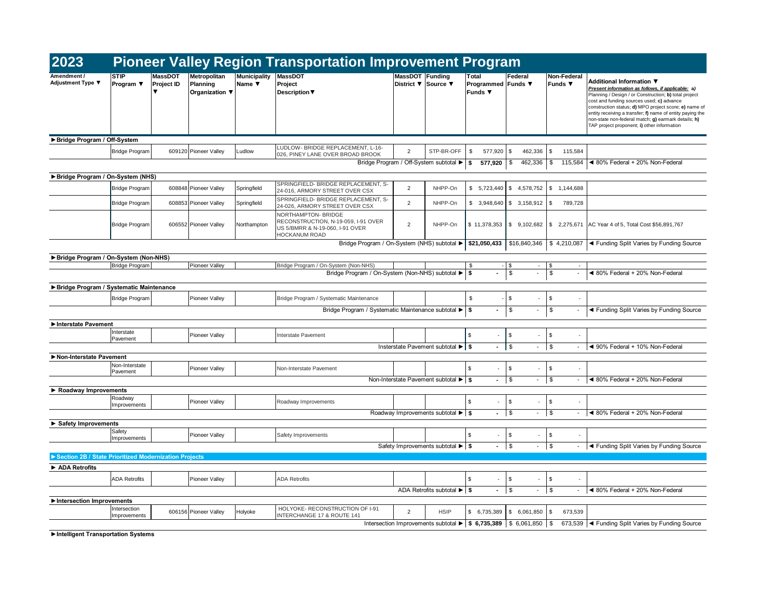| 2023                                                    |                              |                       |                                            |                               | <b>Pioneer Valley Region Transportation Improvement Program</b>                                                       |                 |                                                                                             |                                                           |                                              |                                           |                                                                                                                                                                                                                                                                                                                                                                                                                 |
|---------------------------------------------------------|------------------------------|-----------------------|--------------------------------------------|-------------------------------|-----------------------------------------------------------------------------------------------------------------------|-----------------|---------------------------------------------------------------------------------------------|-----------------------------------------------------------|----------------------------------------------|-------------------------------------------|-----------------------------------------------------------------------------------------------------------------------------------------------------------------------------------------------------------------------------------------------------------------------------------------------------------------------------------------------------------------------------------------------------------------|
| Adjustment Type ▼                                       | <b>STIP</b><br>Program ▼     | MassDOT<br>Project ID | Metropolitan<br>Planning<br>Organization ▼ | <b>Municipality</b><br>Name ▼ | <b>MassDOT</b><br>Project<br><b>Description</b> ▼                                                                     | MassDOT Funding | District ▼ Source ▼                                                                         | Total<br>Programmed Funds ▼<br>Funds $\blacktriangledown$ | Federal                                      | Non-Federal<br>Funds $\blacktriangledown$ | Additional Information ▼<br>Present information as follows, if applicable; a)<br>Planning / Design / or Construction; b) total project<br>cost and funding sources used; c) advance<br>construction status; d) MPO project score; e) name of<br>entity receiving a transfer; f) name of entity paying the<br>non-state non-federal match; g) earmark details; h)<br>TAP project proponent; i) other information |
| Bridge Program / Off-System                             |                              |                       |                                            |                               |                                                                                                                       |                 |                                                                                             |                                                           |                                              |                                           |                                                                                                                                                                                                                                                                                                                                                                                                                 |
|                                                         | <b>Bridge Program</b>        |                       | 609120 Pioneer Valley                      | Ludlow                        | LUDLOW- BRIDGE REPLACEMENT, L-16-<br>026, PINEY LANE OVER BROAD BROOK                                                 | $\overline{2}$  | STP-BR-OFF                                                                                  | \$<br>577,920                                             | \$<br>462,336                                | \$<br>115,584                             |                                                                                                                                                                                                                                                                                                                                                                                                                 |
|                                                         |                              |                       |                                            |                               |                                                                                                                       |                 | Bridge Program / Off-System subtotal ▶                                                      | \$<br>577,920                                             | \$<br>462,336                                | \$<br>115,584                             | ◀ 80% Federal + 20% Non-Federal                                                                                                                                                                                                                                                                                                                                                                                 |
| Bridge Program / On-System (NHS)                        |                              |                       |                                            |                               |                                                                                                                       |                 |                                                                                             |                                                           |                                              |                                           |                                                                                                                                                                                                                                                                                                                                                                                                                 |
|                                                         | <b>Bridge Program</b>        |                       | 608848 Pioneer Valley                      | Springfield                   | SPRINGFIELD- BRIDGE REPLACEMENT, S-<br>24-016, ARMORY STREET OVER CSX                                                 | $\overline{2}$  | NHPP-On                                                                                     | \$5.723.440                                               | \$<br>4,578,752                              | \$1.144.688                               |                                                                                                                                                                                                                                                                                                                                                                                                                 |
|                                                         | <b>Bridge Program</b>        |                       | 608853 Pioneer Valley                      | Springfield                   | SPRINGFIELD- BRIDGE REPLACEMENT, S-<br>24-026, ARMORY STREET OVER CSX                                                 | $\overline{2}$  | NHPP-On                                                                                     | \$3,948,640                                               | \$3,158,912                                  | \$<br>789,728                             |                                                                                                                                                                                                                                                                                                                                                                                                                 |
|                                                         | <b>Bridge Program</b>        |                       | 606552 Pioneer Valley                      | Northampton                   | NORTHAMPTON- BRIDGE<br>RECONSTRUCTION, N-19-059, I-91 OVER<br>US 5/BMRR & N-19-060, I-91 OVER<br><b>HOCKANUM ROAD</b> | $\overline{2}$  | NHPP-On                                                                                     | \$11,378,353                                              | \$9,102,682                                  | \$2,275,671                               | AC Year 4 of 5, Total Cost \$56,891,767                                                                                                                                                                                                                                                                                                                                                                         |
|                                                         |                              |                       |                                            |                               | Bridge Program / On-System (NHS) subtotal ▶                                                                           |                 |                                                                                             | \$21,050,433                                              | \$16,840,346                                 | \$4,210,087                               | ◀ Funding Split Varies by Funding Source                                                                                                                                                                                                                                                                                                                                                                        |
| Bridge Program / On-System (Non-NHS)                    |                              |                       |                                            |                               |                                                                                                                       |                 |                                                                                             |                                                           |                                              |                                           |                                                                                                                                                                                                                                                                                                                                                                                                                 |
|                                                         | <b>Bridge Program</b>        |                       | <b>Pioneer Valley</b>                      |                               | Bridge Program / On-System (Non-NHS)<br>Bridge Program / On-System (Non-NHS) subtotal ▶                               |                 |                                                                                             | \$<br>Ŝ.<br>÷.                                            | $\sqrt{3}$<br>$\sim$<br>\$<br>$\blacksquare$ | \$<br>\$<br>$\overline{\phantom{a}}$      | ◀ 80% Federal + 20% Non-Federal                                                                                                                                                                                                                                                                                                                                                                                 |
|                                                         |                              |                       |                                            |                               |                                                                                                                       |                 |                                                                                             |                                                           |                                              |                                           |                                                                                                                                                                                                                                                                                                                                                                                                                 |
| ▶ Bridge Program / Systematic Maintenance               |                              |                       |                                            |                               |                                                                                                                       |                 |                                                                                             |                                                           |                                              |                                           |                                                                                                                                                                                                                                                                                                                                                                                                                 |
|                                                         | <b>Bridge Program</b>        |                       | <b>Pioneer Valley</b>                      |                               | Bridge Program / Systematic Maintenance                                                                               |                 |                                                                                             | $\mathbb S$                                               | \$                                           | \$<br>$\sim$                              |                                                                                                                                                                                                                                                                                                                                                                                                                 |
|                                                         |                              |                       |                                            |                               | Bridge Program / Systematic Maintenance subtotal ▶                                                                    |                 |                                                                                             | \$                                                        | \$                                           | \$                                        | ◀ Funding Split Varies by Funding Source                                                                                                                                                                                                                                                                                                                                                                        |
| Interstate Pavement                                     |                              |                       |                                            |                               |                                                                                                                       |                 |                                                                                             |                                                           |                                              |                                           |                                                                                                                                                                                                                                                                                                                                                                                                                 |
|                                                         | Interstate<br>Pavement       |                       | <b>Pioneer Valley</b>                      |                               | Interstate Pavement                                                                                                   |                 |                                                                                             | $\mathfrak{L}$                                            | \$                                           | \$                                        |                                                                                                                                                                                                                                                                                                                                                                                                                 |
|                                                         |                              |                       |                                            |                               |                                                                                                                       |                 | Insterstate Pavement subtotal ▶ S                                                           | $\blacksquare$                                            | \$<br>$\overline{\phantom{a}}$               | \$<br>$\overline{\phantom{a}}$            | ◀ 90% Federal + 10% Non-Federal                                                                                                                                                                                                                                                                                                                                                                                 |
| Non-Interstate Pavement                                 |                              |                       |                                            |                               |                                                                                                                       |                 |                                                                                             |                                                           |                                              |                                           |                                                                                                                                                                                                                                                                                                                                                                                                                 |
|                                                         | Non-Interstate<br>Pavement   |                       | <b>Pioneer Valley</b>                      |                               | Non-Interstate Pavement                                                                                               |                 |                                                                                             | $\mathbb{S}$                                              | \$                                           | \$                                        |                                                                                                                                                                                                                                                                                                                                                                                                                 |
|                                                         |                              |                       |                                            |                               |                                                                                                                       |                 | Non-Interstate Pavement subtotal ▶ S                                                        | $\sim$                                                    | \$<br>$\overline{\phantom{a}}$               | \$<br>$\blacksquare$                      | ◀ 80% Federal + 20% Non-Federal                                                                                                                                                                                                                                                                                                                                                                                 |
| Roadway Improvements                                    |                              |                       |                                            |                               |                                                                                                                       |                 |                                                                                             |                                                           |                                              |                                           |                                                                                                                                                                                                                                                                                                                                                                                                                 |
|                                                         | Roadway<br>Improvements      |                       | Pioneer Valley                             |                               | Roadway Improvements                                                                                                  |                 |                                                                                             | \$                                                        | \$<br>\$<br>$\blacksquare$                   | \$<br>\$<br>$\overline{a}$                | ◀ 80% Federal + 20% Non-Federal                                                                                                                                                                                                                                                                                                                                                                                 |
|                                                         |                              |                       |                                            |                               |                                                                                                                       |                 | Roadway Improvements subtotal $\blacktriangleright$ $\blacktriangleright$ \$                |                                                           |                                              |                                           |                                                                                                                                                                                                                                                                                                                                                                                                                 |
| Safety Improvements                                     | Safety                       |                       |                                            |                               |                                                                                                                       |                 |                                                                                             |                                                           |                                              |                                           |                                                                                                                                                                                                                                                                                                                                                                                                                 |
|                                                         | Improvements                 |                       | <b>Pioneer Valley</b>                      |                               | Safety Improvements                                                                                                   |                 |                                                                                             | $\mathfrak{L}$                                            | \$                                           | \$                                        |                                                                                                                                                                                                                                                                                                                                                                                                                 |
|                                                         |                              |                       |                                            |                               |                                                                                                                       |                 | Safety Improvements subtotal $\blacktriangleright$ \$                                       | $-$ \$                                                    | $\sim 10$                                    | \$<br>$\sim$                              | ◀ Funding Split Varies by Funding Source                                                                                                                                                                                                                                                                                                                                                                        |
| ▶ Section 2B / State Prioritized Modernization Projects |                              |                       |                                            |                               |                                                                                                                       |                 |                                                                                             |                                                           |                                              |                                           |                                                                                                                                                                                                                                                                                                                                                                                                                 |
| ADA Retrofits                                           |                              |                       |                                            |                               |                                                                                                                       |                 |                                                                                             |                                                           |                                              |                                           |                                                                                                                                                                                                                                                                                                                                                                                                                 |
|                                                         | <b>ADA Retrofits</b>         |                       | <b>Pioneer Valley</b>                      |                               | <b>ADA Retrofits</b>                                                                                                  |                 |                                                                                             | \$                                                        | \$                                           | \$                                        |                                                                                                                                                                                                                                                                                                                                                                                                                 |
|                                                         |                              |                       |                                            |                               |                                                                                                                       |                 | ADA Retrofits subtotal ▶ S                                                                  | $\blacksquare$                                            | $\mathfrak s$<br>$\overline{\phantom{a}}$    | \$<br>$\blacksquare$                      | ◀ 80% Federal + 20% Non-Federal                                                                                                                                                                                                                                                                                                                                                                                 |
| Intersection Improvements                               |                              |                       |                                            |                               | HOLYOKE- RECONSTRUCTION OF I-91                                                                                       |                 |                                                                                             |                                                           |                                              |                                           |                                                                                                                                                                                                                                                                                                                                                                                                                 |
|                                                         | Intersection<br>Improvements |                       | 606156 Pioneer Valley                      | Holyoke                       | INTERCHANGE 17 & ROUTE 141                                                                                            | 2               | <b>HSIP</b>                                                                                 | \$ 6,735,389                                              | \$6,061,850                                  | 673,539<br>\$                             |                                                                                                                                                                                                                                                                                                                                                                                                                 |
|                                                         |                              |                       |                                            |                               |                                                                                                                       |                 | Intersection Improvements subtotal $\blacktriangleright$   \$ 6,735,389   \$ 6,061,850   \$ |                                                           |                                              |                                           | 673,539  ◀ Funding Split Varies by Funding Source                                                                                                                                                                                                                                                                                                                                                               |

**►Intelligent Transportation Systems**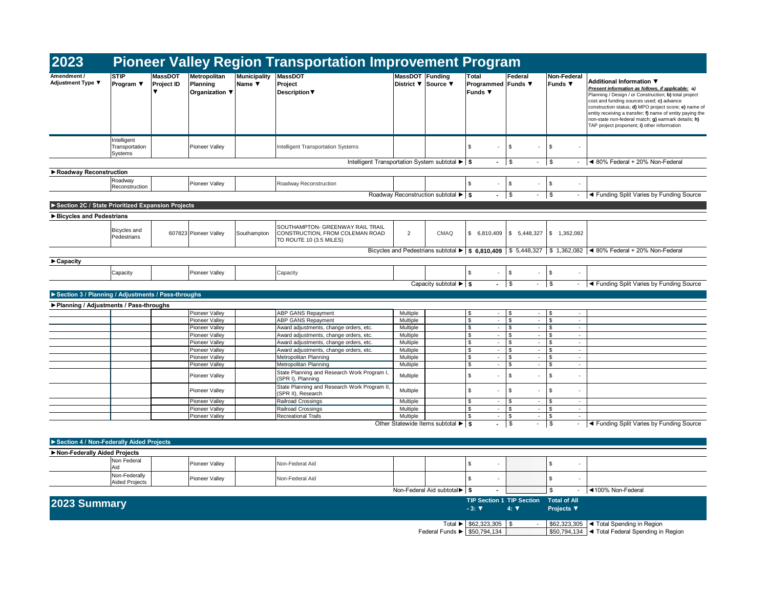| 2023                                               |                                          |                       |                                                |                               | <b>Pioneer Valley Region Transportation Improvement Program</b>                                |                      |                                                                                                      |                                                 |                                                                 |                                                     |                                                                                                                                                                                                                                                                                                                                                                                                                 |
|----------------------------------------------------|------------------------------------------|-----------------------|------------------------------------------------|-------------------------------|------------------------------------------------------------------------------------------------|----------------------|------------------------------------------------------------------------------------------------------|-------------------------------------------------|-----------------------------------------------------------------|-----------------------------------------------------|-----------------------------------------------------------------------------------------------------------------------------------------------------------------------------------------------------------------------------------------------------------------------------------------------------------------------------------------------------------------------------------------------------------------|
| Amendment /<br>Adjustment Type ▼                   | <b>STIP</b><br>Program $\Psi$            | MassDOT<br>Project ID | Metropolitan<br>Planning<br>Organization ▼     | <b>Municipality</b><br>Name ▼ | <b>MassDOT</b><br>Project<br><b>Description</b> ▼                                              | MassDOT Funding      | District ▼ Source ▼                                                                                  | Total<br>Programmed Funds ▼<br><b>Funds</b> ▼   | Federal                                                         | Non-Federal<br>Funds $\blacktriangledown$           | Additional Information ▼<br>Present information as follows, if applicable; a)<br>Planning / Design / or Construction; b) total project<br>cost and funding sources used; c) advance<br>construction status; d) MPO project score; e) name of<br>entity receiving a transfer; f) name of entity paying the<br>non-state non-federal match; g) earmark details; h)<br>TAP project proponent; i) other information |
|                                                    | Intelligent<br>Transportation<br>Systems |                       | <b>Pioneer Valley</b>                          |                               | Intelligent Transportation Systems                                                             |                      |                                                                                                      | \$<br>$\sim$                                    | \$<br>×,                                                        | \$<br>×.                                            |                                                                                                                                                                                                                                                                                                                                                                                                                 |
|                                                    |                                          |                       |                                                |                               | Intelligent Transportation System subtotal ▶   \$                                              |                      |                                                                                                      | $\sim$                                          | $\sqrt{3}$<br>$\overline{\phantom{a}}$                          | \$                                                  | ◀ 80% Federal + 20% Non-Federal                                                                                                                                                                                                                                                                                                                                                                                 |
| Roadway Reconstruction                             |                                          |                       |                                                |                               |                                                                                                |                      |                                                                                                      |                                                 |                                                                 |                                                     |                                                                                                                                                                                                                                                                                                                                                                                                                 |
|                                                    | Roadway<br>Reconstruction                |                       | <b>Pioneer Valley</b>                          |                               | Roadway Reconstruction                                                                         |                      |                                                                                                      | \$                                              | \$                                                              | $\mathfrak s$                                       |                                                                                                                                                                                                                                                                                                                                                                                                                 |
|                                                    |                                          |                       |                                                |                               |                                                                                                |                      | Roadway Reconstruction subtotal ▶   \$                                                               | $\sim$                                          | $\sqrt{3}$<br>$\blacksquare$                                    | $\sqrt{ }$<br>$\sim 100$                            | ◀ Funding Split Varies by Funding Source                                                                                                                                                                                                                                                                                                                                                                        |
| Section 2C / State Prioritized Expansion Projects  |                                          |                       |                                                |                               |                                                                                                |                      |                                                                                                      |                                                 |                                                                 |                                                     |                                                                                                                                                                                                                                                                                                                                                                                                                 |
| Bicycles and Pedestrians                           |                                          |                       |                                                |                               |                                                                                                |                      |                                                                                                      |                                                 |                                                                 |                                                     |                                                                                                                                                                                                                                                                                                                                                                                                                 |
|                                                    | Bicycles and<br>Pedestrians              |                       | 607823 Pioneer Valley                          | Southampton                   | SOUTHAMPTON- GREENWAY RAIL TRAIL<br>CONSTRUCTION, FROM COLEMAN ROAD<br>TO ROUTE 10 (3.5 MILES) | $\overline{2}$       | <b>CMAQ</b>                                                                                          |                                                 | $$6,810,409$ $$5,448,327$                                       | \$1,362,082                                         |                                                                                                                                                                                                                                                                                                                                                                                                                 |
|                                                    |                                          |                       |                                                |                               |                                                                                                |                      | Bicycles and Pedestrians subtotal $\blacktriangleright$   \$ 6,810,409   \$ 5,448,327   \$ 1,362,082 |                                                 |                                                                 |                                                     | ◀ 80% Federal + 20% Non-Federal                                                                                                                                                                                                                                                                                                                                                                                 |
| Capacity                                           |                                          |                       |                                                |                               |                                                                                                |                      |                                                                                                      |                                                 |                                                                 |                                                     |                                                                                                                                                                                                                                                                                                                                                                                                                 |
|                                                    | Capacity                                 |                       | Pioneer Valley                                 |                               | Capacity                                                                                       |                      |                                                                                                      | \$                                              | \$<br>$\sim$                                                    | \$                                                  |                                                                                                                                                                                                                                                                                                                                                                                                                 |
|                                                    |                                          |                       |                                                |                               |                                                                                                |                      | Capacity subtotal $\blacktriangleright$ $\blacktriangleright$ \$                                     | $\sim$                                          | $\sqrt{3}$<br>$\blacksquare$                                    | \$<br>$\overline{\phantom{a}}$                      | ◀ Funding Split Varies by Funding Source                                                                                                                                                                                                                                                                                                                                                                        |
| Section 3 / Planning / Adjustments / Pass-throughs |                                          |                       |                                                |                               |                                                                                                |                      |                                                                                                      |                                                 |                                                                 |                                                     |                                                                                                                                                                                                                                                                                                                                                                                                                 |
| Planning / Adjustments / Pass-throughs             |                                          |                       |                                                |                               |                                                                                                |                      |                                                                                                      |                                                 |                                                                 |                                                     |                                                                                                                                                                                                                                                                                                                                                                                                                 |
|                                                    |                                          |                       | <b>Pioneer Valley</b>                          |                               | ABP GANS Repayment                                                                             | Multiple             |                                                                                                      | \$<br>$ \sqrt{ }$                               | $\sim$                                                          | $\sqrt{3}$<br>$\sim$                                |                                                                                                                                                                                                                                                                                                                                                                                                                 |
|                                                    |                                          |                       | <b>Pioneer Valley</b>                          |                               | <b>ABP GANS Repayment</b>                                                                      | Multiple             |                                                                                                      | $\mathfrak{s}$<br>$\blacksquare$                | $\mathbf{s}$<br>$\overline{\phantom{a}}$                        | \$<br>$\blacksquare$                                |                                                                                                                                                                                                                                                                                                                                                                                                                 |
|                                                    |                                          |                       | <b>Pioneer Valley</b>                          |                               | Award adjustments, change orders, etc.                                                         | Multiple             |                                                                                                      | $\mathfrak s$<br>$-$ \$                         | $\sim$                                                          | \$<br>$\sim$                                        |                                                                                                                                                                                                                                                                                                                                                                                                                 |
|                                                    |                                          |                       | <b>Pioneer Valley</b>                          |                               | Award adjustments, change orders, etc.                                                         | Multiple             |                                                                                                      | \$<br>$\omega$                                  | l s<br>$\sim$                                                   | \$<br>$\sim$                                        |                                                                                                                                                                                                                                                                                                                                                                                                                 |
|                                                    |                                          |                       | <b>Pioneer Valley</b><br>Pioneer Valley        |                               | Award adjustments, change orders, etc.                                                         | Multiple             |                                                                                                      | \$<br>$ \sqrt{S}$<br>\$                         | $\sim$<br>\$                                                    | \$<br>$\sim$<br>\$<br>$\sim$                        |                                                                                                                                                                                                                                                                                                                                                                                                                 |
|                                                    |                                          |                       | <b>Pioneer Valley</b>                          |                               | Award adjustments, change orders, etc.<br>Metropolitan Planning                                | Multiple<br>Multiple |                                                                                                      | $\sim$<br>\$<br>$\mathcal{L}$                   | $\overline{\phantom{a}}$<br>$\sqrt{3}$<br>$\blacksquare$        | \$<br>$\sim$                                        |                                                                                                                                                                                                                                                                                                                                                                                                                 |
|                                                    |                                          |                       | Pioneer Valley                                 |                               | Metropolitan Planning                                                                          | Multiple             |                                                                                                      | s.<br>$\omega$                                  | <b>S</b><br>$\overline{\phantom{a}}$                            | \$<br>$\sim$                                        |                                                                                                                                                                                                                                                                                                                                                                                                                 |
|                                                    |                                          |                       | <b>Pioneer Valley</b>                          |                               | State Planning and Research Work Program I,<br>(SPR I), Planning                               | Multiple             |                                                                                                      | \$<br>$\sim$                                    | \$<br>÷.                                                        | \$<br>÷.                                            |                                                                                                                                                                                                                                                                                                                                                                                                                 |
|                                                    |                                          |                       | Pioneer Valley                                 |                               | State Planning and Research Work Program II,<br>(SPR II), Research                             | Multiple             |                                                                                                      | $\mathbf{\hat{s}}$<br>$\sim$                    | \$<br>÷,                                                        | \$<br>$\mathcal{L}_{\mathcal{A}}$                   |                                                                                                                                                                                                                                                                                                                                                                                                                 |
|                                                    |                                          |                       | Pioneer Valley                                 |                               | Railroad Crossings                                                                             | Multiple             |                                                                                                      | \$<br>$\sim$                                    | Ŝ.<br>$\overline{\phantom{a}}$                                  | \$<br>$\sim$                                        |                                                                                                                                                                                                                                                                                                                                                                                                                 |
|                                                    |                                          |                       | <b>Pioneer Valley</b><br><b>Pioneer Valley</b> |                               | Railroad Crossings<br><b>Recreational Trails</b>                                               | Multiple<br>Multiple |                                                                                                      | \$<br>$\sim$<br>$\mathfrak s$<br>$\blacksquare$ | $\mathbf S$<br>$\sim$<br>$\sqrt{3}$<br>$\overline{\phantom{a}}$ | \$<br>$\mathcal{L}^{\mathcal{L}}$<br>\$<br>$\omega$ |                                                                                                                                                                                                                                                                                                                                                                                                                 |
|                                                    |                                          |                       |                                                |                               |                                                                                                |                      | Other Statewide Items subtotal ▶ \$                                                                  | $\blacksquare$                                  | $\sqrt{s}$<br>$\blacksquare$                                    | <b>S</b><br>$\sim 100$                              | ◀ Funding Split Varies by Funding Source                                                                                                                                                                                                                                                                                                                                                                        |
|                                                    |                                          |                       |                                                |                               |                                                                                                |                      |                                                                                                      |                                                 |                                                                 |                                                     |                                                                                                                                                                                                                                                                                                                                                                                                                 |
| Section 4 / Non-Federally Aided Projects           |                                          |                       |                                                |                               |                                                                                                |                      |                                                                                                      |                                                 |                                                                 |                                                     |                                                                                                                                                                                                                                                                                                                                                                                                                 |
|                                                    |                                          |                       |                                                |                               |                                                                                                |                      |                                                                                                      |                                                 |                                                                 |                                                     |                                                                                                                                                                                                                                                                                                                                                                                                                 |
| Non-Federally Aided Projects                       |                                          |                       |                                                |                               |                                                                                                |                      |                                                                                                      |                                                 |                                                                 |                                                     |                                                                                                                                                                                                                                                                                                                                                                                                                 |
|                                                    | Non Federal<br>Aid                       |                       | Pioneer Valley                                 |                               | Non-Federal Aid                                                                                |                      |                                                                                                      | \$                                              |                                                                 | \$<br>$\sim$                                        |                                                                                                                                                                                                                                                                                                                                                                                                                 |
|                                                    | Non-Federally<br><b>Aided Projects</b>   |                       | Pioneer Valley                                 |                               | Non-Federal Aid                                                                                |                      |                                                                                                      | \$                                              |                                                                 | \$                                                  |                                                                                                                                                                                                                                                                                                                                                                                                                 |
|                                                    |                                          |                       |                                                |                               |                                                                                                |                      | Non-Federal Aid subtotal▶                                                                            | -9                                              |                                                                 | \$                                                  | ◀100% Non-Federal                                                                                                                                                                                                                                                                                                                                                                                               |
|                                                    |                                          |                       |                                                |                               |                                                                                                |                      |                                                                                                      | <b>TIP Section 1 TIP Section</b>                |                                                                 | <b>Total of All</b>                                 |                                                                                                                                                                                                                                                                                                                                                                                                                 |
| 2023 Summary                                       |                                          |                       |                                                |                               |                                                                                                |                      |                                                                                                      | $-3:$ $\Psi$                                    | $4: \nabla$                                                     | Projects ▼                                          |                                                                                                                                                                                                                                                                                                                                                                                                                 |
|                                                    |                                          |                       |                                                |                               |                                                                                                |                      | Federal Funds > \$50,794,134                                                                         | Total ▶ \$62,323,305 \$                         | $\overline{\phantom{a}}$                                        |                                                     | \$62,323,305   ◀ Total Spending in Region<br>\$50,794,134   < Total Federal Spending in Region                                                                                                                                                                                                                                                                                                                  |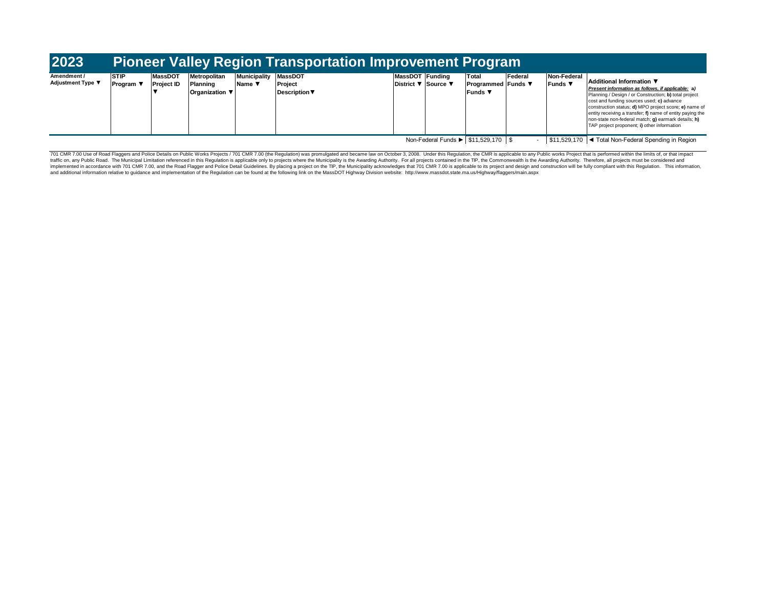| Amendment /<br><b>Adjustment Type ▼</b> | <b>STIP</b><br>Program \ | <b>MassDOT</b><br><b>Project ID</b> | Metropolitan<br>Planning<br><b>Organization</b> ▼ | Municipality MassDOT<br><b>Name</b> ▼ | Project<br><b>Description ▼</b> | MassDOT Funding<br>District ▼ Source ▼ | Total<br><b>Programmed Funds</b> ▼<br><b>Funds</b> | Federal | Non-Federal<br>Funds V | Additional Information ▼<br>Present information as follows, if applicable; a)<br>Planning / Design / or Construction; b) total project<br>cost and funding sources used; c) advance<br>construction status; d) MPO project score; e) name of<br>entity receiving a transfer; f) name of entity paying the<br>non-state non-federal match; g) earmark details; h)<br>TAP project proponent; i) other information |
|-----------------------------------------|--------------------------|-------------------------------------|---------------------------------------------------|---------------------------------------|---------------------------------|----------------------------------------|----------------------------------------------------|---------|------------------------|-----------------------------------------------------------------------------------------------------------------------------------------------------------------------------------------------------------------------------------------------------------------------------------------------------------------------------------------------------------------------------------------------------------------|
|                                         |                          |                                     |                                                   |                                       |                                 |                                        | Non-Federal Funds ▶ \$11,529,170 \$                |         |                        | \$11,529,170  ◀ Total Non-Federal Spending in Region                                                                                                                                                                                                                                                                                                                                                            |

701 CMR 7.00 Use of Road Flaggers and Police Details on Public Works Projects / 701 CMR 7.00 (the Regulation) was promulgated and became law on October 3, 2008. Under this Regulation, the CMR is applicable to any Public wo implemented in accordance with 701 CMR 7.00, and the Road Flagger and Police Detail Guidelines. By placing a project on the TIP, the Municipality acknowledges that 701 CMR 7.00 is applicable to its project and design and c and additional information relative to guidance and implementation of the Regulation can be found at the following link on the MassDOT Highway Division website: http://www.massdot.state.ma.us/Highway/flaggers/main.aspx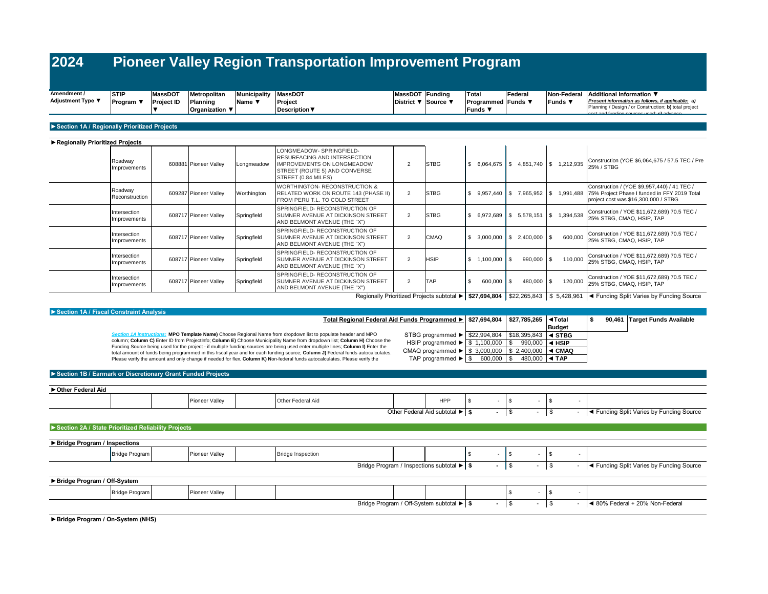| Amendment /       | <b>STIP</b> | <b>MassDOT</b>    | <b>Metropolitan</b>   | Municipality MassDOT |                      | MassDOT Funding     | Tota                    | Federal |          | Non-Federal Additional Information ▼                                                                |
|-------------------|-------------|-------------------|-----------------------|----------------------|----------------------|---------------------|-------------------------|---------|----------|-----------------------------------------------------------------------------------------------------|
| Adjustment Type ▼ | Program     | <b>Project ID</b> | Planning              | <b>Name</b>          | Project              | District ▼ Source ▼ | <b>Programmed Funds</b> |         | ⊪Funds ▼ | Present information as follows, if applicable; a)                                                   |
|                   |             |                   | <b>Organization</b> ▼ |                      | <b>Description</b> ▼ |                     | <b>Funds</b>            |         |          | Planning / Design / or Construction; b) total project<br>loopt and funding courses used: a) advance |
|                   |             |                   |                       |                      |                      |                     |                         |         |          |                                                                                                     |

#### **►Section 1A / Regionally Prioritized Projects**

| Regionally Prioritized Projects |                                            |  |                       |             |                                                                                                                                                      |                |             |      |                         |     |               |                          |                                                                                                                                                                |
|---------------------------------|--------------------------------------------|--|-----------------------|-------------|------------------------------------------------------------------------------------------------------------------------------------------------------|----------------|-------------|------|-------------------------|-----|---------------|--------------------------|----------------------------------------------------------------------------------------------------------------------------------------------------------------|
|                                 | Roadway<br>Improvements                    |  | 608881 Pioneer Valley | Longmeadow  | LONGMEADOW-SPRINGFIELD-<br>RESURFACING AND INTERSECTION<br><b>IMPROVEMENTS ON LONGMEADOW</b><br>STREET (ROUTE 5) AND CONVERSE<br>STREET (0.84 MILES) | $\overline{2}$ | <b>STBG</b> | \$   | $6,064,675$ $\sqrt{\ }$ |     |               | 4,851,740 \$ 1,212,935   | Construction (YOE \$6,064,675 / 57.5 TEC / Pre<br>25% / STBG                                                                                                   |
|                                 | Roadway<br>Reconstruction                  |  | 609287 Pioneer Valley | Worthington | <b>WORTHINGTON- RECONSTRUCTION &amp;</b><br>RELATED WORK ON ROUTE 143 (PHASE II)<br>FROM PERU T.L. TO COLD STREET                                    | 2              | <b>STBG</b> | \$   | 9,957,440               |     |               |                          | Construction / (YOE \$9,957,440) / 41 TEC /<br>7,965,952   \$ 1,991,488   75% Project Phase I funded in FFY 2019 Total<br>project cost was \$16,300,000 / STBG |
|                                 | Intersection<br>Improvements               |  | 608717 Pioneer Valley | Springfield | SPRINGFIELD- RECONSTRUCTION OF<br>SUMNER AVENUE AT DICKINSON STREET<br>AND BELMONT AVENUE (THE "X")                                                  | $\overline{2}$ | <b>STBG</b> | - \$ | 6,972,689               |     |               | 5,578,151   \$ 1,394,538 | Construction / YOE \$11,672,689) 70.5 TEC /<br>25% STBG, CMAQ, HSIP, TAP                                                                                       |
|                                 | Intersection<br>Improvements               |  | 608717 Pioneer Valley | Springfield | SPRINGFIELD- RECONSTRUCTION OF<br>SUMNER AVENUE AT DICKINSON STREET<br>AND BELMONT AVENUE (THE "X")                                                  | $\overline{2}$ | <b>CMAQ</b> |      | 3,000,000               |     | 2,400,000     | 600,000                  | Construction / YOE \$11,672,689) 70.5 TEC /<br>25% STBG, CMAQ, HSIP, TAP                                                                                       |
|                                 | Intersection<br>Improvements               |  | 608717 Pioneer Valley | Springfield | SPRINGFIELD- RECONSTRUCTION OF<br>SUMNER AVENUE AT DICKINSON STREET<br>AND BELMONT AVENUE (THE "X")                                                  | $\overline{2}$ | <b>HSIP</b> | -S   | 1,100,000               |     | $990,000$ \$  | 110,000                  | Construction / YOE \$11,672,689) 70.5 TEC /<br>25% STBG, CMAQ, HSIP, TAP                                                                                       |
|                                 | Intersection<br>Improvements               |  | 608717 Pioneer Valley | Springfield | SPRINGFIELD-RECONSTRUCTION OF<br>SUMNER AVENUE AT DICKINSON STREET<br>AND BELMONT AVENUE (THE "X")                                                   | $\overline{2}$ | <b>TAP</b>  | -9   | 600,000                 | . S | $480,000$ \\$ | 120,000                  | Construction / YOE \$11,672,689) 70.5 TEC /<br>25% STBG, CMAQ, HSIP, TAP                                                                                       |
|                                 | Regionally Prioritized Projects subtotal ▶ |  |                       |             |                                                                                                                                                      |                |             |      |                         |     | \$22,265,843  |                          | \$ 5,428,961  ◀ Funding Split Varies by Funding Source                                                                                                         |

 **\$27,694,804 \$27,785,265 ◄Total Total Regional Federal Aid Funds Programmed ►** Budget<br>**4 STBG \$ 90,461 Target Funds Available** STBG programmed ► | \$22,994,804 | \$18,395,843 | ◀ STBG HSIP programmed ► | \$ 1,100,000 | \$ 990,000 | **< HSIP** CMAQ programmed ► \$ 3,000,000 | \$ 2,400,000 | < CMAQ  $480,000$  ◀ TAP Pioneer Valley |Other Federal Aid HPP | \$ - | \$ - - **\$ -** \$ - \$ - *Section 1A instructions:* **MPO Template Name)** Choose Regional Name from dropdown list to populate header and MPO column; **Column C)** Enter ID from ProjectInfo; **Column E)** Choose Municipality Name from dropdown list; **Column H)** Choose the Funding Source being used for the project - if multiple funding sources are being used enter multiple lines; **Column I)** Enter the total amount of funds being programmed in this fiscal year and for each funding source; **Column J)** Federal funds autocalculates.<br>Please verify the amount and only change if needed for flex. **Column K) N**on-federal funds a **►Section 1A / Fiscal Constraint Analysis ►Section 1B / Earmark or Discretionary Grant Funded Projects ►Other Federal Aid** Other Federal Aid subtotal ► \$ Funding Split Varies by Funding Source TAP programmed  $\blacktriangleright$   $\begin{array}{|c|c|c|c|c|} \hline \$ & \multicolumn{1}{|c|}{600,000} & \end{array}$ 

Bridge Program Pioneer Valley Bridge Inspection \$ - \$ - \$ -  **\$ -** \$ - \$ - Bridge Program Pioneer Valley \$ - \$ -  **\$ -** \$ - \$ - Bridge Program / Off-System subtotal ► ◄ 80% Federal + 20% Non-Federal **►Section 2A / State Prioritized Reliability Projects** Bridge Program / Inspections subtotal ► \$ - S - S - Tunding Split Varies by Funding Source **►Bridge Program / Off-System ►Bridge Program / On-System (NHS) ►Bridge Program / Inspections**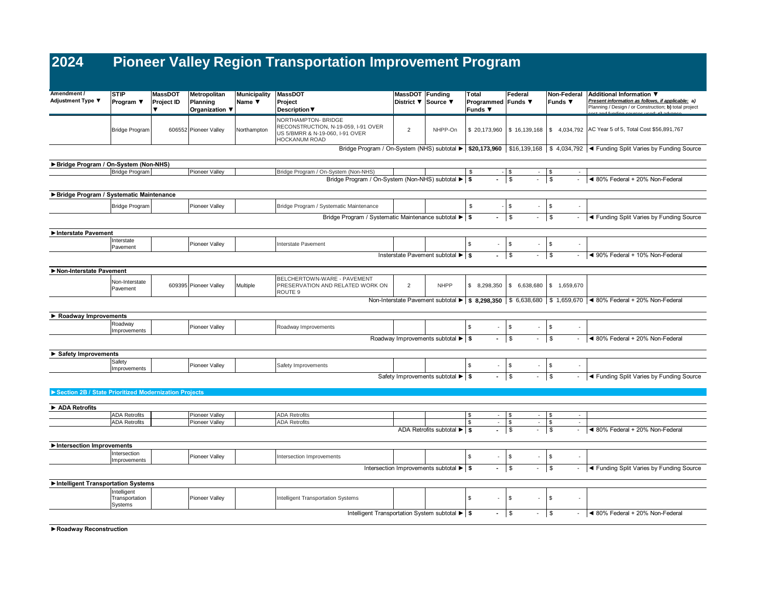| Amendment /<br>Adjustment Type ▼                      | <b>STIP</b><br>Program ▼                 | <b>MassDOT</b><br><b>Project ID</b> | Metropolitan<br>Planning | <b>Municipality</b><br>Name $\Psi$ | <b>MassDOT</b><br>Project                                                                                             | MassDOT Funding | District ▼ Source ▼                                   | Total<br>Programmed Funds ▼ | Federal                                | Non-Federal<br><b>Funds</b> ▼           | Additional Information ▼<br>Present information as follows, if applicable: a)                                                                                        |
|-------------------------------------------------------|------------------------------------------|-------------------------------------|--------------------------|------------------------------------|-----------------------------------------------------------------------------------------------------------------------|-----------------|-------------------------------------------------------|-----------------------------|----------------------------------------|-----------------------------------------|----------------------------------------------------------------------------------------------------------------------------------------------------------------------|
|                                                       |                                          | $\overline{\mathbf{v}}$             | Organization ▼           |                                    | <b>Description ▼</b>                                                                                                  |                 |                                                       | Funds ▼                     |                                        |                                         | Planning / Design / or Construction; b) total project                                                                                                                |
|                                                       | <b>Bridge Program</b>                    |                                     | 606552 Pioneer Valley    | Northampton                        | NORTHAMPTON- BRIDGE<br>RECONSTRUCTION, N-19-059, I-91 OVER<br>US 5/BMRR & N-19-060, I-91 OVER<br><b>HOCKANUM ROAD</b> | $\overline{2}$  | NHPP-On                                               | \$20,173,960                | \$16,139,168                           | \$4,034,792                             | AC Year 5 of 5, Total Cost \$56,891,767                                                                                                                              |
|                                                       |                                          |                                     |                          |                                    |                                                                                                                       |                 |                                                       |                             |                                        |                                         | Bridge Program / On-System (NHS) subtotal $\blacktriangleright$ \$20,173,960 $\mid$ \$16,139,168 $\mid$ \$ 4,034,792 $\mid$ < Funding Split Varies by Funding Source |
| Bridge Program / On-System (Non-NHS)                  |                                          |                                     |                          |                                    |                                                                                                                       |                 |                                                       |                             |                                        |                                         |                                                                                                                                                                      |
|                                                       | <b>Bridge Program</b>                    |                                     | Pioneer Valley           |                                    | Bridge Program / On-System (Non-NHS)                                                                                  |                 |                                                       | \$                          | $-$ \$                                 | - 1\$                                   |                                                                                                                                                                      |
|                                                       |                                          |                                     |                          |                                    | Bridge Program / On-System (Non-NHS) subtotal ▶                                                                       |                 |                                                       | ÷.<br><b>s</b>              | $\overline{\mathbf{s}}$                | $\mathbb{S}$<br>$\blacksquare$          | ◀ 80% Federal + 20% Non-Federal                                                                                                                                      |
| Bridge Program / Systematic Maintenance               |                                          |                                     |                          |                                    |                                                                                                                       |                 |                                                       |                             |                                        |                                         |                                                                                                                                                                      |
|                                                       | <b>Bridge Program</b>                    |                                     | Pioneer Vallev           |                                    | Bridge Program / Systematic Maintenance                                                                               |                 |                                                       | \$                          | \$                                     | $\mathbb{S}$                            |                                                                                                                                                                      |
|                                                       |                                          |                                     |                          |                                    | Bridge Program / Systematic Maintenance subtotal ▶ S                                                                  |                 |                                                       |                             | $\sqrt{3}$<br>$\overline{\phantom{a}}$ | \$<br>$\overline{\phantom{a}}$          | ◀ Funding Split Varies by Funding Source                                                                                                                             |
|                                                       |                                          |                                     |                          |                                    |                                                                                                                       |                 |                                                       |                             |                                        |                                         |                                                                                                                                                                      |
| Interstate Pavement                                   |                                          |                                     |                          |                                    |                                                                                                                       |                 |                                                       |                             |                                        |                                         |                                                                                                                                                                      |
|                                                       | Interstate<br>Pavement                   |                                     | Pioneer Valley           |                                    | Interstate Pavement                                                                                                   |                 |                                                       | \$                          | \$                                     | \$<br>$\sim$                            |                                                                                                                                                                      |
|                                                       |                                          |                                     |                          |                                    |                                                                                                                       |                 | Insterstate Pavement subtotal ▶ \$                    | ÷.                          | l s<br>$\sim$                          | \$<br>$\sim$                            | ◀ 90% Federal + 10% Non-Federal                                                                                                                                      |
|                                                       |                                          |                                     |                          |                                    |                                                                                                                       |                 |                                                       |                             |                                        |                                         |                                                                                                                                                                      |
| Non-Interstate Pavement                               |                                          |                                     |                          |                                    | BELCHERTOWN-WARE - PAVEMENT                                                                                           |                 |                                                       |                             |                                        |                                         |                                                                                                                                                                      |
|                                                       | Non-Interstate<br>Pavement               |                                     | 609395 Pioneer Valley    | Multiple                           | PRESERVATION AND RELATED WORK ON<br>ROUTE <sub>9</sub>                                                                | $\overline{2}$  | <b>NHPP</b>                                           | \$ 8.298.350                | \$6,638,680                            | \$1,659,670                             |                                                                                                                                                                      |
|                                                       |                                          |                                     |                          |                                    |                                                                                                                       |                 |                                                       |                             |                                        |                                         | Non-Interstate Pavement subtotal ▶ \$ 8,298,350   \$ 6,638,680   \$ 1,659,670   < 80% Federal + 20% Non-Federal                                                      |
| Roadway Improvements                                  |                                          |                                     |                          |                                    |                                                                                                                       |                 |                                                       |                             |                                        |                                         |                                                                                                                                                                      |
|                                                       | Roadway                                  |                                     | Pioneer Valley           |                                    | Roadway Improvements                                                                                                  |                 |                                                       | \$                          | \$                                     | \$<br>$\sim$                            |                                                                                                                                                                      |
|                                                       | Improvements                             |                                     |                          |                                    |                                                                                                                       |                 |                                                       |                             |                                        |                                         |                                                                                                                                                                      |
|                                                       |                                          |                                     |                          |                                    |                                                                                                                       |                 | Roadway Improvements subtotal ▶ \$                    | $\blacksquare$              | $\mathbb{S}$<br>$\sim 100$             | S.<br>$\sim$                            | ◀ 80% Federal + 20% Non-Federal                                                                                                                                      |
| Safety Improvements                                   |                                          |                                     |                          |                                    |                                                                                                                       |                 |                                                       |                             |                                        |                                         |                                                                                                                                                                      |
|                                                       | Safety                                   |                                     | Pioneer Valley           |                                    | Safety Improvements                                                                                                   |                 |                                                       | \$                          | \$                                     | \$                                      |                                                                                                                                                                      |
|                                                       | Improvements                             |                                     |                          |                                    |                                                                                                                       |                 | Safety Improvements subtotal $\blacktriangleright$ \$ |                             | $\mathfrak s$                          | \$<br>$\overline{\phantom{a}}$          | ◀ Funding Split Varies by Funding Source                                                                                                                             |
|                                                       |                                          |                                     |                          |                                    |                                                                                                                       |                 |                                                       |                             |                                        |                                         |                                                                                                                                                                      |
| Section 2B / State Prioritized Modernization Projects |                                          |                                     |                          |                                    |                                                                                                                       |                 |                                                       |                             |                                        |                                         |                                                                                                                                                                      |
| ADA Retrofits                                         |                                          |                                     |                          |                                    |                                                                                                                       |                 |                                                       |                             |                                        |                                         |                                                                                                                                                                      |
|                                                       | <b>ADA Retrofits</b>                     |                                     | Pioneer Valley           |                                    | <b>ADA Retrofits</b>                                                                                                  |                 |                                                       | \$<br>$\sim$                | \$                                     | $ \sqrt{5}$<br>$\overline{\phantom{a}}$ |                                                                                                                                                                      |
|                                                       | <b>ADA Retrofits</b>                     |                                     | Pioneer Valley           |                                    | <b>ADA Retrofits</b>                                                                                                  |                 |                                                       | \$<br>$\sim$                | \$<br>$\sim$                           | \$<br>$\sim$                            |                                                                                                                                                                      |
|                                                       |                                          |                                     |                          |                                    |                                                                                                                       |                 | ADA Retrofits subtotal $\blacktriangleright$ \$       | ÷.                          | \$<br>$-1$                             | \$<br>$\overline{\phantom{a}}$          | ◀ 80% Federal + 20% Non-Federal                                                                                                                                      |
| Intersection Improvements                             |                                          |                                     |                          |                                    |                                                                                                                       |                 |                                                       |                             |                                        |                                         |                                                                                                                                                                      |
|                                                       | Intersection                             |                                     | Pioneer Valley           |                                    | Intersection Improvements                                                                                             |                 |                                                       | \$<br>$\sim$                | \$                                     | $\mathbb{S}$<br>×.                      |                                                                                                                                                                      |
|                                                       | Improvements                             |                                     |                          |                                    |                                                                                                                       |                 | Intersection Improvements subtotal ▶   \$             | $\blacksquare$              | $\sqrt{3}$<br>$\blacksquare$           | \$<br>$\overline{\phantom{a}}$          | ◀ Funding Split Varies by Funding Source                                                                                                                             |
|                                                       |                                          |                                     |                          |                                    |                                                                                                                       |                 |                                                       |                             |                                        |                                         |                                                                                                                                                                      |
| Intelligent Transportation Systems                    |                                          |                                     |                          |                                    |                                                                                                                       |                 |                                                       |                             |                                        |                                         |                                                                                                                                                                      |
|                                                       | Intelligent<br>Transportation<br>Systems |                                     | Pioneer Valley           |                                    | Intelligent Transportation Systems                                                                                    |                 |                                                       | \$<br>$\sim$                | \$                                     | \$<br>$\sim$                            |                                                                                                                                                                      |
|                                                       |                                          |                                     |                          |                                    | Intelligent Transportation System subtotal ▶ \$                                                                       |                 |                                                       |                             | <b>\$</b>                              | $\sqrt{3}$<br>$\overline{\phantom{a}}$  | ◀ 80% Federal + 20% Non-Federal                                                                                                                                      |
|                                                       |                                          |                                     |                          |                                    |                                                                                                                       |                 |                                                       |                             |                                        |                                         |                                                                                                                                                                      |

**►Roadway Reconstruction**